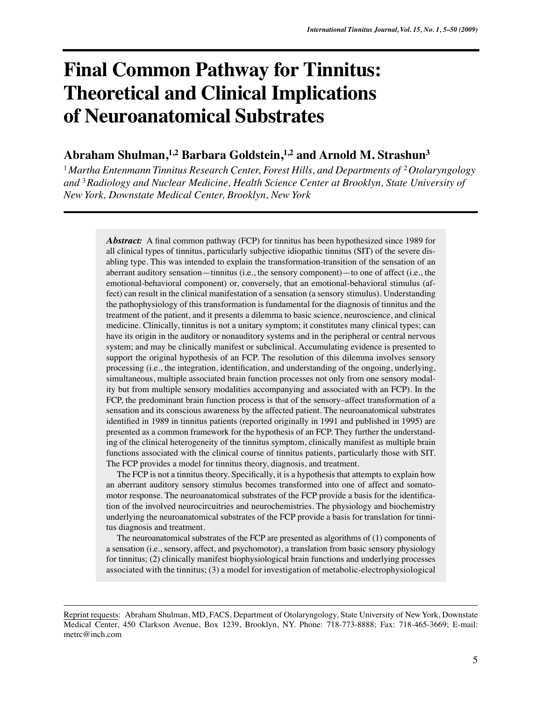# **Final Common Pathway for Tinnitus: Theoretical and Clinical Implications of Neuroanatomical Substrates**

# Abraham Shulman,<sup>1,2</sup> Barbara Goldstein,<sup>1,2</sup> and Arnold M. Strashun<sup>3</sup>

<sup>1</sup> Martha Entenmann Tinnitus Research Center, Forest Hills, and Departments of <sup>2</sup> Otolaryngology *and* <sup>3</sup>*Radiology and Nuclear Medicine, Health Science Center at Brooklyn, State University of New York, Downstate Medical Center, Brooklyn, New York*

> *Abstract:* A final common pathway (FCP) for tinnitus has been hypothesized since 1989 for all clinical types of tinnitus, particularly subjective idiopathic tinnitus (SIT) of the severe disabling type. This was intended to explain the transformation-transition of the sensation of an aberrant auditory sensation—tinnitus (i.e., the sensory component)—to one of affect (i.e., the emotional-behavioral component) or, conversely, that an emotional-behavioral stimulus (affect) can result in the clinical manifestation of a sensation (a sensory stimulus). Understanding the pathophysiology of this transformation is fundamental for the diagnosis of tinnitus and the treatment of the patient, and it presents a dilemma to basic science, neuroscience, and clinical medicine. Clinically, tinnitus is not a unitary symptom; it constitutes many clinical types; can have its origin in the auditory or nonauditory systems and in the peripheral or central nervous system; and may be clinically manifest or subclinical. Accumulating evidence is presented to support the original hypothesis of an FCP. The resolution of this dilemma involves sensory processing (i.e., the integration, identification, and understanding of the ongoing, underlying, simultaneous, multiple associated brain function processes not only from one sensory modality but from multiple sensory modalities accompanying and associated with an FCP). In the FCP, the predominant brain function process is that of the sensory–affect transformation of a sensation and its conscious awareness by the affected patient. The neuroanatomical substrates identified in 1989 in tinnitus patients (reported originally in 1991 and published in 1995) are presented as a common framework for the hypothesis of an FCP. They further the understanding of the clinical heterogeneity of the tinnitus symptom, clinically manifest as multiple brain functions associated with the clinical course of tinnitus patients, particularly those with SIT. The FCP provides a model for tinnitus theory, diagnosis, and treatment.

> The FCP is not a tinnitus theory. Specifically, it is a hypothesis that attempts to explain how an aberrant auditory sensory stimulus becomes transformed into one of affect and somatomotor response. The neuroanatomical substrates of the FCP provide a basis for the identification of the involved neurocircuitries and neurochemistries. The physiology and biochemistry underlying the neuroanatomical substrates of the FCP provide a basis for translation for tinnitus diagnosis and treatment.

> The neuroanatomical substrates of the FCP are presented as algorithms of (1) components of a sensation (i.e., sensory, affect, and psychomotor), a translation from basic sensory physiology for tinnitus; (2) clinically manifest biophysiological brain functions and underlying processes associated with the tinnitus; (3) a model for investigation of metabolic-electrophysiological

Reprint requests: Abraham Shulman, MD, FACS, Department of Otolaryngology, State University of New York, Downstate Medical Center, 450 Clarkson Avenue, Box 1239, Brooklyn, NY. Phone: 718-773-8888; Fax: 718-465-3669; E-mail: metrc@inch.com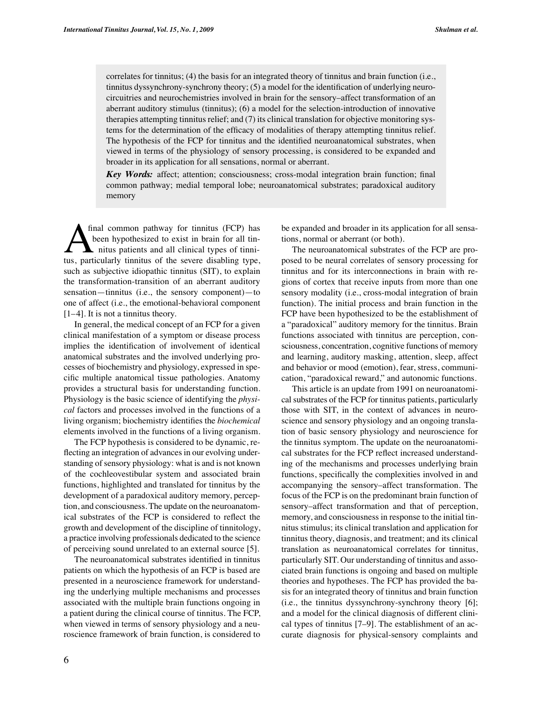correlates for tinnitus; (4) the basis for an integrated theory of tinnitus and brain function (i.e., tinnitus dyssynchrony-synchrony theory; (5) a model for the identification of underlying neurocircuitries and neurochemistries involved in brain for the sensory–affect transformation of an aberrant auditory stimulus (tinnitus); (6) a model for the selection-introduction of innovative therapies attempting tinnitus relief; and (7) its clinical translation for objective monitoring systems for the determination of the efficacy of modalities of therapy attempting tinnitus relief. The hypothesis of the FCP for tinnitus and the identified neuroanatomical substrates, when viewed in terms of the physiology of sensory processing, is considered to be expanded and broader in its application for all sensations, normal or aberrant.

*Key Words:* affect; attention; consciousness; cross-modal integration brain function; final common pathway; medial temporal lobe; neuroanatomical substrates; paradoxical auditory memory

tus, particularly tinnitus of the severe disabling type, such as subjective idiopathic tinnitus (SIT), to explain the transformation-transition of an aberrant auditory sensation—tinnitus (i.e., the sensory component)—to one of affect (i.e., the emotional-behavioral component [1–4]. It is not a tinnitus theory. final common pathway for tinnitus (FCP) has been hypothesized to exist in brain for all tinnitus patients and all clinical types of tinni-

In general, the medical concept of an FCP for a given clinical manifestation of a symptom or disease process implies the identification of involvement of identical anatomical substrates and the involved underlying processes of biochemistry and physiology, expressed in specific multiple anatomical tissue pathologies. Anatomy provides a structural basis for understanding function. Physiology is the basic science of identifying the *physical* factors and processes involved in the functions of a living organism; biochemistry identifies the *biochemical* elements involved in the functions of a living organism.

The FCP hypothesis is considered to be dynamic, reflecting an integration of advances in our evolving understanding of sensory physiology: what is and is not known of the cochleovestibular system and associated brain functions, highlighted and translated for tinnitus by the development of a paradoxical auditory memory, perception, and consciousness. The update on the neuroanatomical substrates of the FCP is considered to reflect the growth and development of the discipline of tinnitology, a practice involving professionals dedicated to the science of perceiving sound unrelated to an external source [5].

The neuroanatomical substrates identified in tinnitus patients on which the hypothesis of an FCP is based are presented in a neuroscience framework for understanding the underlying multiple mechanisms and processes associated with the multiple brain functions ongoing in a patient during the clinical course of tinnitus. The FCP, when viewed in terms of sensory physiology and a neuroscience framework of brain function, is considered to

be expanded and broader in its application for all sensations, normal or aberrant (or both).

The neuroanatomical substrates of the FCP are proposed to be neural correlates of sensory processing for tinnitus and for its interconnections in brain with regions of cortex that receive inputs from more than one sensory modality (i.e., cross-modal integration of brain function). The initial process and brain function in the FCP have been hypothesized to be the establishment of a "paradoxical" auditory memory for the tinnitus. Brain functions associated with tinnitus are perception, consciousness, concentration, cognitive functions of memory and learning, auditory masking, attention, sleep, affect and behavior or mood (emotion), fear, stress, communication, "paradoxical reward," and autonomic functions.

This article is an update from 1991 on neuroanatomical substrates of the FCP for tinnitus patients, particularly those with SIT, in the context of advances in neuroscience and sensory physiology and an ongoing translation of basic sensory physiology and neuroscience for the tinnitus symptom. The update on the neuroanatomical substrates for the FCP reflect increased understanding of the mechanisms and processes underlying brain functions, specifically the complexities involved in and accompanying the sensory–affect transformation. The focus of the FCP is on the predominant brain function of sensory–affect transformation and that of perception, memory, and consciousness in response to the initial tinnitus stimulus; its clinical translation and application for tinnitus theory, diagnosis, and treatment; and its clinical translation as neuroanatomical correlates for tinnitus, particularly SIT. Our understanding of tinnitus and associated brain functions is ongoing and based on multiple theories and hypotheses. The FCP has provided the basis for an integrated theory of tinnitus and brain function (i.e., the tinnitus dyssynchrony-synchrony theory [6]; and a model for the clinical diagnosis of different clinical types of tinnitus [7–9]. The establishment of an accurate diagnosis for physical-sensory complaints and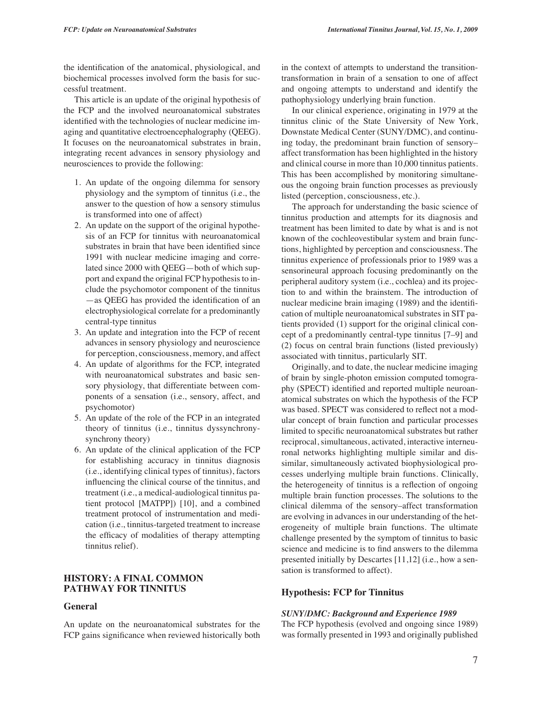the identification of the anatomical, physiological, and biochemical processes involved form the basis for successful treatment.

This article is an update of the original hypothesis of the FCP and the involved neuroanatomical substrates identified with the technologies of nuclear medicine imaging and quantitative electroencephalography (QEEG). It focuses on the neuroanatomical substrates in brain, integrating recent advances in sensory physiology and neurosciences to provide the following:

- 1. An update of the ongoing dilemma for sensory physiology and the symptom of tinnitus (i.e., the answer to the question of how a sensory stimulus is transformed into one of affect)
- 2. An update on the support of the original hypothesis of an FCP for tinnitus with neuroanatomical substrates in brain that have been identified since 1991 with nuclear medicine imaging and correlated since 2000 with QEEG—both of which support and expand the original FCP hypothesis to include the psychomotor component of the tinnitus —as QEEG has provided the identification of an electrophysiological correlate for a predominantly central-type tinnitus
- 3. An update and integration into the FCP of recent advances in sensory physiology and neuroscience for perception, consciousness, memory, and affect
- 4. An update of algorithms for the FCP, integrated with neuroanatomical substrates and basic sensory physiology, that differentiate between components of a sensation (i.e., sensory, affect, and psychomotor)
- 5. An update of the role of the FCP in an integrated theory of tinnitus (i.e., tinnitus dyssynchronysynchrony theory)
- 6. An update of the clinical application of the FCP for establishing accuracy in tinnitus diagnosis (i.e., identifying clinical types of tinnitus), factors influencing the clinical course of the tinnitus, and treatment (i.e., a medical-audiological tinnitus patient protocol [MATPP]) [10], and a combined treatment protocol of instrumentation and medication (i.e., tinnitus-targeted treatment to increase the efficacy of modalities of therapy attempting tinnitus relief).

# **HISTORY: A FINAL COMMON PATHWAY FOR TINNITUS**

#### **General**

An update on the neuroanatomical substrates for the FCP gains significance when reviewed historically both in the context of attempts to understand the transitiontransformation in brain of a sensation to one of affect and ongoing attempts to understand and identify the pathophysiology underlying brain function.

In our clinical experience, originating in 1979 at the tinnitus clinic of the State University of New York, Downstate Medical Center (SUNY/DMC), and continuing today, the predominant brain function of sensory– affect transformation has been highlighted in the history and clinical course in more than 10,000 tinnitus patients. This has been accomplished by monitoring simultaneous the ongoing brain function processes as previously listed (perception, consciousness, etc.).

The approach for understanding the basic science of tinnitus production and attempts for its diagnosis and treatment has been limited to date by what is and is not known of the cochleovestibular system and brain functions, highlighted by perception and consciousness. The tinnitus experience of professionals prior to 1989 was a sensorineural approach focusing predominantly on the peripheral auditory system (i.e., cochlea) and its projection to and within the brainstem. The introduction of nuclear medicine brain imaging (1989) and the identification of multiple neuroanatomical substrates in SIT patients provided (1) support for the original clinical concept of a predominantly central-type tinnitus [7–9] and (2) focus on central brain functions (listed previously) associated with tinnitus, particularly SIT.

Originally, and to date, the nuclear medicine imaging of brain by single-photon emission computed tomography (SPECT) identified and reported multiple neuroanatomical substrates on which the hypothesis of the FCP was based. SPECT was considered to reflect not a modular concept of brain function and particular processes limited to specific neuroanatomical substrates but rather reciprocal, simultaneous, activated, interactive interneuronal networks highlighting multiple similar and dissimilar, simultaneously activated biophysiological processes underlying multiple brain functions. Clinically, the heterogeneity of tinnitus is a reflection of ongoing multiple brain function processes. The solutions to the clinical dilemma of the sensory–affect transformation are evolving in advances in our understanding of the heterogeneity of multiple brain functions. The ultimate challenge presented by the symptom of tinnitus to basic science and medicine is to find answers to the dilemma presented initially by Descartes [11,12] (i.e., how a sensation is transformed to affect).

## **Hypothesis: FCP for Tinnitus**

#### *SUNY/DMC: Background and Experience 1989*

The FCP hypothesis (evolved and ongoing since 1989) was formally presented in 1993 and originally published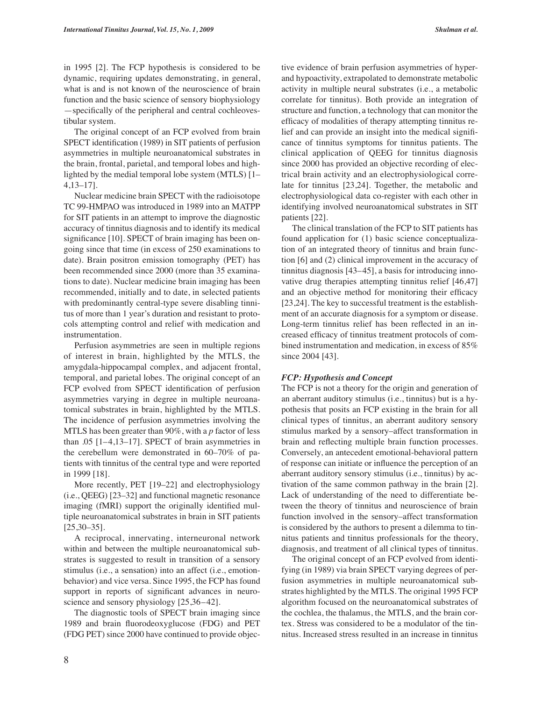in 1995 [2]. The FCP hypothesis is considered to be dynamic, requiring updates demonstrating, in general, what is and is not known of the neuroscience of brain function and the basic science of sensory biophysiology —specifically of the peripheral and central cochleovestibular system.

The original concept of an FCP evolved from brain SPECT identification (1989) in SIT patients of perfusion asymmetries in multiple neuroanatomical substrates in the brain, frontal, parietal, and temporal lobes and highlighted by the medial temporal lobe system (MTLS) [1– 4,13–17].

Nuclear medicine brain SPECT with the radioisotope TC 99-HMPAO was introduced in 1989 into an MATPP for SIT patients in an attempt to improve the diagnostic accuracy of tinnitus diagnosis and to identify its medical significance [10]. SPECT of brain imaging has been ongoing since that time (in excess of 250 examinations to date). Brain positron emission tomography (PET) has been recommended since 2000 (more than 35 examinations to date). Nuclear medicine brain imaging has been recommended, initially and to date, in selected patients with predominantly central-type severe disabling tinnitus of more than 1 year's duration and resistant to protocols attempting control and relief with medication and instrumentation.

Perfusion asymmetries are seen in multiple regions of interest in brain, highlighted by the MTLS, the amygdala-hippocampal complex, and adjacent frontal, temporal, and parietal lobes. The original concept of an FCP evolved from SPECT identification of perfusion asymmetries varying in degree in multiple neuroanatomical substrates in brain, highlighted by the MTLS. The incidence of perfusion asymmetries involving the MTLS has been greater than 90%, with a *p* factor of less than .05 [1–4,13–17]. SPECT of brain asymmetries in the cerebellum were demonstrated in 60–70% of patients with tinnitus of the central type and were reported in 1999 [18].

More recently, PET [19–22] and electrophysiology (i.e., QEEG) [23–32] and functional magnetic resonance imaging (fMRI) support the originally identified multiple neuroanatomical substrates in brain in SIT patients  $[25,30-35]$ .

A reciprocal, innervating, interneuronal network within and between the multiple neuroanatomical substrates is suggested to result in transition of a sensory stimulus (i.e., a sensation) into an affect (i.e., emotionbehavior) and vice versa. Since 1995, the FCP has found support in reports of significant advances in neuroscience and sensory physiology [25,36–42].

The diagnostic tools of SPECT brain imaging since 1989 and brain fluorodeoxyglucose (FDG) and PET (FDG PET) since 2000 have continued to provide objec-

tive evidence of brain perfusion asymmetries of hyperand hypoactivity, extrapolated to demonstrate metabolic activity in multiple neural substrates (i.e., a metabolic correlate for tinnitus). Both provide an integration of structure and function, a technology that can monitor the efficacy of modalities of therapy attempting tinnitus relief and can provide an insight into the medical significance of tinnitus symptoms for tinnitus patients. The clinical application of QEEG for tinnitus diagnosis since 2000 has provided an objective recording of electrical brain activity and an electrophysiological correlate for tinnitus [23,24]. Together, the metabolic and electrophysiological data co-register with each other in identifying involved neuroanatomical substrates in SIT patients [22].

The clinical translation of the FCP to SIT patients has found application for (1) basic science conceptualization of an integrated theory of tinnitus and brain function [6] and (2) clinical improvement in the accuracy of tinnitus diagnosis [43–45], a basis for introducing innovative drug therapies attempting tinnitus relief [46,47] and an objective method for monitoring their efficacy [23,24]. The key to successful treatment is the establishment of an accurate diagnosis for a symptom or disease. Long-term tinnitus relief has been reflected in an increased efficacy of tinnitus treatment protocols of combined instrumentation and medication, in excess of 85% since 2004 [43].

#### *FCP: Hypothesis and Concept*

The FCP is not a theory for the origin and generation of an aberrant auditory stimulus (i.e., tinnitus) but is a hypothesis that posits an FCP existing in the brain for all clinical types of tinnitus, an aberrant auditory sensory stimulus marked by a sensory–affect transformation in brain and reflecting multiple brain function processes. Conversely, an antecedent emotional-behavioral pattern of response can initiate or influence the perception of an aberrant auditory sensory stimulus (i.e., tinnitus) by activation of the same common pathway in the brain [2]. Lack of understanding of the need to differentiate between the theory of tinnitus and neuroscience of brain function involved in the sensory–affect transformation is considered by the authors to present a dilemma to tinnitus patients and tinnitus professionals for the theory, diagnosis, and treatment of all clinical types of tinnitus.

The original concept of an FCP evolved from identifying (in 1989) via brain SPECT varying degrees of perfusion asymmetries in multiple neuroanatomical substrates highlighted by the MTLS. The original 1995 FCP algorithm focused on the neuroanatomical substrates of the cochlea, the thalamus, the MTLS, and the brain cortex. Stress was considered to be a modulator of the tinnitus. Increased stress resulted in an increase in tinnitus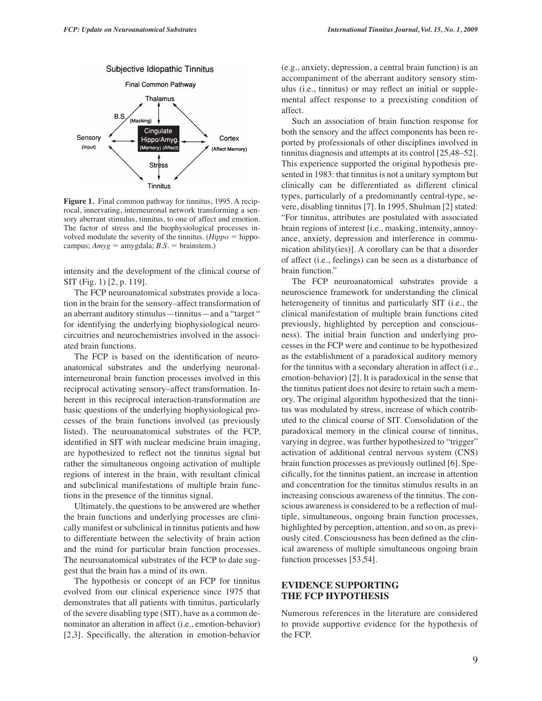

**Figure 1.** Final common pathway for tinnitus, 1995. A reciprocal, innervating, interneuronal network transforming a sensory aberrant stimulus, tinnitus, to one of affect and emotion. The factor of stress and the biophysiological processes involved modulate the severity of the tinnitus.  $(Hippo = hippo -)$ campus;  $Amyg = \text{amygdala}; B.S. = \text{brainstem}.$ 

intensity and the development of the clinical course of SIT (Fig. 1) [2, p. 119].

The FCP neuroanatomical substrates provide a location in the brain for the sensory–affect transformation of an aberrant auditory stimulus—tinnitus—and a "target " for identifying the underlying biophysiological neurocircuitries and neurochemistries involved in the associated brain functions.

The FCP is based on the identification of neuroanatomical substrates and the underlying neuronalinterneuronal brain function processes involved in this reciprocal activating sensory–affect transformation. Inherent in this reciprocal interaction-transformation are basic questions of the underlying biophysiological processes of the brain functions involved (as previously listed). The neuroanatomical substrates of the FCP, identified in SIT with nuclear medicine brain imaging, are hypothesized to reflect not the tinnitus signal but rather the simultaneous ongoing activation of multiple regions of interest in the brain, with resultant clinical and subclinical manifestations of multiple brain functions in the presence of the tinnitus signal.

Ultimately, the questions to be answered are whether the brain functions and underlying processes are clinically manifest or subclinical in tinnitus patients and how to differentiate between the selectivity of brain action and the mind for particular brain function processes. The neuroanatomical substrates of the FCP to date suggest that the brain has a mind of its own.

The hypothesis or concept of an FCP for tinnitus evolved from our clinical experience since 1975 that demonstrates that all patients with tinnitus, particularly of the severe disabling type (SIT), have as a common denominator an alteration in affect (i.e., emotion-behavior) [2,3]. Specifically, the alteration in emotion-behavior (e.g., anxiety, depression, a central brain function) is an accompaniment of the aberrant auditory sensory stimulus (i.e., tinnitus) or may reflect an initial or supplemental affect response to a preexisting condition of affect.

Such an association of brain function response for both the sensory and the affect components has been reported by professionals of other disciplines involved in tinnitus diagnosis and attempts at its control [25,48–52]. This experience supported the original hypothesis presented in 1983: that tinnitus is not a unitary symptom but clinically can be differentiated as different clinical types, particularly of a predominantly central-type, severe, disabling tinnitus [7]. In 1995, Shulman [2] stated: "For tinnitus, attributes are postulated with associated brain regions of interest [i.e., masking, intensity, annoyance, anxiety, depression and interference in communication ability(ies)]. A corollary can be that a disorder of affect (i.e., feelings) can be seen as a disturbance of brain function."

The FCP neuroanatomical substrates provide a neuroscience framework for understanding the clinical heterogeneity of tinnitus and particularly SIT (i.e., the clinical manifestation of multiple brain functions cited previously, highlighted by perception and consciousness). The initial brain function and underlying processes in the FCP were and continue to be hypothesized as the establishment of a paradoxical auditory memory for the tinnitus with a secondary alteration in affect (i.e., emotion-behavior) [2]. It is paradoxical in the sense that the tinnitus patient does not desire to retain such a memory. The original algorithm hypothesized that the tinnitus was modulated by stress, increase of which contributed to the clinical course of SIT. Consolidation of the paradoxical memory in the clinical course of tinnitus, varying in degree, was further hypothesized to "trigger" activation of additional central nervous system (CNS) brain function processes as previously outlined [6]. Specifically, for the tinnitus patient, an increase in attention and concentration for the tinnitus stimulus results in an increasing conscious awareness of the tinnitus. The conscious awareness is considered to be a reflection of multiple, simultaneous, ongoing brain function processes, highlighted by perception, attention, and so on, as previously cited. Consciousness has been defined as the clinical awareness of multiple simultaneous ongoing brain function processes [53,54].

# **EVIDENCE SUPPORTING THE FCP HYPOTHESIS**

Numerous references in the literature are considered to provide supportive evidence for the hypothesis of the FCP.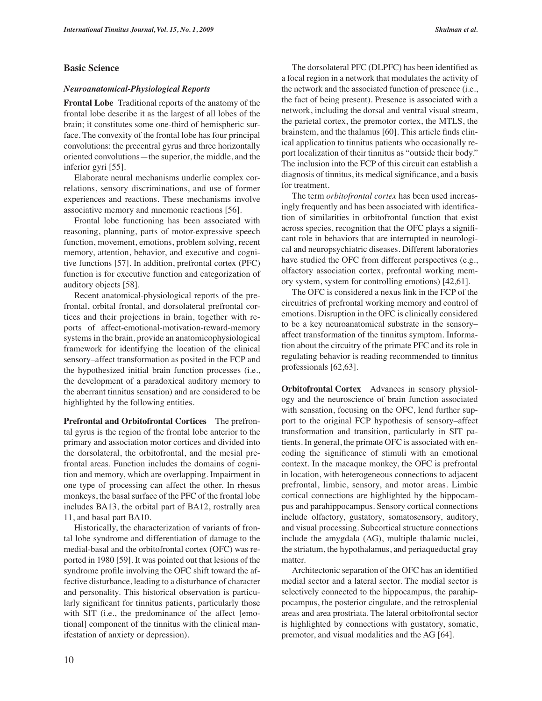## **Basic Science**

#### *Neuroanatomical-Physiological Reports*

**Frontal Lobe** Traditional reports of the anatomy of the frontal lobe describe it as the largest of all lobes of the brain; it constitutes some one-third of hemispheric surface. The convexity of the frontal lobe has four principal convolutions: the precentral gyrus and three horizontally oriented convolutions—the superior, the middle, and the inferior gyri [55].

Elaborate neural mechanisms underlie complex correlations, sensory discriminations, and use of former experiences and reactions. These mechanisms involve associative memory and mnemonic reactions [56].

Frontal lobe functioning has been associated with reasoning, planning, parts of motor-expressive speech function, movement, emotions, problem solving, recent memory, attention, behavior, and executive and cognitive functions [57]. In addition, prefrontal cortex (PFC) function is for executive function and categorization of auditory objects [58].

Recent anatomical-physiological reports of the prefrontal, orbital frontal, and dorsolateral prefrontal cortices and their projections in brain, together with reports of affect-emotional-motivation-reward-memory systems in the brain, provide an anatomicophysiological framework for identifying the location of the clinical sensory–affect transformation as posited in the FCP and the hypothesized initial brain function processes (i.e., the development of a paradoxical auditory memory to the aberrant tinnitus sensation) and are considered to be highlighted by the following entities.

**Prefrontal and Orbitofrontal Cortices** The prefrontal gyrus is the region of the frontal lobe anterior to the primary and association motor cortices and divided into the dorsolateral, the orbitofrontal, and the mesial prefrontal areas. Function includes the domains of cognition and memory, which are overlapping. Impairment in one type of processing can affect the other. In rhesus monkeys, the basal surface of the PFC of the frontal lobe includes BA13, the orbital part of BA12, rostrally area 11, and basal part BA10.

Historically, the characterization of variants of frontal lobe syndrome and differentiation of damage to the medial-basal and the orbitofrontal cortex (OFC) was reported in 1980 [59]. It was pointed out that lesions of the syndrome profile involving the OFC shift toward the affective disturbance, leading to a disturbance of character and personality. This historical observation is particularly significant for tinnitus patients, particularly those with SIT (i.e., the predominance of the affect [emotional] component of the tinnitus with the clinical manifestation of anxiety or depression).

The dorsolateral PFC (DLPFC) has been identified as a focal region in a network that modulates the activity of the network and the associated function of presence (i.e., the fact of being present). Presence is associated with a network, including the dorsal and ventral visual stream, the parietal cortex, the premotor cortex, the MTLS, the brainstem, and the thalamus [60]. This article finds clinical application to tinnitus patients who occasionally report localization of their tinnitus as "outside their body." The inclusion into the FCP of this circuit can establish a diagnosis of tinnitus, its medical significance, and a basis for treatment.

The term *orbitofrontal cortex* has been used increasingly frequently and has been associated with identification of similarities in orbitofrontal function that exist across species, recognition that the OFC plays a significant role in behaviors that are interrupted in neurological and neuropsychiatric diseases. Different laboratories have studied the OFC from different perspectives (e.g., olfactory association cortex, prefrontal working memory system, system for controlling emotions) [42,61].

The OFC is considered a nexus link in the FCP of the circuitries of prefrontal working memory and control of emotions. Disruption in the OFC is clinically considered to be a key neuroanatomical substrate in the sensory– affect transformation of the tinnitus symptom. Information about the circuitry of the primate PFC and its role in regulating behavior is reading recommended to tinnitus professionals [62,63].

**Orbitofrontal Cortex** Advances in sensory physiology and the neuroscience of brain function associated with sensation, focusing on the OFC, lend further support to the original FCP hypothesis of sensory–affect transformation and transition, particularly in SIT patients. In general, the primate OFC is associated with encoding the significance of stimuli with an emotional context. In the macaque monkey, the OFC is prefrontal in location, with heterogeneous connections to adjacent prefrontal, limbic, sensory, and motor areas. Limbic cortical connections are highlighted by the hippocampus and parahippocampus. Sensory cortical connections include olfactory, gustatory, somatosensory, auditory, and visual processing. Subcortical structure connections include the amygdala (AG), multiple thalamic nuclei, the striatum, the hypothalamus, and periaqueductal gray matter.

Architectonic separation of the OFC has an identified medial sector and a lateral sector. The medial sector is selectively connected to the hippocampus, the parahippocampus, the posterior cingulate, and the retrosplenial areas and area prostriata. The lateral orbitofrontal sector is highlighted by connections with gustatory, somatic, premotor, and visual modalities and the AG [64].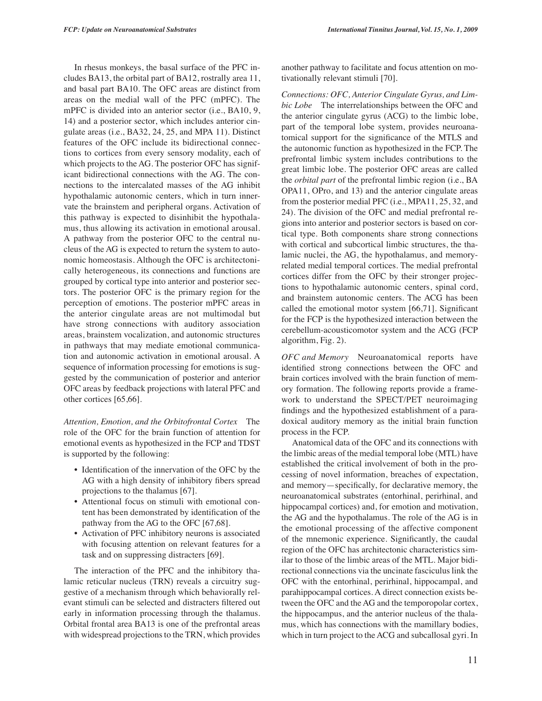In rhesus monkeys, the basal surface of the PFC includes BA13, the orbital part of BA12, rostrally area 11, and basal part BA10. The OFC areas are distinct from areas on the medial wall of the PFC (mPFC). The mPFC is divided into an anterior sector (i.e., BA10, 9, 14) and a posterior sector, which includes anterior cingulate areas (i.e., BA32, 24, 25, and MPA 11). Distinct features of the OFC include its bidirectional connections to cortices from every sensory modality, each of which projects to the AG. The posterior OFC has significant bidirectional connections with the AG. The connections to the intercalated masses of the AG inhibit hypothalamic autonomic centers, which in turn innervate the brainstem and peripheral organs. Activation of this pathway is expected to disinhibit the hypothalamus, thus allowing its activation in emotional arousal. A pathway from the posterior OFC to the central nucleus of the AG is expected to return the system to autonomic homeostasis. Although the OFC is architectonically heterogeneous, its connections and functions are grouped by cortical type into anterior and posterior sectors. The posterior OFC is the primary region for the perception of emotions. The posterior mPFC areas in the anterior cingulate areas are not multimodal but have strong connections with auditory association areas, brainstem vocalization, and autonomic structures in pathways that may mediate emotional communication and autonomic activation in emotional arousal. A sequence of information processing for emotions is suggested by the communication of posterior and anterior OFC areas by feedback projections with lateral PFC and other cortices [65,66].

*Attention, Emotion, and the Orbitofrontal Cortex* The role of the OFC for the brain function of attention for emotional events as hypothesized in the FCP and TDST is supported by the following:

- Identification of the innervation of the OFC by the AG with a high density of inhibitory fibers spread projections to the thalamus [67].
- Attentional focus on stimuli with emotional content has been demonstrated by identification of the pathway from the AG to the OFC [67,68].
- Activation of PFC inhibitory neurons is associated with focusing attention on relevant features for a task and on suppressing distracters [69].

The interaction of the PFC and the inhibitory thalamic reticular nucleus (TRN) reveals a circuitry suggestive of a mechanism through which behaviorally relevant stimuli can be selected and distracters filtered out early in information processing through the thalamus. Orbital frontal area BA13 is one of the prefrontal areas with widespread projections to the TRN, which provides another pathway to facilitate and focus attention on motivationally relevant stimuli [70].

*Connections: OFC, Anterior Cingulate Gyrus, and Limbic Lobe* The interrelationships between the OFC and the anterior cingulate gyrus (ACG) to the limbic lobe, part of the temporal lobe system, provides neuroanatomical support for the significance of the MTLS and the autonomic function as hypothesized in the FCP. The prefrontal limbic system includes contributions to the great limbic lobe. The posterior OFC areas are called the *orbital part* of the prefrontal limbic region (i.e., BA OPA11, OPro, and 13) and the anterior cingulate areas from the posterior medial PFC (i.e., MPA11, 25, 32, and 24). The division of the OFC and medial prefrontal regions into anterior and posterior sectors is based on cortical type. Both components share strong connections with cortical and subcortical limbic structures, the thalamic nuclei, the AG, the hypothalamus, and memoryrelated medial temporal cortices. The medial prefrontal cortices differ from the OFC by their stronger projections to hypothalamic autonomic centers, spinal cord, and brainstem autonomic centers. The ACG has been called the emotional motor system [66,71]. Significant for the FCP is the hypothesized interaction between the cerebellum-acousticomotor system and the ACG (FCP algorithm, Fig. 2).

*OFC and Memory* Neuroanatomical reports have identified strong connections between the OFC and brain cortices involved with the brain function of memory formation. The following reports provide a framework to understand the SPECT/PET neuroimaging findings and the hypothesized establishment of a paradoxical auditory memory as the initial brain function process in the FCP.

Anatomical data of the OFC and its connections with the limbic areas of the medial temporal lobe (MTL) have established the critical involvement of both in the processing of novel information, breaches of expectation, and memory—specifically, for declarative memory, the neuroanatomical substrates (entorhinal, perirhinal, and hippocampal cortices) and, for emotion and motivation, the AG and the hypothalamus. The role of the AG is in the emotional processing of the affective component of the mnemonic experience. Significantly, the caudal region of the OFC has architectonic characteristics similar to those of the limbic areas of the MTL. Major bidirectional connections via the uncinate fasciculus link the OFC with the entorhinal, perirhinal, hippocampal, and parahippocampal cortices. A direct connection exists between the OFC and the AG and the temporopolar cortex, the hippocampus, and the anterior nucleus of the thalamus, which has connections with the mamillary bodies, which in turn project to the ACG and subcallosal gyri. In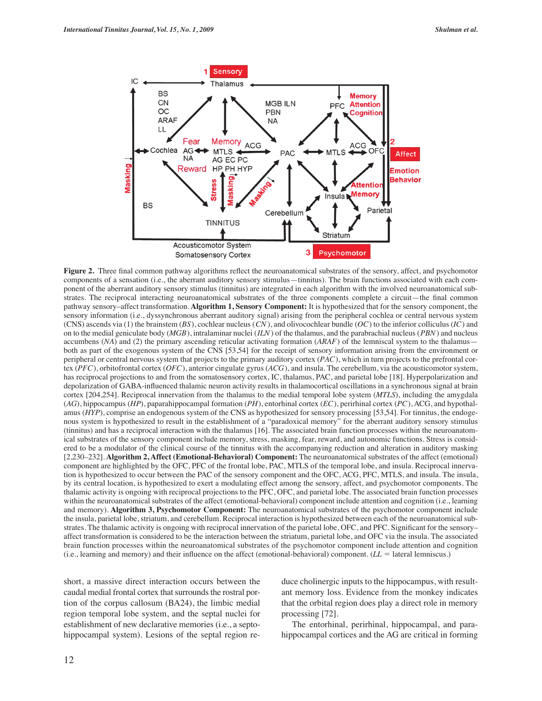

**Figure 2.** Three final common pathway algorithms reflect the neuroanatomical substrates of the sensory, affect, and psychomotor components of a sensation (i.e., the aberrant auditory sensory stimulus—tinnitus). The brain functions associated with each component of the aberrant auditory sensory stimulus (tinnitus) are integrated in each algorithm with the involved neuroanatomical substrates. The reciprocal interacting neuroanatomical substrates of the three components complete a circuit—the final common pathway sensory–affect transformation. **Algorithm 1, Sensory Component:** It is hypothesized that for the sensory component, the sensory information (i.e., dyssynchronous aberrant auditory signal) arising from the peripheral cochlea or central nervous system (CNS) ascends via (1) the brainstem (*BS*), cochlear nucleus (*CN* ), and olivocochlear bundle (*OC*) to the inferior colliculus (*IC*) and on to the medial geniculate body (*MGB*), intralaminar nuclei (*ILN*) of the thalamus, and the parabrachial nucleus (*PBN*) and nucleus accumbens (*NA*) and (2) the primary ascending reticular activating formation (*ARAF*) of the lemniscal system to the thalamus both as part of the exogenous system of the CNS [53,54] for the receipt of sensory information arising from the environment or peripheral or central nervous system that projects to the primary auditory cortex (*PAC*), which in turn projects to the prefrontal cortex (*PFC*), orbitofrontal cortex (*OFC*), anterior cingulate gyrus (*ACG*), and insula. The cerebellum, via the acousticomotor system, has reciprocal projections to and from the somatosensory cortex, IC, thalamus, PAC, and parietal lobe [18]. Hyperpolarization and depolarization of GABA-influenced thalamic neuron activity results in thalamocortical oscillations in a synchronous signal at brain cortex [204,254]. Reciprocal innervation from the thalamus to the medial temporal lobe system (*MTLS*), including the amygdala (*AG*), hippocampus (*HP*), paparahippocampal formation (*PH*), entorhinal cortex (*EC*), perirhinal cortex (*PC*), ACG, and hypothalamus (*HYP*), comprise an endogenous system of the CNS as hypothesized for sensory processing [53,54]. For tinnitus, the endogenous system is hypothesized to result in the establishment of a "paradoxical memory" for the aberrant auditory sensory stimulus (tinnitus) and has a reciprocal interaction with the thalamus [16]. The associated brain function processes within the neuroanatomical substrates of the sensory component include memory, stress, masking, fear, reward, and autonomic functions. Stress is considered to be a modulator of the clinical course of the tinnitus with the accompanying reduction and alteration in auditory masking [2,230–232]. **Algorithm 2, Affect (Emotional-Behavioral) Component:** The neuroanatomical substrates of the affect (emotional) component are highlighted by the OFC, PFC of the frontal lobe, PAC, MTLS of the temporal lobe, and insula. Reciprocal innervation is hypothesized to occur between the PAC of the sensory component and the OFC, ACG, PFC, MTLS, and insula. The insula, by its central location, is hypothesized to exert a modulating effect among the sensory, affect, and psychomotor components. The thalamic activity is ongoing with reciprocal projections to the PFC, OFC, and parietal lobe. The associated brain function processes within the neuroanatomical substrates of the affect (emotional-behavioral) component include attention and cognition (i.e., learning and memory). **Algorithm 3, Psychomotor Component:** The neuroanatomical substrates of the psychomotor component include the insula, parietal lobe, striatum, and cerebellum. Reciprocal interaction is hypothesized between each of the neuroanatomical substrates. The thalamic activity is ongoing with reciprocal innervation of the parietal lobe, OFC, and PFC. Significant for the sensory– affect transformation is considered to be the interaction between the striatum, parietal lobe, and OFC via the insula. The associated brain function processes within the neuroanatomical substrates of the psychomotor component include attention and cognition  $(i.e., learning and memory)$  and their influence on the affect (emotional-behavioral) component.  $(LL =$  lateral lemniscus.)

short, a massive direct interaction occurs between the caudal medial frontal cortex that surrounds the rostral portion of the corpus callosum (BA24), the limbic medial region temporal lobe system, and the septal nuclei for establishment of new declarative memories (i.e., a septohippocampal system). Lesions of the septal region reduce cholinergic inputs to the hippocampus, with resultant memory loss. Evidence from the monkey indicates that the orbital region does play a direct role in memory processing [72].

The entorhinal, perirhinal, hippocampal, and parahippocampal cortices and the AG are critical in forming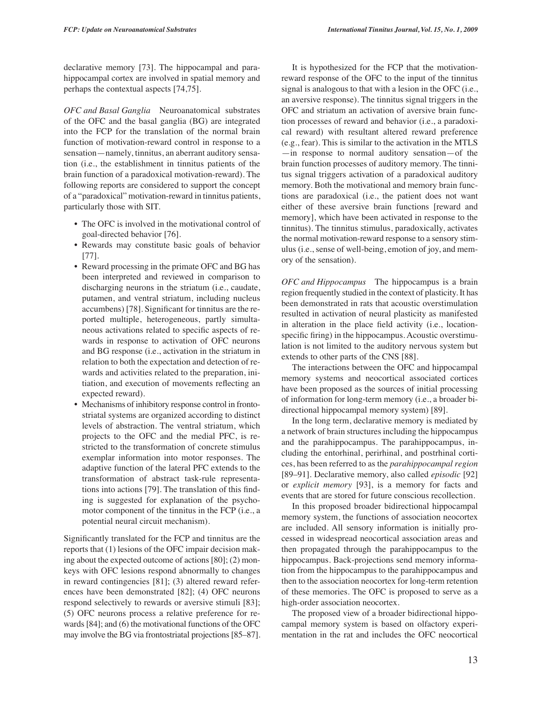declarative memory [73]. The hippocampal and parahippocampal cortex are involved in spatial memory and perhaps the contextual aspects [74,75].

*OFC and Basal Ganglia* Neuroanatomical substrates of the OFC and the basal ganglia (BG) are integrated into the FCP for the translation of the normal brain function of motivation-reward control in response to a sensation—namely, tinnitus, an aberrant auditory sensation (i.e., the establishment in tinnitus patients of the brain function of a paradoxical motivation-reward). The following reports are considered to support the concept of a "paradoxical" motivation-reward in tinnitus patients, particularly those with SIT.

- The OFC is involved in the motivational control of goal-directed behavior [76].
- Rewards may constitute basic goals of behavior [77].
- Reward processing in the primate OFC and BG has been interpreted and reviewed in comparison to discharging neurons in the striatum (i.e., caudate, putamen, and ventral striatum, including nucleus accumbens) [78]. Significant for tinnitus are the reported multiple, heterogeneous, partly simultaneous activations related to specific aspects of rewards in response to activation of OFC neurons and BG response (i.e., activation in the striatum in relation to both the expectation and detection of rewards and activities related to the preparation, initiation, and execution of movements reflecting an expected reward).
- Mechanisms of inhibitory response control in frontostriatal systems are organized according to distinct levels of abstraction. The ventral striatum, which projects to the OFC and the medial PFC, is restricted to the transformation of concrete stimulus exemplar information into motor responses. The adaptive function of the lateral PFC extends to the transformation of abstract task-rule representations into actions [79]. The translation of this finding is suggested for explanation of the psychomotor component of the tinnitus in the FCP (i.e., a potential neural circuit mechanism).

Significantly translated for the FCP and tinnitus are the reports that (1) lesions of the OFC impair decision making about the expected outcome of actions [80]; (2) monkeys with OFC lesions respond abnormally to changes in reward contingencies [81]; (3) altered reward references have been demonstrated [82]; (4) OFC neurons respond selectively to rewards or aversive stimuli [83]; (5) OFC neurons process a relative preference for rewards [84]; and (6) the motivational functions of the OFC may involve the BG via frontostriatal projections [85–87].

It is hypothesized for the FCP that the motivationreward response of the OFC to the input of the tinnitus signal is analogous to that with a lesion in the OFC (i.e., an aversive response). The tinnitus signal triggers in the OFC and striatum an activation of aversive brain function processes of reward and behavior (i.e., a paradoxical reward) with resultant altered reward preference (e.g., fear). This is similar to the activation in the MTLS —in response to normal auditory sensation—of the brain function processes of auditory memory. The tinnitus signal triggers activation of a paradoxical auditory memory. Both the motivational and memory brain functions are paradoxical (i.e., the patient does not want either of these aversive brain functions [reward and memory], which have been activated in response to the tinnitus). The tinnitus stimulus, paradoxically, activates the normal motivation-reward response to a sensory stimulus (i.e., sense of well-being, emotion of joy, and memory of the sensation).

*OFC and Hippocampus* The hippocampus is a brain region frequently studied in the context of plasticity. It has been demonstrated in rats that acoustic overstimulation resulted in activation of neural plasticity as manifested in alteration in the place field activity (i.e., locationspecific firing) in the hippocampus. Acoustic overstimulation is not limited to the auditory nervous system but extends to other parts of the CNS [88].

The interactions between the OFC and hippocampal memory systems and neocortical associated cortices have been proposed as the sources of initial processing of information for long-term memory (i.e., a broader bidirectional hippocampal memory system) [89].

In the long term, declarative memory is mediated by a network of brain structures including the hippocampus and the parahippocampus. The parahippocampus, including the entorhinal, perirhinal, and postrhinal cortices, has been referred to as the *parahippocampal region* [89–91]. Declarative memory, also called *episodic* [92] or *explicit memory* [93], is a memory for facts and events that are stored for future conscious recollection.

In this proposed broader bidirectional hippocampal memory system, the functions of association neocortex are included. All sensory information is initially processed in widespread neocortical association areas and then propagated through the parahippocampus to the hippocampus. Back-projections send memory information from the hippocampus to the parahippocampus and then to the association neocortex for long-term retention of these memories. The OFC is proposed to serve as a high-order association neocortex.

The proposed view of a broader bidirectional hippocampal memory system is based on olfactory experimentation in the rat and includes the OFC neocortical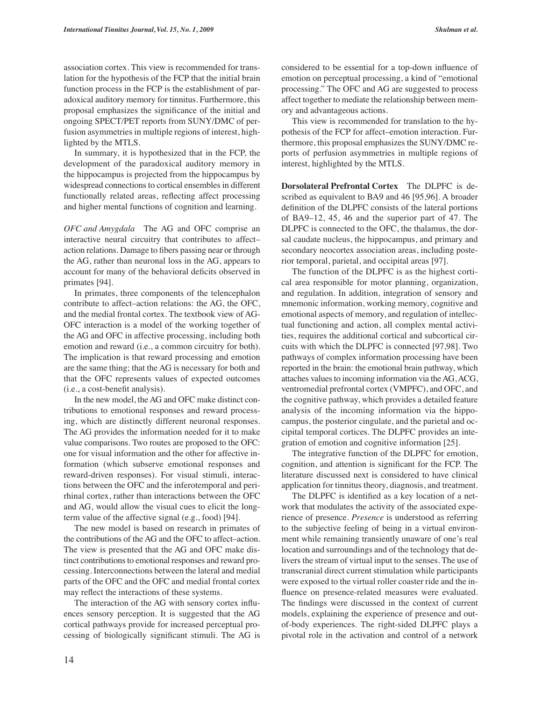association cortex. This view is recommended for translation for the hypothesis of the FCP that the initial brain function process in the FCP is the establishment of paradoxical auditory memory for tinnitus. Furthermore, this proposal emphasizes the significance of the initial and ongoing SPECT/PET reports from SUNY/DMC of perfusion asymmetries in multiple regions of interest, highlighted by the MTLS.

In summary, it is hypothesized that in the FCP, the development of the paradoxical auditory memory in the hippocampus is projected from the hippocampus by widespread connections to cortical ensembles in different functionally related areas, reflecting affect processing and higher mental functions of cognition and learning.

*OFC and Amygdala* The AG and OFC comprise an interactive neural circuitry that contributes to affect– action relations. Damage to fibers passing near or through the AG, rather than neuronal loss in the AG, appears to account for many of the behavioral deficits observed in primates [94].

In primates, three components of the telencephalon contribute to affect–action relations: the AG, the OFC, and the medial frontal cortex. The textbook view of AG-OFC interaction is a model of the working together of the AG and OFC in affective processing, including both emotion and reward (i.e., a common circuitry for both). The implication is that reward processing and emotion are the same thing; that the AG is necessary for both and that the OFC represents values of expected outcomes (i.e., a cost-benefit analysis).

In the new model, the AG and OFC make distinct contributions to emotional responses and reward processing, which are distinctly different neuronal responses. The AG provides the information needed for it to make value comparisons. Two routes are proposed to the OFC: one for visual information and the other for affective information (which subserve emotional responses and reward-driven responses). For visual stimuli, interactions between the OFC and the inferotemporal and perirhinal cortex, rather than interactions between the OFC and AG, would allow the visual cues to elicit the longterm value of the affective signal (e.g., food) [94].

The new model is based on research in primates of the contributions of the AG and the OFC to affect–action. The view is presented that the AG and OFC make distinct contributions to emotional responses and reward processing. Interconnections between the lateral and medial parts of the OFC and the OFC and medial frontal cortex may reflect the interactions of these systems.

The interaction of the AG with sensory cortex influences sensory perception. It is suggested that the AG cortical pathways provide for increased perceptual processing of biologically significant stimuli. The AG is considered to be essential for a top-down influence of emotion on perceptual processing, a kind of "emotional processing." The OFC and AG are suggested to process affect together to mediate the relationship between memory and advantageous actions.

This view is recommended for translation to the hypothesis of the FCP for affect–emotion interaction. Furthermore, this proposal emphasizes the SUNY/DMC reports of perfusion asymmetries in multiple regions of interest, highlighted by the MTLS.

**Dorsolateral Prefrontal Cortex** The DLPFC is described as equivalent to BA9 and 46 [95,96]. A broader definition of the DLPFC consists of the lateral portions of BA9–12, 45, 46 and the superior part of 47. The DLPFC is connected to the OFC, the thalamus, the dorsal caudate nucleus, the hippocampus, and primary and secondary neocortex association areas, including posterior temporal, parietal, and occipital areas [97].

The function of the DLPFC is as the highest cortical area responsible for motor planning, organization, and regulation. In addition, integration of sensory and mnemonic information, working memory, cognitive and emotional aspects of memory, and regulation of intellectual functioning and action, all complex mental activities, requires the additional cortical and subcortical circuits with which the DLPFC is connected [97,98]. Two pathways of complex information processing have been reported in the brain: the emotional brain pathway, which attaches values to incoming information via the AG, ACG, ventromedial prefrontal cortex (VMPFC), and OFC, and the cognitive pathway, which provides a detailed feature analysis of the incoming information via the hippocampus, the posterior cingulate, and the parietal and occipital temporal cortices. The DLPFC provides an integration of emotion and cognitive information [25].

The integrative function of the DLPFC for emotion, cognition, and attention is significant for the FCP. The literature discussed next is considered to have clinical application for tinnitus theory, diagnosis, and treatment.

The DLPFC is identified as a key location of a network that modulates the activity of the associated experience of presence. *Presence* is understood as referring to the subjective feeling of being in a virtual environment while remaining transiently unaware of one's real location and surroundings and of the technology that delivers the stream of virtual input to the senses. The use of transcranial direct current stimulation while participants were exposed to the virtual roller coaster ride and the influence on presence-related measures were evaluated. The findings were discussed in the context of current models, explaining the experience of presence and outof-body experiences. The right-sided DLPFC plays a pivotal role in the activation and control of a network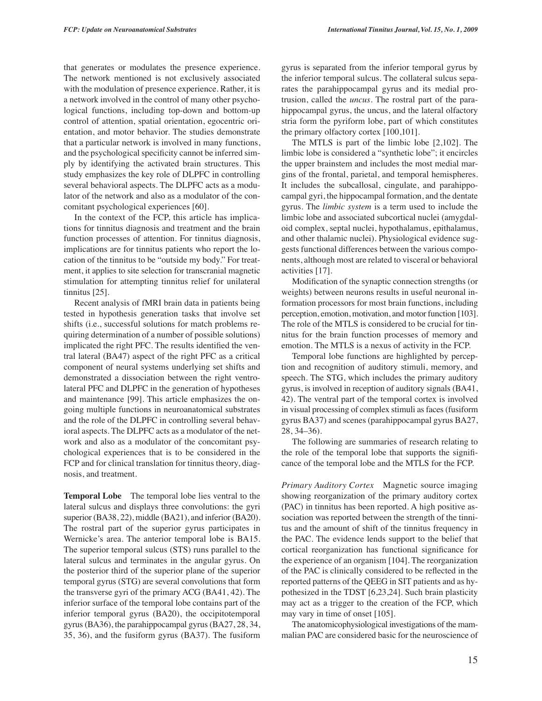that generates or modulates the presence experience. The network mentioned is not exclusively associated with the modulation of presence experience. Rather, it is a network involved in the control of many other psychological functions, including top-down and bottom-up control of attention, spatial orientation, egocentric orientation, and motor behavior. The studies demonstrate that a particular network is involved in many functions, and the psychological specificity cannot be inferred simply by identifying the activated brain structures. This study emphasizes the key role of DLPFC in controlling several behavioral aspects. The DLPFC acts as a modulator of the network and also as a modulator of the concomitant psychological experiences [60].

In the context of the FCP, this article has implications for tinnitus diagnosis and treatment and the brain function processes of attention. For tinnitus diagnosis, implications are for tinnitus patients who report the location of the tinnitus to be "outside my body." For treatment, it applies to site selection for transcranial magnetic stimulation for attempting tinnitus relief for unilateral tinnitus [25].

Recent analysis of fMRI brain data in patients being tested in hypothesis generation tasks that involve set shifts (i.e., successful solutions for match problems requiring determination of a number of possible solutions) implicated the right PFC. The results identified the ventral lateral (BA47) aspect of the right PFC as a critical component of neural systems underlying set shifts and demonstrated a dissociation between the right ventrolateral PFC and DLPFC in the generation of hypotheses and maintenance [99]. This article emphasizes the ongoing multiple functions in neuroanatomical substrates and the role of the DLPFC in controlling several behavioral aspects. The DLPFC acts as a modulator of the network and also as a modulator of the concomitant psychological experiences that is to be considered in the FCP and for clinical translation for tinnitus theory, diagnosis, and treatment.

**Temporal Lobe** The temporal lobe lies ventral to the lateral sulcus and displays three convolutions: the gyri superior (BA38, 22), middle (BA21), and inferior (BA20). The rostral part of the superior gyrus participates in Wernicke's area. The anterior temporal lobe is BA15. The superior temporal sulcus (STS) runs parallel to the lateral sulcus and terminates in the angular gyrus. On the posterior third of the superior plane of the superior temporal gyrus (STG) are several convolutions that form the transverse gyri of the primary ACG (BA41, 42). The inferior surface of the temporal lobe contains part of the inferior temporal gyrus (BA20), the occipitotemporal gyrus (BA36), the parahippocampal gyrus (BA27, 28, 34, 35, 36), and the fusiform gyrus (BA37). The fusiform

gyrus is separated from the inferior temporal gyrus by the inferior temporal sulcus. The collateral sulcus separates the parahippocampal gyrus and its medial protrusion, called the *uncus.* The rostral part of the parahippocampal gyrus, the uncus, and the lateral olfactory stria form the pyriform lobe, part of which constitutes the primary olfactory cortex [100,101].

The MTLS is part of the limbic lobe [2,102]. The limbic lobe is considered a "synthetic lobe"; it encircles the upper brainstem and includes the most medial margins of the frontal, parietal, and temporal hemispheres. It includes the subcallosal, cingulate, and parahippocampal gyri, the hippocampal formation, and the dentate gyrus. The *limbic system* is a term used to include the limbic lobe and associated subcortical nuclei (amygdaloid complex, septal nuclei, hypothalamus, epithalamus, and other thalamic nuclei). Physiological evidence suggests functional differences between the various components, although most are related to visceral or behavioral activities [17].

Modification of the synaptic connection strengths (or weights) between neurons results in useful neuronal information processors for most brain functions, including perception, emotion, motivation, and motor function [103]. The role of the MTLS is considered to be crucial for tinnitus for the brain function processes of memory and emotion. The MTLS is a nexus of activity in the FCP.

Temporal lobe functions are highlighted by perception and recognition of auditory stimuli, memory, and speech. The STG, which includes the primary auditory gyrus, is involved in reception of auditory signals (BA41, 42). The ventral part of the temporal cortex is involved in visual processing of complex stimuli as faces (fusiform gyrus BA37) and scenes (parahippocampal gyrus BA27, 28, 34–36).

The following are summaries of research relating to the role of the temporal lobe that supports the significance of the temporal lobe and the MTLS for the FCP.

*Primary Auditory Cortex* Magnetic source imaging showing reorganization of the primary auditory cortex (PAC) in tinnitus has been reported. A high positive association was reported between the strength of the tinnitus and the amount of shift of the tinnitus frequency in the PAC. The evidence lends support to the belief that cortical reorganization has functional significance for the experience of an organism [104]. The reorganization of the PAC is clinically considered to be reflected in the reported patterns of the QEEG in SIT patients and as hypothesized in the TDST [6,23,24]. Such brain plasticity may act as a trigger to the creation of the FCP, which may vary in time of onset [105].

The anatomicophysiological investigations of the mammalian PAC are considered basic for the neuroscience of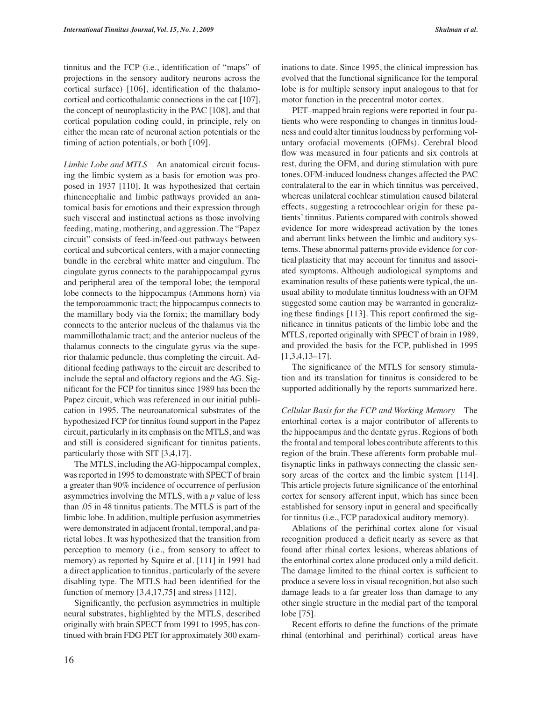tinnitus and the FCP (i.e., identification of "maps" of projections in the sensory auditory neurons across the cortical surface) [106], identification of the thalamocortical and corticothalamic connections in the cat [107], the concept of neuroplasticity in the PAC [108], and that cortical population coding could, in principle, rely on either the mean rate of neuronal action potentials or the timing of action potentials, or both [109].

*Limbic Lobe and MTLS* An anatomical circuit focusing the limbic system as a basis for emotion was proposed in 1937 [110]. It was hypothesized that certain rhinencephalic and limbic pathways provided an anatomical basis for emotions and their expression through such visceral and instinctual actions as those involving feeding, mating, mothering, and aggression. The "Papez circuit" consists of feed-in/feed-out pathways between cortical and subcortical centers, with a major connecting bundle in the cerebral white matter and cingulum. The cingulate gyrus connects to the parahippocampal gyrus and peripheral area of the temporal lobe; the temporal lobe connects to the hippocampus (Ammons horn) via the temporoammonic tract; the hippocampus connects to the mamillary body via the fornix; the mamillary body connects to the anterior nucleus of the thalamus via the mammillothalamic tract; and the anterior nucleus of the thalamus connects to the cingulate gyrus via the superior thalamic peduncle, thus completing the circuit. Additional feeding pathways to the circuit are described to include the septal and olfactory regions and the AG. Significant for the FCP for tinnitus since 1989 has been the Papez circuit, which was referenced in our initial publication in 1995. The neuroanatomical substrates of the hypothesized FCP for tinnitus found support in the Papez circuit, particularly in its emphasis on the MTLS, and was and still is considered significant for tinnitus patients, particularly those with SIT [3,4,17].

The MTLS, including the AG-hippocampal complex, was reported in 1995 to demonstrate with SPECT of brain a greater than 90% incidence of occurrence of perfusion asymmetries involving the MTLS, with a *p* value of less than .05 in 48 tinnitus patients. The MTLS is part of the limbic lobe. In addition, multiple perfusion asymmetries were demonstrated in adjacent frontal, temporal, and parietal lobes. It was hypothesized that the transition from perception to memory (i.e., from sensory to affect to memory) as reported by Squire et al. [111] in 1991 had a direct application to tinnitus, particularly of the severe disabling type. The MTLS had been identified for the function of memory [3,4,17,75] and stress [112].

Significantly, the perfusion asymmetries in multiple neural substrates, highlighted by the MTLS, described originally with brain SPECT from 1991 to 1995, has continued with brain FDG PET for approximately 300 exam-

inations to date. Since 1995, the clinical impression has evolved that the functional significance for the temporal lobe is for multiple sensory input analogous to that for motor function in the precentral motor cortex.

PET–mapped brain regions were reported in four patients who were responding to changes in tinnitusloudness and could alter tinnitus loudnessby performing voluntary orofacial movements (OFMs). Cerebral blood flow was measured in four patients and six controls at rest, during the OFM, and during stimulation with pure tones.OFM-induced loudness changes affected the PAC contralateral to the ear in which tinnitus was perceived, whereas unilateral cochlear stimulation caused bilateral effects, suggesting a retrocochlear origin for these patients' tinnitus. Patients compared with controls showed evidence for more widespread activation by the tones and aberrant links between the limbic and auditory systems. These abnormal patterns provide evidence for cortical plasticity that may account for tinnitus and associated symptoms. Although audiological symptoms and examination results of these patientswere typical, the unusual ability to modulate tinnitus loudnesswith an OFM suggested some caution may be warranted in generalizing these findings [113]. This report confirmed the significance in tinnitus patients of the limbic lobe and the MTLS, reported originally with SPECT of brain in 1989, and provided the basis for the FCP, published in 1995 [1,3,4,13–17].

The significance of the MTLS for sensory stimulation and its translation for tinnitus is considered to be supported additionally by the reports summarized here.

*Cellular Basis for the FCP and Working Memory* The entorhinal cortex is a major contributor of afferents to the hippocampus and the dentate gyrus. Regions of both the frontal and temporal lobes contribute afferents to this region of the brain. These afferents form probable multisynaptic links in pathways connecting the classic sensory areas of the cortex and the limbic system [114]. This article projects future significance of the entorhinal cortex for sensory afferent input, which has since been established for sensory input in general and specifically for tinnitus (i.e., FCP paradoxical auditory memory).

Ablations of the perirhinal cortex alone for visual recognition produced a deficit nearly as severe as that found after rhinal cortex lesions, whereas ablations of the entorhinal cortex alone produced only a mild deficit. The damage limited to the rhinal cortex is sufficient to produce a severe loss in visual recognition, but also such damage leads to a far greater loss than damage to any other single structure in the medial part of the temporal lobe [75].

Recent efforts to define the functions of the primate rhinal (entorhinal and perirhinal) cortical areas have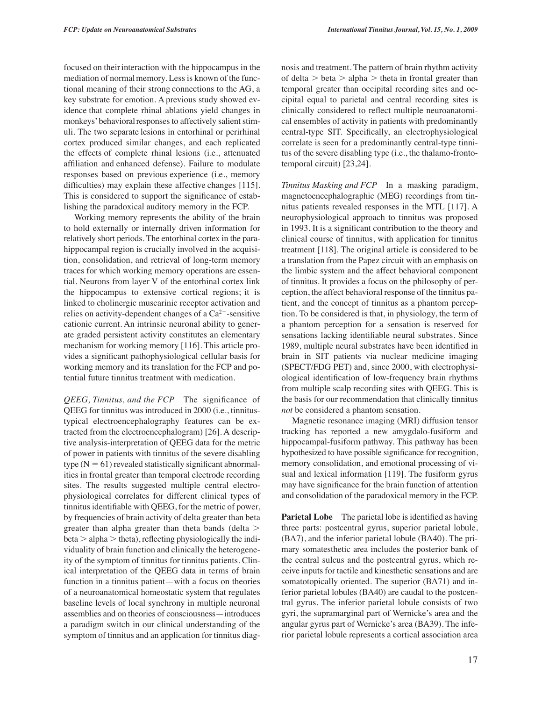focused on their interaction with the hippocampus in the mediation of normal memory. Less is known of the functional meaning of their strong connections to the AG, a key substrate for emotion. A previous study showed evidence that complete rhinal ablations yield changes in monkeys' behavioral responses to affectively salient stimuli. The two separate lesions in entorhinal or perirhinal cortex produced similar changes, and each replicated the effects of complete rhinal lesions (i.e., attenuated affiliation and enhanced defense). Failure to modulate responses based on previous experience (i.e., memory difficulties) may explain these affective changes [115]. This is considered to support the significance of establishing the paradoxical auditory memory in the FCP.

Working memory represents the ability of the brain to hold externally or internally driven information for relatively short periods. The entorhinal cortex in the parahippocampal region is crucially involved in the acquisition, consolidation, and retrieval of long-term memory traces for which working memory operations are essential. Neurons from layer V of the entorhinal cortex link the hippocampus to extensive cortical regions; it is linked to cholinergic muscarinic receptor activation and relies on activity-dependent changes of a  $Ca^{2+}$ -sensitive cationic current. An intrinsic neuronal ability to generate graded persistent activity constitutes an elementary mechanism for working memory [116]. This article provides a significant pathophysiological cellular basis for working memory and its translation for the FCP and potential future tinnitus treatment with medication.

*QEEG, Tinnitus, and the FCP* The significance of QEEG for tinnitus was introduced in 2000 (i.e., tinnitustypical electroencephalography features can be extracted from the electroencephalogram) [26]. A descriptive analysis-interpretation of QEEG data for the metric of power in patients with tinnitus of the severe disabling  $type (N = 61)$  revealed statistically significant abnormalities in frontal greater than temporal electrode recording sites. The results suggested multiple central electrophysiological correlates for different clinical types of tinnitus identifiable with QEEG, for the metric of power, by frequencies of brain activity of delta greater than beta greater than alpha greater than theta bands (delta  $beta > alpha$  theta), reflecting physiologically the individuality of brain function and clinically the heterogeneity of the symptom of tinnitus for tinnitus patients. Clinical interpretation of the QEEG data in terms of brain function in a tinnitus patient—with a focus on theories of a neuroanatomical homeostatic system that regulates baseline levels of local synchrony in multiple neuronal assemblies and on theories of consciousness—introduces a paradigm switch in our clinical understanding of the symptom of tinnitus and an application for tinnitus diagnosis and treatment. The pattern of brain rhythm activity of delta  $>$  beta  $>$  alpha  $>$  theta in frontal greater than temporal greater than occipital recording sites and occipital equal to parietal and central recording sites is clinically considered to reflect multiple neuroanatomical ensembles of activity in patients with predominantly central-type SIT. Specifically, an electrophysiological correlate is seen for a predominantly central-type tinnitus of the severe disabling type (i.e., the thalamo-frontotemporal circuit) [23,24].

*Tinnitus Masking and FCP* In a masking paradigm, magnetoencephalographic (MEG) recordings from tinnitus patients revealed responses in the MTL [117]. A neurophysiological approach to tinnitus was proposed in 1993. It is a significant contribution to the theory and clinical course of tinnitus, with application for tinnitus treatment [118]. The original article is considered to be a translation from the Papez circuit with an emphasis on the limbic system and the affect behavioral component of tinnitus. It provides a focus on the philosophy of perception, the affect behavioral response of the tinnitus patient, and the concept of tinnitus as a phantom perception. To be considered is that, in physiology, the term of a phantom perception for a sensation is reserved for sensations lacking identifiable neural substrates. Since 1989, multiple neural substrates have been identified in brain in SIT patients via nuclear medicine imaging (SPECT/FDG PET) and, since 2000, with electrophysiological identification of low-frequency brain rhythms from multiple scalp recording sites with QEEG. This is the basis for our recommendation that clinically tinnitus *not* be considered a phantom sensation.

Magnetic resonance imaging (MRI) diffusion tensor tracking has reported a new amygdalo-fusiform and hippocampal-fusiform pathway. This pathway has been hypothesized to have possible significance for recognition, memory consolidation, and emotional processing of visual and lexical information [119]. The fusiform gyrus may have significance for the brain function of attention and consolidation of the paradoxical memory in the FCP.

**Parietal Lobe** The parietal lobe is identified as having three parts: postcentral gyrus, superior parietal lobule, (BA7), and the inferior parietal lobule (BA40). The primary somatesthetic area includes the posterior bank of the central sulcus and the postcentral gyrus, which receive inputs for tactile and kinesthetic sensations and are somatotopically oriented. The superior (BA71) and inferior parietal lobules (BA40) are caudal to the postcentral gyrus. The inferior parietal lobule consists of two gyri, the supramarginal part of Wernicke's area and the angular gyrus part of Wernicke's area (BA39). The inferior parietal lobule represents a cortical association area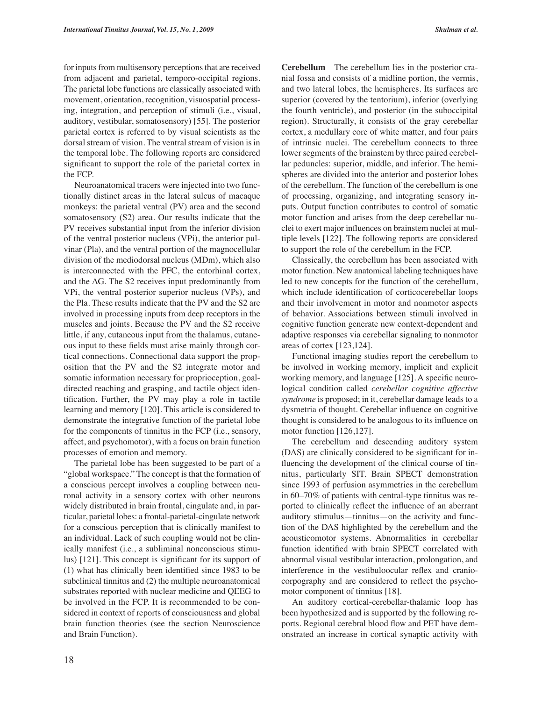movement, orientation, recognition, visuospatial processing, integration, and perception of stimuli (i.e., visual, auditory, vestibular, somatosensory) [55]. The posterior parietal cortex is referred to by visual scientists as the dorsal stream of vision. The ventral stream of vision is in the temporal lobe. The following reports are considered significant to support the role of the parietal cortex in the FCP.

Neuroanatomical tracers were injected into two functionally distinct areas in the lateral sulcus of macaque monkeys: the parietal ventral (PV) area and the second somatosensory (S2) area. Our results indicate that the PV receives substantial input from the inferior division of the ventral posterior nucleus (VPi), the anterior pulvinar (Pla), and the ventral portion of the magnocellular division of the mediodorsal nucleus (MDm), which also is interconnected with the PFC, the entorhinal cortex, and the AG. The S2 receives input predominantly from VPi, the ventral posterior superior nucleus (VPs), and the Pla. These results indicate that the PV and the S2 are involved in processing inputs from deep receptors in the muscles and joints. Because the PV and the S2 receive little, if any, cutaneous input from the thalamus, cutaneous input to these fields must arise mainly through cortical connections. Connectional data support the proposition that the PV and the S2 integrate motor and somatic information necessary for proprioception, goaldirected reaching and grasping, and tactile object identification. Further, the PV may play a role in tactile learning and memory [120]. This article is considered to demonstrate the integrative function of the parietal lobe for the components of tinnitus in the FCP (i.e., sensory, affect, and psychomotor), with a focus on brain function processes of emotion and memory.

The parietal lobe has been suggested to be part of a "global workspace." The concept is that the formation of a conscious percept involves a coupling between neuronal activity in a sensory cortex with other neurons widely distributed in brain frontal, cingulate and, in particular, parietal lobes: a frontal-parietal-cingulate network for a conscious perception that is clinically manifest to an individual. Lack of such coupling would not be clinically manifest (i.e., a subliminal nonconscious stimulus) [121]. This concept is significant for its support of (1) what has clinically been identified since 1983 to be subclinical tinnitus and (2) the multiple neuroanatomical substrates reported with nuclear medicine and QEEG to be involved in the FCP. It is recommended to be considered in context of reports of consciousness and global brain function theories (see the section Neuroscience and Brain Function).

**Cerebellum** The cerebellum lies in the posterior cranial fossa and consists of a midline portion, the vermis, and two lateral lobes, the hemispheres. Its surfaces are superior (covered by the tentorium), inferior (overlying the fourth ventricle), and posterior (in the suboccipital region). Structurally, it consists of the gray cerebellar cortex, a medullary core of white matter, and four pairs of intrinsic nuclei. The cerebellum connects to three lower segments of the brainstem by three paired cerebellar peduncles: superior, middle, and inferior. The hemispheres are divided into the anterior and posterior lobes of the cerebellum. The function of the cerebellum is one of processing, organizing, and integrating sensory inputs. Output function contributes to control of somatic motor function and arises from the deep cerebellar nuclei to exert major influences on brainstem nuclei at multiple levels [122]. The following reports are considered to support the role of the cerebellum in the FCP.

Classically, the cerebellum has been associated with motor function. New anatomical labeling techniques have led to new concepts for the function of the cerebellum, which include identification of corticocerebellar loops and their involvement in motor and nonmotor aspects of behavior. Associations between stimuli involved in cognitive function generate new context-dependent and adaptive responses via cerebellar signaling to nonmotor areas of cortex [123,124].

Functional imaging studies report the cerebellum to be involved in working memory, implicit and explicit working memory, and language [125]. A specific neurological condition called *cerebellar cognitive affective syndrome* is proposed; in it, cerebellar damage leads to a dysmetria of thought. Cerebellar influence on cognitive thought is considered to be analogous to its influence on motor function [126,127].

The cerebellum and descending auditory system (DAS) are clinically considered to be significant for influencing the development of the clinical course of tinnitus, particularly SIT. Brain SPECT demonstration since 1993 of perfusion asymmetries in the cerebellum in 60–70% of patients with central-type tinnitus was reported to clinically reflect the influence of an aberrant auditory stimulus—tinnitus—on the activity and function of the DAS highlighted by the cerebellum and the acousticomotor systems. Abnormalities in cerebellar function identified with brain SPECT correlated with abnormal visual vestibular interaction, prolongation, and interference in the vestibuloocular reflex and craniocorpography and are considered to reflect the psychomotor component of tinnitus [18].

An auditory cortical-cerebellar-thalamic loop has been hypothesized and is supported by the following reports. Regional cerebral blood flow and PET have demonstrated an increase in cortical synaptic activity with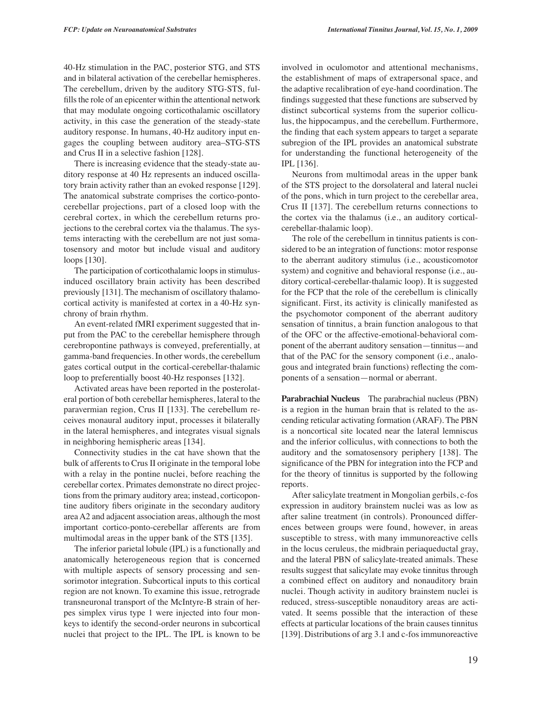40-Hz stimulation in the PAC, posterior STG, and STS and in bilateral activation of the cerebellar hemispheres. The cerebellum, driven by the auditory STG-STS, fulfills the role of an epicenter within the attentional network that may modulate ongoing corticothalamic oscillatory activity, in this case the generation of the steady-state auditory response. In humans, 40-Hz auditory input engages the coupling between auditory area–STG-STS and Crus II in a selective fashion [128].

There is increasing evidence that the steady-state auditory response at 40 Hz represents an induced oscillatory brain activity rather than an evoked response [129]. The anatomical substrate comprises the cortico-pontocerebellar projections, part of a closed loop with the cerebral cortex, in which the cerebellum returns projections to the cerebral cortex via the thalamus. The systems interacting with the cerebellum are not just somatosensory and motor but include visual and auditory loops [130].

The participation of corticothalamic loops in stimulusinduced oscillatory brain activity has been described previously [131]. The mechanism of oscillatory thalamocortical activity is manifested at cortex in a 40-Hz synchrony of brain rhythm.

An event-related fMRI experiment suggested that input from the PAC to the cerebellar hemisphere through cerebropontine pathways is conveyed, preferentially, at gamma-band frequencies. In other words, the cerebellum gates cortical output in the cortical-cerebellar-thalamic loop to preferentially boost 40-Hz responses [132].

Activated areas have been reported in the posterolateral portion of both cerebellar hemispheres, lateral to the paravermian region, Crus II [133]. The cerebellum receives monaural auditory input, processes it bilaterally in the lateral hemispheres, and integrates visual signals in neighboring hemispheric areas [134].

Connectivity studies in the cat have shown that the bulk of afferents to Crus II originate in the temporal lobe with a relay in the pontine nuclei, before reaching the cerebellar cortex. Primates demonstrate no direct projections from the primary auditory area; instead, corticopontine auditory fibers originate in the secondary auditory area A2 and adjacent association areas, although the most important cortico-ponto-cerebellar afferents are from multimodal areas in the upper bank of the STS [135].

The inferior parietal lobule (IPL) is a functionally and anatomically heterogeneous region that is concerned with multiple aspects of sensory processing and sensorimotor integration. Subcortical inputs to this cortical region are not known. To examine this issue, retrograde transneuronal transport of the McIntyre-B strain of herpes simplex virus type 1 were injected into four monkeys to identify the second-order neurons in subcortical nuclei that project to the IPL. The IPL is known to be involved in oculomotor and attentional mechanisms, the establishment of maps of extrapersonal space, and the adaptive recalibration of eye-hand coordination. The findings suggested that these functions are subserved by distinct subcortical systems from the superior colliculus, the hippocampus, and the cerebellum. Furthermore, the finding that each system appears to target a separate subregion of the IPL provides an anatomical substrate for understanding the functional heterogeneity of the IPL [136].

Neurons from multimodal areas in the upper bank of the STS project to the dorsolateral and lateral nuclei of the pons, which in turn project to the cerebellar area, Crus II [137]. The cerebellum returns connections to the cortex via the thalamus (i.e., an auditory corticalcerebellar-thalamic loop).

The role of the cerebellum in tinnitus patients is considered to be an integration of functions: motor response to the aberrant auditory stimulus (i.e., acousticomotor system) and cognitive and behavioral response (i.e., auditory cortical-cerebellar-thalamic loop). It is suggested for the FCP that the role of the cerebellum is clinically significant. First, its activity is clinically manifested as the psychomotor component of the aberrant auditory sensation of tinnitus, a brain function analogous to that of the OFC or the affective-emotional-behavioral component of the aberrant auditory sensation—tinnitus—and that of the PAC for the sensory component (i.e., analogous and integrated brain functions) reflecting the components of a sensation—normal or aberrant.

**Parabrachial Nucleus** The parabrachial nucleus (PBN) is a region in the human brain that is related to the ascending reticular activating formation (ARAF). The PBN is a noncortical site located near the lateral lemniscus and the inferior colliculus, with connections to both the auditory and the somatosensory periphery [138]. The significance of the PBN for integration into the FCP and for the theory of tinnitus is supported by the following reports.

After salicylate treatment in Mongolian gerbils, c-fos expression in auditory brainstem nuclei was as low as after saline treatment (in controls). Pronounced differences between groups were found, however, in areas susceptible to stress, with many immunoreactive cells in the locus ceruleus, the midbrain periaqueductal gray, and the lateral PBN of salicylate-treated animals. These results suggest that salicylate may evoke tinnitus through a combined effect on auditory and nonauditory brain nuclei. Though activity in auditory brainstem nuclei is reduced, stress-susceptible nonauditory areas are activated. It seems possible that the interaction of these effects at particular locations of the brain causes tinnitus [139]. Distributions of arg 3.1 and c-fos immunoreactive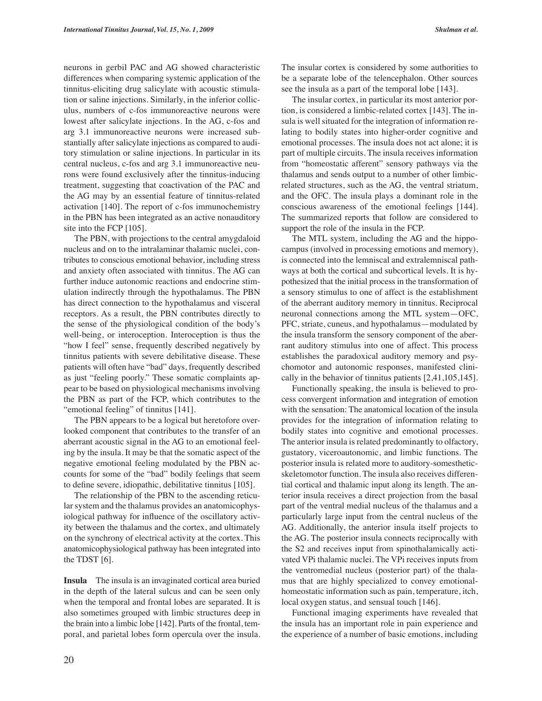neurons in gerbil PAC and AG showed characteristic differences when comparing systemic application of the tinnitus-eliciting drug salicylate with acoustic stimulation or saline injections. Similarly, in the inferior colliculus, numbers of c-fos immunoreactive neurons were lowest after salicylate injections. In the AG, c-fos and arg 3.1 immunoreactive neurons were increased substantially after salicylate injections as compared to auditory stimulation or saline injections. In particular in its central nucleus, c-fos and arg 3.1 immunoreactive neurons were found exclusively after the tinnitus-inducing treatment, suggesting that coactivation of the PAC and the AG may by an essential feature of tinnitus-related activation [140]. The report of c-fos immunochemistry in the PBN has been integrated as an active nonauditory site into the FCP [105].

The PBN, with projections to the central amygdaloid nucleus and on to the intralaminar thalamic nuclei, contributes to conscious emotional behavior, including stress and anxiety often associated with tinnitus. The AG can further induce autonomic reactions and endocrine stimulation indirectly through the hypothalamus. The PBN has direct connection to the hypothalamus and visceral receptors. As a result, the PBN contributes directly to the sense of the physiological condition of the body's well-being, or interoception. Interoception is thus the "how I feel" sense, frequently described negatively by tinnitus patients with severe debilitative disease. These patients will often have "bad" days, frequently described as just "feeling poorly." These somatic complaints appear to be based on physiological mechanisms involving the PBN as part of the FCP, which contributes to the "emotional feeling" of tinnitus [141].

The PBN appears to be a logical but heretofore overlooked component that contributes to the transfer of an aberrant acoustic signal in the AG to an emotional feeling by the insula. It may be that the somatic aspect of the negative emotional feeling modulated by the PBN accounts for some of the "bad" bodily feelings that seem to define severe, idiopathic, debilitative tinnitus [105].

The relationship of the PBN to the ascending reticular system and the thalamus provides an anatomicophysiological pathway for influence of the oscillatory activity between the thalamus and the cortex, and ultimately on the synchrony of electrical activity at the cortex. This anatomicophysiological pathway has been integrated into the TDST [6].

**Insula** The insula is an invaginated cortical area buried in the depth of the lateral sulcus and can be seen only when the temporal and frontal lobes are separated. It is also sometimes grouped with limbic structures deep in the brain into a limbic lobe [142]. Parts of the frontal, temporal, and parietal lobes form opercula over the insula. The insular cortex is considered by some authorities to be a separate lobe of the telencephalon. Other sources see the insula as a part of the temporal lobe [143].

The insular cortex, in particular its most anterior portion, is considered a limbic-related cortex [143]. The insula is well situated for the integration of information relating to bodily states into higher-order cognitive and emotional processes. The insula does not act alone; it is part of multiple circuits. The insula receives information from "homeostatic afferent" sensory pathways via the thalamus and sends output to a number of other limbicrelated structures, such as the AG, the ventral striatum, and the OFC. The insula plays a dominant role in the conscious awareness of the emotional feelings [144]. The summarized reports that follow are considered to support the role of the insula in the FCP.

The MTL system, including the AG and the hippocampus (involved in processing emotions and memory), is connected into the lemniscal and extralemniscal pathways at both the cortical and subcortical levels. It is hypothesized that the initial process in the transformation of a sensory stimulus to one of affect is the establishment of the aberrant auditory memory in tinnitus. Reciprocal neuronal connections among the MTL system—OFC, PFC, striate, cuneus, and hypothalamus—modulated by the insula transform the sensory component of the aberrant auditory stimulus into one of affect. This process establishes the paradoxical auditory memory and psychomotor and autonomic responses, manifested clinically in the behavior of tinnitus patients [2,41,105,145].

Functionally speaking, the insula is believed to process convergent information and integration of emotion with the sensation: The anatomical location of the insula provides for the integration of information relating to bodily states into cognitive and emotional processes. The anterior insula is related predominantly to olfactory, gustatory, viceroautonomic, and limbic functions. The posterior insula is related more to auditory-somestheticskeletomotor function. The insula also receives differential cortical and thalamic input along its length. The anterior insula receives a direct projection from the basal part of the ventral medial nucleus of the thalamus and a particularly large input from the central nucleus of the AG. Additionally, the anterior insula itself projects to the AG. The posterior insula connects reciprocally with the S2 and receives input from spinothalamically activated VPi thalamic nuclei. The VPi receives inputs from the ventromedial nucleus (posterior part) of the thalamus that are highly specialized to convey emotionalhomeostatic information such as pain, temperature, itch, local oxygen status, and sensual touch [146].

Functional imaging experiments have revealed that the insula has an important role in pain experience and the experience of a number of basic emotions, including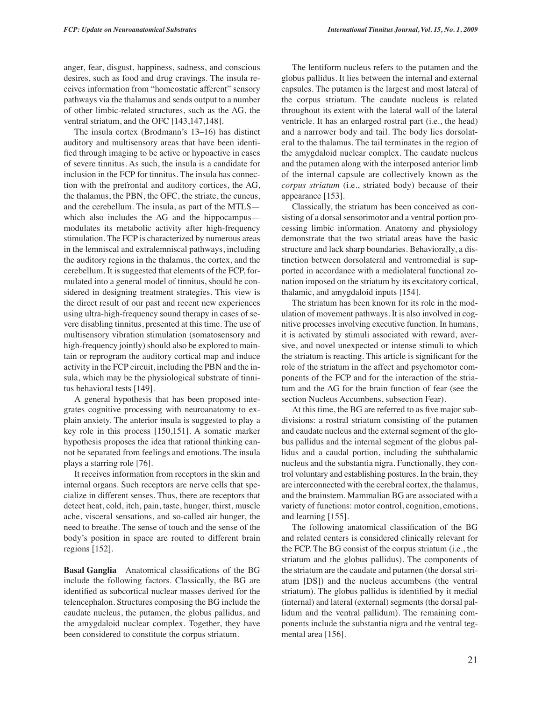anger, fear, disgust, happiness, sadness, and conscious desires, such as food and drug cravings. The insula receives information from "homeostatic afferent" sensory pathways via the thalamus and sends output to a number of other limbic-related structures, such as the AG, the ventral striatum, and the OFC [143,147,148].

The insula cortex (Brodmann's 13–16) has distinct auditory and multisensory areas that have been identified through imaging to be active or hypoactive in cases of severe tinnitus. As such, the insula is a candidate for inclusion in the FCP for tinnitus. The insula has connection with the prefrontal and auditory cortices, the AG, the thalamus, the PBN, the OFC, the striate, the cuneus, and the cerebellum. The insula, as part of the MTLS which also includes the AG and the hippocampus modulates its metabolic activity after high-frequency stimulation. The FCP is characterized by numerous areas in the lemniscal and extralemniscal pathways, including the auditory regions in the thalamus, the cortex, and the cerebellum. It is suggested that elements of the FCP, formulated into a general model of tinnitus, should be considered in designing treatment strategies. This view is the direct result of our past and recent new experiences using ultra-high-frequency sound therapy in cases of severe disabling tinnitus, presented at this time. The use of multisensory vibration stimulation (somatosensory and high-frequency jointly) should also be explored to maintain or reprogram the auditory cortical map and induce activity in the FCP circuit, including the PBN and the insula, which may be the physiological substrate of tinnitus behavioral tests [149].

A general hypothesis that has been proposed integrates cognitive processing with neuroanatomy to explain anxiety. The anterior insula is suggested to play a key role in this process [150,151]. A somatic marker hypothesis proposes the idea that rational thinking cannot be separated from feelings and emotions. The insula plays a starring role [76].

It receives information from receptors in the skin and internal organs. Such receptors are nerve cells that specialize in different senses. Thus, there are receptors that detect heat, cold, itch, pain, taste, hunger, thirst, muscle ache, visceral sensations, and so-called air hunger, the need to breathe. The sense of touch and the sense of the body's position in space are routed to different brain regions [152].

**Basal Ganglia** Anatomical classifications of the BG include the following factors. Classically, the BG are identified as subcortical nuclear masses derived for the telencephalon. Structures composing the BG include the caudate nucleus, the putamen, the globus pallidus, and the amygdaloid nuclear complex. Together, they have been considered to constitute the corpus striatum.

The lentiform nucleus refers to the putamen and the globus pallidus. It lies between the internal and external capsules. The putamen is the largest and most lateral of the corpus striatum. The caudate nucleus is related throughout its extent with the lateral wall of the lateral ventricle. It has an enlarged rostral part (i.e., the head) and a narrower body and tail. The body lies dorsolateral to the thalamus. The tail terminates in the region of the amygdaloid nuclear complex. The caudate nucleus and the putamen along with the interposed anterior limb of the internal capsule are collectively known as the *corpus striatum* (i.e., striated body) because of their appearance [153].

Classically, the striatum has been conceived as consisting of a dorsal sensorimotor and a ventral portion processing limbic information. Anatomy and physiology demonstrate that the two striatal areas have the basic structure and lack sharp boundaries. Behaviorally, a distinction between dorsolateral and ventromedial is supported in accordance with a mediolateral functional zonation imposed on the striatum by its excitatory cortical, thalamic, and amygdaloid inputs [154].

The striatum has been known for its role in the modulation of movement pathways. It is also involved in cognitive processes involving executive function. In humans, it is activated by stimuli associated with reward, aversive, and novel unexpected or intense stimuli to which the striatum is reacting. This article is significant for the role of the striatum in the affect and psychomotor components of the FCP and for the interaction of the striatum and the AG for the brain function of fear (see the section Nucleus Accumbens, subsection Fear).

At this time, the BG are referred to as five major subdivisions: a rostral striatum consisting of the putamen and caudate nucleus and the external segment of the globus pallidus and the internal segment of the globus pallidus and a caudal portion, including the subthalamic nucleus and the substantia nigra. Functionally, they control voluntary and establishing postures. In the brain, they are interconnected with the cerebral cortex, the thalamus, and the brainstem. Mammalian BG are associated with a variety of functions: motor control, cognition, emotions, and learning [155].

The following anatomical classification of the BG and related centers is considered clinically relevant for the FCP. The BG consist of the corpus striatum (i.e., the striatum and the globus pallidus). The components of the striatum are the caudate and putamen (the dorsal striatum [DS]) and the nucleus accumbens (the ventral striatum). The globus pallidus is identified by it medial (internal) and lateral (external) segments (the dorsal pallidum and the ventral pallidum). The remaining components include the substantia nigra and the ventral tegmental area [156].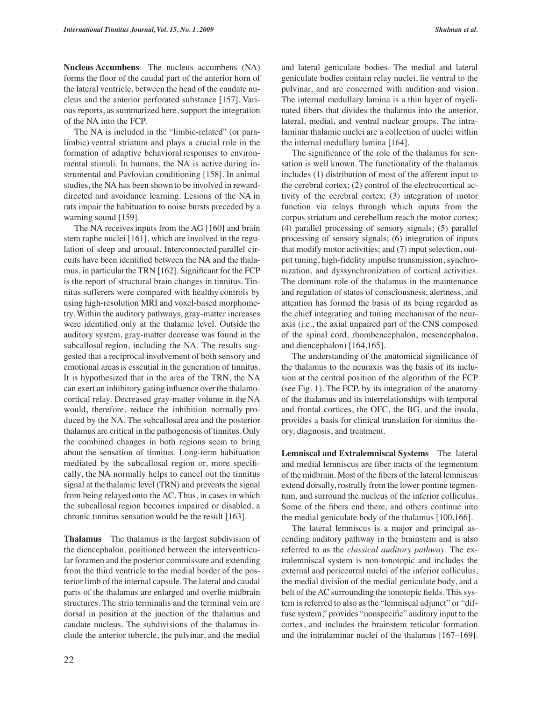**Nucleus Accumbens** The nucleus accumbens (NA) forms the floor of the caudal part of the anterior horn of the lateral ventricle, between the head of the caudate nucleus and the anterior perforated substance [157]. Various reports, as summarized here, support the integration of the NA into the FCP.

The NA is included in the "limbic-related" (or paralimbic) ventral striatum and plays a crucial role in the formation of adaptive behavioral responses to environmental stimuli. In humans, the NA is active during instrumental and Pavlovian conditioning [158]. In animal studies, the NA has been shownto be involved in rewarddirected and avoidance learning. Lesions of the NA in rats impair the habituation to noise bursts preceded by a warning sound [159].

The NA receives inputs from the AG [160] and brain stem raphe nuclei [161], which are involved in the regulation of sleep and arousal. Interconnected parallel circuits have been identified between the NA and the thalamus, in particularthe TRN [162]. Significant for the FCP is the report of structural brain changes in tinnitus. Tinnitus sufferers were compared with healthy controls by using high-resolution MRI and voxel-based morphometry. Within the auditory pathways, gray-matter increases were identified only at the thalamic level. Outside the auditory system, gray-matter decrease was found in the subcallosal region, including the NA. The results suggested that a reciprocal involvement of both sensory and emotional areas is essential in the generation of tinnitus. It is hypothesized that in the area of the TRN, the NA can exert an inhibitory gating influence overthe thalamocortical relay. Decreased gray-matter volume in the NA would, therefore, reduce the inhibition normally produced by the NA. The subcallosal area and the posterior thalamus are critical in the pathogenesis of tinnitus.Only the combined changes in both regions seem to bring about the sensation of tinnitus. Long-term habituation mediated by the subcallosal region or, more specifically, the NA normally helps to cancel out the tinnitus signal at the thalamic level (TRN) and prevents the signal from being relayed onto the AC. Thus, in cases in which the subcallosal region becomes impaired or disabled, a chronic tinnitus sensation would be the result [163].

**Thalamus** The thalamus is the largest subdivision of the diencephalon, positioned between the interventricular foramen and the posterior commissure and extending from the third ventricle to the medial border of the posterior limb of the internal capsule. The lateral and caudal parts of the thalamus are enlarged and overlie midbrain structures. The stria terminalis and the terminal vein are dorsal in position at the junction of the thalamus and caudate nucleus. The subdivisions of the thalamus include the anterior tubercle, the pulvinar, and the medial

and lateral geniculate bodies. The medial and lateral geniculate bodies contain relay nuclei, lie ventral to the pulvinar, and are concerned with audition and vision. The internal medullary lamina is a thin layer of myelinated fibers that divides the thalamus into the anterior, lateral, medial, and ventral nuclear groups. The intralaminar thalamic nuclei are a collection of nuclei within the internal medullary lamina [164].

The significance of the role of the thalamus for sensation is well known. The functionality of the thalamus includes (1) distribution of most of the afferent input to the cerebral cortex; (2) control of the electrocortical activity of the cerebral cortex; (3) integration of motor function via relays through which inputs from the corpus striatum and cerebellum reach the motor cortex; (4) parallel processing of sensory signals; (5) parallel processing of sensory signals; (6) integration of inputs that modify motor activities; and (7) input selection, output tuning, high-fidelity impulse transmission, synchronization, and dyssynchronization of cortical activities. The dominant role of the thalamus in the maintenance and regulation of states of consciousness, alertness, and attention has formed the basis of its being regarded as the chief integrating and tuning mechanism of the neuraxis (i.e., the axial unpaired part of the CNS composed of the spinal cord, rhombencephalon, mesencephalon, and diencephalon) [164,165].

The understanding of the anatomical significance of the thalamus to the neuraxis was the basis of its inclusion at the central position of the algorithm of the FCP (see Fig. 1). The FCP, by its integration of the anatomy of the thalamus and its interrelationships with temporal and frontal cortices, the OFC, the BG, and the insula, provides a basis for clinical translation for tinnitus theory, diagnosis, and treatment.

**Lemniscal and Extralemniscal Systems** The lateral and medial lemniscus are fiber tracts of the tegmentum of the midbrain. Most of the fibers of the lateral lemniscus extend dorsally, rostrally from the lower pontine tegmentum, and surround the nucleus of the inferior colliculus. Some of the fibers end there, and others continue into the medial geniculate body of the thalamus [100,166].

The lateral lemniscus is a major and principal ascending auditory pathway in the brainstem and is also referred to as the *classical auditory pathway.* The extralemniscal system is non-tonotopic and includes the external and pericentral nuclei of the inferior colliculus, the medial division of the medial geniculate body, and a belt of the AC surrounding the tonotopic fields. This system is referred to also as the "lemniscal adjunct" or "diffuse system," provides "nonspecific" auditory input to the cortex, and includes the brainstem reticular formation and the intralaminar nuclei of the thalamus [167–169].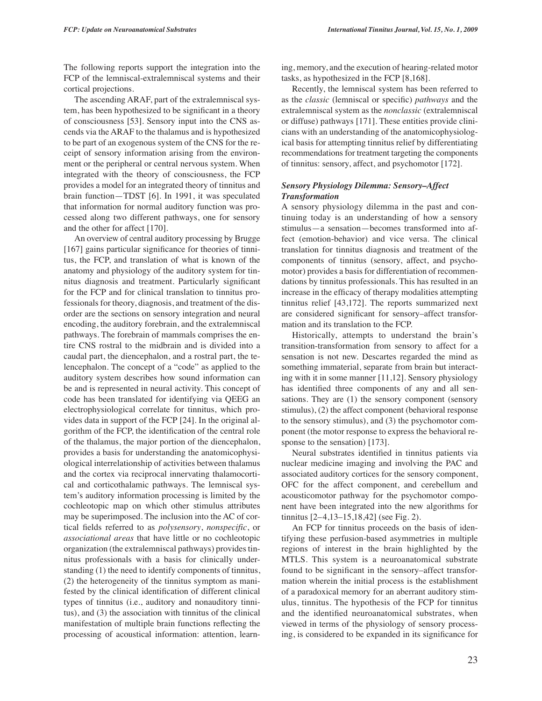The following reports support the integration into the FCP of the lemniscal-extralemniscal systems and their cortical projections.

The ascending ARAF, part of the extralemniscal system, has been hypothesized to be significant in a theory of consciousness [53]. Sensory input into the CNS ascends via the ARAF to the thalamus and is hypothesized to be part of an exogenous system of the CNS for the receipt of sensory information arising from the environment or the peripheral or central nervous system. When integrated with the theory of consciousness, the FCP provides a model for an integrated theory of tinnitus and brain function—TDST [6]. In 1991, it was speculated that information for normal auditory function was processed along two different pathways, one for sensory and the other for affect [170].

An overview of central auditory processing by Brugge [167] gains particular significance for theories of tinnitus, the FCP, and translation of what is known of the anatomy and physiology of the auditory system for tinnitus diagnosis and treatment. Particularly significant for the FCP and for clinical translation to tinnitus professionals for theory, diagnosis, and treatment of the disorder are the sections on sensory integration and neural encoding, the auditory forebrain, and the extralemniscal pathways. The forebrain of mammals comprises the entire CNS rostral to the midbrain and is divided into a caudal part, the diencephalon, and a rostral part, the telencephalon. The concept of a "code" as applied to the auditory system describes how sound information can be and is represented in neural activity. This concept of code has been translated for identifying via QEEG an electrophysiological correlate for tinnitus, which provides data in support of the FCP [24]. In the original algorithm of the FCP, the identification of the central role of the thalamus, the major portion of the diencephalon, provides a basis for understanding the anatomicophysiological interrelationship of activities between thalamus and the cortex via reciprocal innervating thalamocortical and corticothalamic pathways. The lemniscal system's auditory information processing is limited by the cochleotopic map on which other stimulus attributes may be superimposed. The inclusion into the AC of cortical fields referred to as *polysensory*, *nonspecific*, or *associational areas* that have little or no cochleotopic organization (the extralemniscal pathways) provides tinnitus professionals with a basis for clinically understanding (1) the need to identify components of tinnitus, (2) the heterogeneity of the tinnitus symptom as manifested by the clinical identification of different clinical types of tinnitus (i.e., auditory and nonauditory tinnitus), and (3) the association with tinnitus of the clinical manifestation of multiple brain functions reflecting the processing of acoustical information: attention, learning, memory, and the execution of hearing-related motor tasks, as hypothesized in the FCP [8,168].

Recently, the lemniscal system has been referred to as the *classic* (lemniscal or specific) *pathways* and the extralemniscal system as the *nonclassic* (extralemniscal or diffuse) pathways [171]. These entities provide clinicians with an understanding of the anatomicophysiological basis for attempting tinnitus relief by differentiating recommendations for treatment targeting the components of tinnitus: sensory, affect, and psychomotor [172].

## *Sensory Physiology Dilemma: Sensory–Affect Transformation*

A sensory physiology dilemma in the past and continuing today is an understanding of how a sensory stimulus—a sensation—becomes transformed into affect (emotion-behavior) and vice versa. The clinical translation for tinnitus diagnosis and treatment of the components of tinnitus (sensory, affect, and psychomotor) provides a basis for differentiation of recommendations by tinnitus professionals. This has resulted in an increase in the efficacy of therapy modalities attempting tinnitus relief [43,172]. The reports summarized next are considered significant for sensory–affect transformation and its translation to the FCP.

Historically, attempts to understand the brain's transition-transformation from sensory to affect for a sensation is not new. Descartes regarded the mind as something immaterial, separate from brain but interacting with it in some manner [11,12]. Sensory physiology has identified three components of any and all sensations. They are (1) the sensory component (sensory stimulus), (2) the affect component (behavioral response to the sensory stimulus), and (3) the psychomotor component (the motor response to express the behavioral response to the sensation) [173].

Neural substrates identified in tinnitus patients via nuclear medicine imaging and involving the PAC and associated auditory cortices for the sensory component, OFC for the affect component, and cerebellum and acousticomotor pathway for the psychomotor component have been integrated into the new algorithms for tinnitus [2–4,13–15,18,42] (see Fig. 2).

An FCP for tinnitus proceeds on the basis of identifying these perfusion-based asymmetries in multiple regions of interest in the brain highlighted by the MTLS. This system is a neuroanatomical substrate found to be significant in the sensory–affect transformation wherein the initial process is the establishment of a paradoxical memory for an aberrant auditory stimulus, tinnitus. The hypothesis of the FCP for tinnitus and the identified neuroanatomical substrates, when viewed in terms of the physiology of sensory processing, is considered to be expanded in its significance for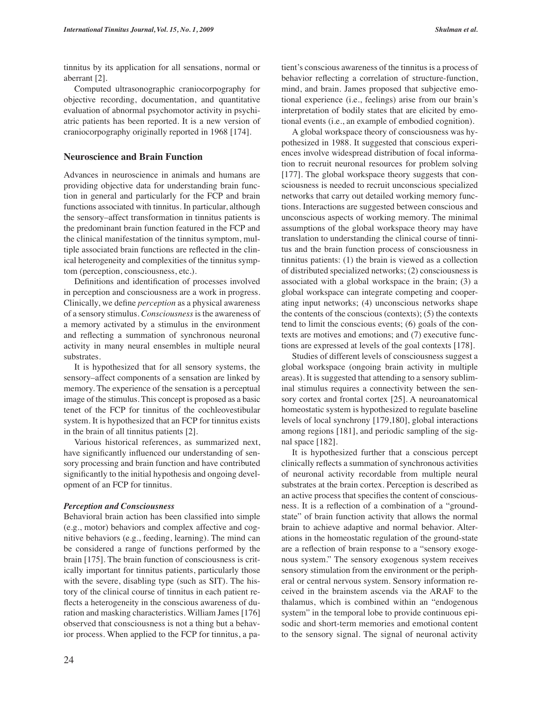tinnitus by its application for all sensations, normal or aberrant [2].

Computed ultrasonographic craniocorpography for objective recording, documentation, and quantitative evaluation of abnormal psychomotor activity in psychiatric patients has been reported. It is a new version of craniocorpography originally reported in 1968 [174].

#### **Neuroscience and Brain Function**

Advances in neuroscience in animals and humans are providing objective data for understanding brain function in general and particularly for the FCP and brain functions associated with tinnitus. In particular, although the sensory–affect transformation in tinnitus patients is the predominant brain function featured in the FCP and the clinical manifestation of the tinnitus symptom, multiple associated brain functions are reflected in the clinical heterogeneity and complexities of the tinnitus symptom (perception, consciousness, etc.).

Definitions and identification of processes involved in perception and consciousness are a work in progress. Clinically, we define *perception* as a physical awareness of a sensory stimulus. *Consciousness* is the awareness of a memory activated by a stimulus in the environment and reflecting a summation of synchronous neuronal activity in many neural ensembles in multiple neural substrates.

It is hypothesized that for all sensory systems, the sensory–affect components of a sensation are linked by memory. The experience of the sensation is a perceptual image of the stimulus. This concept is proposed as a basic tenet of the FCP for tinnitus of the cochleovestibular system. It is hypothesized that an FCP for tinnitus exists in the brain of all tinnitus patients [2].

Various historical references, as summarized next, have significantly influenced our understanding of sensory processing and brain function and have contributed significantly to the initial hypothesis and ongoing development of an FCP for tinnitus.

#### *Perception and Consciousness*

Behavioral brain action has been classified into simple (e.g., motor) behaviors and complex affective and cognitive behaviors (e.g., feeding, learning). The mind can be considered a range of functions performed by the brain [175]. The brain function of consciousness is critically important for tinnitus patients, particularly those with the severe, disabling type (such as SIT). The history of the clinical course of tinnitus in each patient reflects a heterogeneity in the conscious awareness of duration and masking characteristics. William James [176] observed that consciousness is not a thing but a behavior process. When applied to the FCP for tinnitus, a patient's conscious awareness of the tinnitus is a process of behavior reflecting a correlation of structure-function, mind, and brain. James proposed that subjective emotional experience (i.e., feelings) arise from our brain's interpretation of bodily states that are elicited by emotional events (i.e., an example of embodied cognition).

A global workspace theory of consciousness was hypothesized in 1988. It suggested that conscious experiences involve widespread distribution of focal information to recruit neuronal resources for problem solving [177]. The global workspace theory suggests that consciousness is needed to recruit unconscious specialized networks that carry out detailed working memory functions. Interactions are suggested between conscious and unconscious aspects of working memory. The minimal assumptions of the global workspace theory may have translation to understanding the clinical course of tinnitus and the brain function process of consciousness in tinnitus patients: (1) the brain is viewed as a collection of distributed specialized networks; (2) consciousness is associated with a global workspace in the brain; (3) a global workspace can integrate competing and cooperating input networks; (4) unconscious networks shape the contents of the conscious (contexts); (5) the contexts tend to limit the conscious events; (6) goals of the contexts are motives and emotions; and (7) executive functions are expressed at levels of the goal contexts [178].

Studies of different levels of consciousness suggest a global workspace (ongoing brain activity in multiple areas). It is suggested that attending to a sensory subliminal stimulus requires a connectivity between the sensory cortex and frontal cortex [25]. A neuroanatomical homeostatic system is hypothesized to regulate baseline levels of local synchrony [179,180], global interactions among regions [181], and periodic sampling of the signal space [182].

It is hypothesized further that a conscious percept clinically reflects a summation of synchronous activities of neuronal activity recordable from multiple neural substrates at the brain cortex. Perception is described as an active process that specifies the content of consciousness. It is a reflection of a combination of a "groundstate" of brain function activity that allows the normal brain to achieve adaptive and normal behavior. Alterations in the homeostatic regulation of the ground-state are a reflection of brain response to a "sensory exogenous system." The sensory exogenous system receives sensory stimulation from the environment or the peripheral or central nervous system. Sensory information received in the brainstem ascends via the ARAF to the thalamus, which is combined within an "endogenous system" in the temporal lobe to provide continuous episodic and short-term memories and emotional content to the sensory signal. The signal of neuronal activity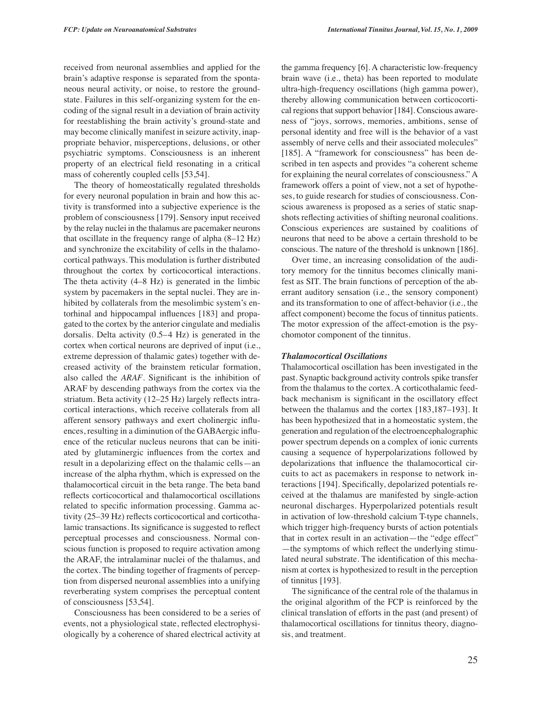received from neuronal assemblies and applied for the brain's adaptive response is separated from the spontaneous neural activity, or noise, to restore the groundstate. Failures in this self-organizing system for the encoding of the signal result in a deviation of brain activity for reestablishing the brain activity's ground-state and may become clinically manifest in seizure activity, inappropriate behavior, misperceptions, delusions, or other psychiatric symptoms. Consciousness is an inherent property of an electrical field resonating in a critical mass of coherently coupled cells [53,54].

The theory of homeostatically regulated thresholds for every neuronal population in brain and how this activity is transformed into a subjective experience is the problem of consciousness [179]. Sensory input received by the relay nuclei in the thalamus are pacemaker neurons that oscillate in the frequency range of alpha (8–12 Hz) and synchronize the excitability of cells in the thalamocortical pathways. This modulation is further distributed throughout the cortex by corticocortical interactions. The theta activity (4–8 Hz) is generated in the limbic system by pacemakers in the septal nuclei. They are inhibited by collaterals from the mesolimbic system's entorhinal and hippocampal influences [183] and propagated to the cortex by the anterior cingulate and medialis dorsalis. Delta activity (0.5–4 Hz) is generated in the cortex when cortical neurons are deprived of input (i.e., extreme depression of thalamic gates) together with decreased activity of the brainstem reticular formation, also called the *ARAF.* Significant is the inhibition of ARAF by descending pathways from the cortex via the striatum. Beta activity (12–25 Hz) largely reflects intracortical interactions, which receive collaterals from all afferent sensory pathways and exert cholinergic influences, resulting in a diminution of the GABAergic influence of the reticular nucleus neurons that can be initiated by glutaminergic influences from the cortex and result in a depolarizing effect on the thalamic cells—an increase of the alpha rhythm, which is expressed on the thalamocortical circuit in the beta range. The beta band reflects corticocortical and thalamocortical oscillations related to specific information processing. Gamma activity (25–39 Hz) reflects corticocortical and corticothalamic transactions. Its significance is suggested to reflect perceptual processes and consciousness. Normal conscious function is proposed to require activation among the ARAF, the intralaminar nuclei of the thalamus, and the cortex. The binding together of fragments of perception from dispersed neuronal assemblies into a unifying reverberating system comprises the perceptual content of consciousness [53,54].

Consciousness has been considered to be a series of events, not a physiological state, reflected electrophysiologically by a coherence of shared electrical activity at

the gamma frequency [6]. A characteristic low-frequency brain wave (i.e., theta) has been reported to modulate ultra-high-frequency oscillations (high gamma power), thereby allowing communication between corticocortical regions that support behavior [184]. Conscious awareness of "joys, sorrows, memories, ambitions, sense of personal identity and free will is the behavior of a vast assembly of nerve cells and their associated molecules" [185]. A "framework for consciousness" has been described in ten aspects and provides "a coherent scheme for explaining the neural correlates of consciousness." A framework offers a point of view, not a set of hypotheses, to guide research for studies of consciousness. Conscious awareness is proposed as a series of static snapshots reflecting activities of shifting neuronal coalitions. Conscious experiences are sustained by coalitions of neurons that need to be above a certain threshold to be conscious. The nature of the threshold is unknown [186].

Over time, an increasing consolidation of the auditory memory for the tinnitus becomes clinically manifest as SIT. The brain functions of perception of the aberrant auditory sensation (i.e., the sensory component) and its transformation to one of affect-behavior (i.e., the affect component) become the focus of tinnitus patients. The motor expression of the affect-emotion is the psychomotor component of the tinnitus.

#### *Thalamocortical Oscillations*

Thalamocortical oscillation has been investigated in the past. Synaptic background activity controls spike transfer from the thalamus to the cortex. A corticothalamic feedback mechanism is significant in the oscillatory effect between the thalamus and the cortex [183,187–193]. It has been hypothesized that in a homeostatic system, the generation and regulation of the electroencephalographic power spectrum depends on a complex of ionic currents causing a sequence of hyperpolarizations followed by depolarizations that influence the thalamocortical circuits to act as pacemakers in response to network interactions [194]. Specifically, depolarized potentials received at the thalamus are manifested by single-action neuronal discharges. Hyperpolarized potentials result in activation of low-threshold calcium T-type channels, which trigger high-frequency bursts of action potentials that in cortex result in an activation—the "edge effect" —the symptoms of which reflect the underlying stimulated neural substrate. The identification of this mechanism at cortex is hypothesized to result in the perception of tinnitus [193].

The significance of the central role of the thalamus in the original algorithm of the FCP is reinforced by the clinical translation of efforts in the past (and present) of thalamocortical oscillations for tinnitus theory, diagnosis, and treatment.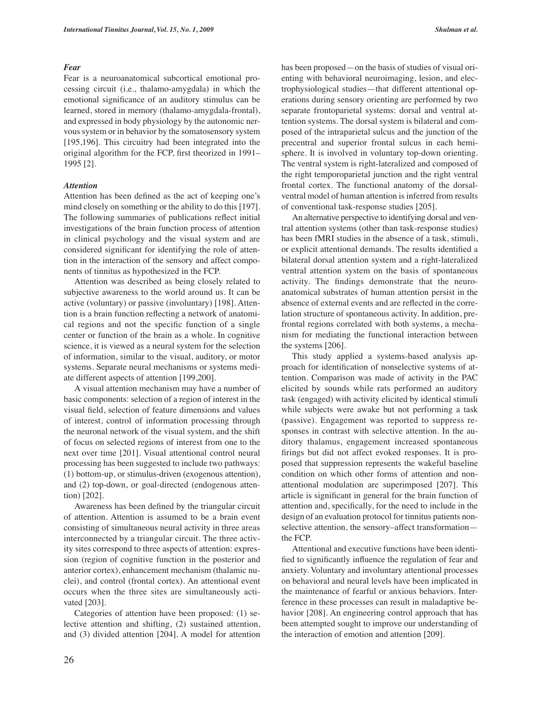#### *Fear*

Fear is a neuroanatomical subcortical emotional processing circuit (i.e., thalamo-amygdala) in which the emotional significance of an auditory stimulus can be learned, stored in memory (thalamo-amygdala-frontal), and expressed in body physiology by the autonomic nervous system or in behavior by the somatosensory system [195,196]. This circuitry had been integrated into the original algorithm for the FCP, first theorized in 1991– 1995 [2].

#### *Attention*

Attention has been defined as the act of keeping one's mind closely on something or the ability to do this [197]. The following summaries of publications reflect initial investigations of the brain function process of attention in clinical psychology and the visual system and are considered significant for identifying the role of attention in the interaction of the sensory and affect components of tinnitus as hypothesized in the FCP.

Attention was described as being closely related to subjective awareness to the world around us. It can be active (voluntary) or passive (involuntary) [198]. Attention is a brain function reflecting a network of anatomical regions and not the specific function of a single center or function of the brain as a whole. In cognitive science, it is viewed as a neural system for the selection of information, similar to the visual, auditory, or motor systems. Separate neural mechanisms or systems mediate different aspects of attention [199,200].

A visual attention mechanism may have a number of basic components: selection of a region of interest in the visual field, selection of feature dimensions and values of interest, control of information processing through the neuronal network of the visual system, and the shift of focus on selected regions of interest from one to the next over time [201]. Visual attentional control neural processing has been suggested to include two pathways: (1) bottom-up, or stimulus-driven (exogenous attention), and (2) top-down, or goal-directed (endogenous attention) [202].

Awareness has been defined by the triangular circuit of attention. Attention is assumed to be a brain event consisting of simultaneous neural activity in three areas interconnected by a triangular circuit. The three activity sites correspond to three aspects of attention: expression (region of cognitive function in the posterior and anterior cortex), enhancement mechanism (thalamic nuclei), and control (frontal cortex). An attentional event occurs when the three sites are simultaneously activated [203].

Categories of attention have been proposed: (1) selective attention and shifting, (2) sustained attention, and (3) divided attention [204]. A model for attention

has been proposed—on the basis of studies of visual orienting with behavioral neuroimaging, lesion, and electrophysiological studies—that different attentional operations during sensory orienting are performed by two separate frontoparietal systems: dorsal and ventral attention systems. The dorsal system is bilateral and composed of the intraparietal sulcus and the junction of the precentral and superior frontal sulcus in each hemisphere. It is involved in voluntary top-down orienting. The ventral system is right-lateralized and composed of the right temporoparietal junction and the right ventral frontal cortex. The functional anatomy of the dorsalventral model of human attention is inferred from results of conventional task-response studies [205].

An alternative perspective to identifying dorsal and ventral attention systems (other than task-response studies) has been fMRI studies in the absence of a task, stimuli, or explicit attentional demands. The results identified a bilateral dorsal attention system and a right-lateralized ventral attention system on the basis of spontaneous activity. The findings demonstrate that the neuroanatomical substrates of human attention persist in the absence of external events and are reflected in the correlation structure of spontaneous activity. In addition, prefrontal regions correlated with both systems, a mechanism for mediating the functional interaction between the systems [206].

This study applied a systems-based analysis approach for identification of nonselective systems of attention. Comparison was made of activity in the PAC elicited by sounds while rats performed an auditory task (engaged) with activity elicited by identical stimuli while subjects were awake but not performing a task (passive). Engagement was reported to suppress responses in contrast with selective attention. In the auditory thalamus, engagement increased spontaneous firings but did not affect evoked responses. It is proposed that suppression represents the wakeful baseline condition on which other forms of attention and nonattentional modulation are superimposed [207]. This article is significant in general for the brain function of attention and, specifically, for the need to include in the design of an evaluation protocol for tinnitus patients nonselective attention, the sensory–affect transformation the FCP.

Attentional and executive functions have been identified to significantly influence the regulation of fear and anxiety. Voluntary and involuntary attentional processes on behavioral and neural levels have been implicated in the maintenance of fearful or anxious behaviors. Interference in these processes can result in maladaptive behavior [208]. An engineering control approach that has been attempted sought to improve our understanding of the interaction of emotion and attention [209].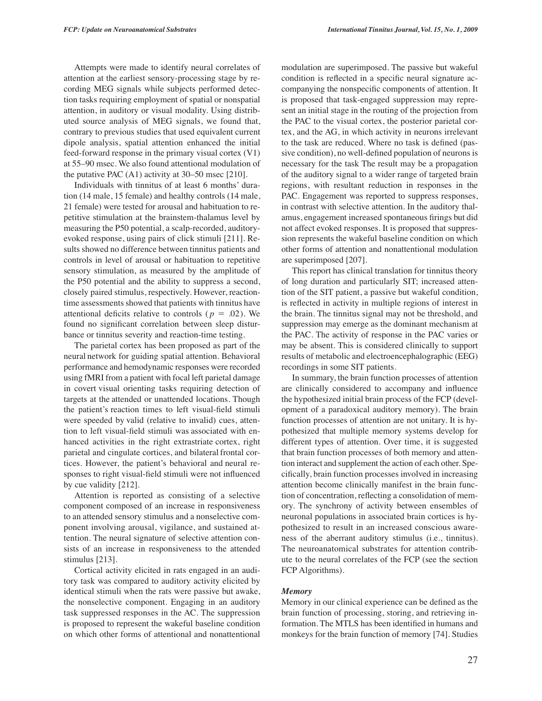Attempts were made to identify neural correlates of attention at the earliest sensory-processing stage by recording MEG signals while subjects performed detection tasks requiring employment of spatial or nonspatial attention, in auditory or visual modality. Using distributed source analysis of MEG signals, we found that, contrary to previous studies that used equivalent current dipole analysis, spatial attention enhanced the initial feed-forward response in the primary visual cortex (V1) at 55–90 msec. We also found attentional modulation of the putative PAC (A1) activity at 30–50 msec [210].

Individuals with tinnitus of at least 6 months' duration (14 male, 15 female) and healthy controls (14 male, 21 female) were tested for arousal and habituation to repetitive stimulation at the brainstem-thalamus level by measuring the P50 potential, a scalp-recorded, auditoryevoked response, using pairs of click stimuli [211]. Results showed no difference between tinnitus patients and controls in level of arousal or habituation to repetitive sensory stimulation, as measured by the amplitude of the P50 potential and the ability to suppress a second, closely paired stimulus, respectively. However, reactiontime assessments showed that patients with tinnitus have attentional deficits relative to controls ( $p = .02$ ). We found no significant correlation between sleep disturbance or tinnitus severity and reaction-time testing.

The parietal cortex has been proposed as part of the neural network for guiding spatial attention. Behavioral performance and hemodynamic responses were recorded using fMRI from a patient with focal left parietal damage in covert visual orienting tasks requiring detection of targets at the attended or unattended locations. Though the patient's reaction times to left visual-field stimuli were speeded by valid (relative to invalid) cues, attention to left visual-field stimuli was associated with enhanced activities in the right extrastriate cortex, right parietal and cingulate cortices, and bilateral frontal cortices. However, the patient's behavioral and neural responses to right visual-field stimuli were not influenced by cue validity [212].

Attention is reported as consisting of a selective component composed of an increase in responsiveness to an attended sensory stimulus and a nonselective component involving arousal, vigilance, and sustained attention. The neural signature of selective attention consists of an increase in responsiveness to the attended stimulus [213].

Cortical activity elicited in rats engaged in an auditory task was compared to auditory activity elicited by identical stimuli when the rats were passive but awake, the nonselective component. Engaging in an auditory task suppressed responses in the AC. The suppression is proposed to represent the wakeful baseline condition on which other forms of attentional and nonattentional

modulation are superimposed. The passive but wakeful condition is reflected in a specific neural signature accompanying the nonspecific components of attention. It is proposed that task-engaged suppression may represent an initial stage in the routing of the projection from the PAC to the visual cortex, the posterior parietal cortex, and the AG, in which activity in neurons irrelevant to the task are reduced. Where no task is defined (passive condition), no well-defined population of neurons is necessary for the task The result may be a propagation of the auditory signal to a wider range of targeted brain regions, with resultant reduction in responses in the PAC. Engagement was reported to suppress responses, in contrast with selective attention. In the auditory thalamus, engagement increased spontaneous firings but did not affect evoked responses. It is proposed that suppression represents the wakeful baseline condition on which other forms of attention and nonattentional modulation are superimposed [207].

This report has clinical translation for tinnitus theory of long duration and particularly SIT; increased attention of the SIT patient, a passive but wakeful condition, is reflected in activity in multiple regions of interest in the brain. The tinnitus signal may not be threshold, and suppression may emerge as the dominant mechanism at the PAC. The activity of response in the PAC varies or may be absent. This is considered clinically to support results of metabolic and electroencephalographic (EEG) recordings in some SIT patients.

In summary, the brain function processes of attention are clinically considered to accompany and influence the hypothesized initial brain process of the FCP (development of a paradoxical auditory memory). The brain function processes of attention are not unitary. It is hypothesized that multiple memory systems develop for different types of attention. Over time, it is suggested that brain function processes of both memory and attention interact and supplement the action of each other. Specifically, brain function processes involved in increasing attention become clinically manifest in the brain function of concentration, reflecting a consolidation of memory. The synchrony of activity between ensembles of neuronal populations in associated brain cortices is hypothesized to result in an increased conscious awareness of the aberrant auditory stimulus (i.e., tinnitus). The neuroanatomical substrates for attention contribute to the neural correlates of the FCP (see the section FCP Algorithms).

#### *Memory*

Memory in our clinical experience can be defined as the brain function of processing, storing, and retrieving information. The MTLS has been identified in humans and monkeys for the brain function of memory [74]. Studies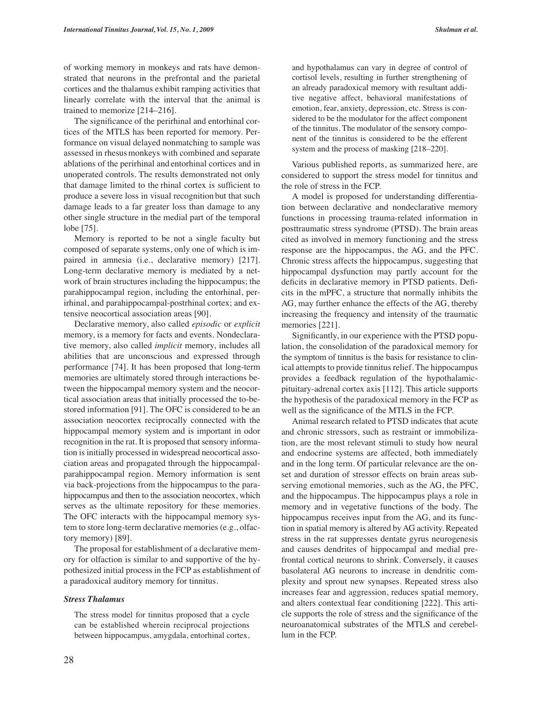of working memory in monkeys and rats have demonstrated that neurons in the prefrontal and the parietal cortices and the thalamus exhibit ramping activities that linearly correlate with the interval that the animal is trained to memorize [214–216].

The significance of the perirhinal and entorhinal cortices of the MTLS has been reported for memory. Performance on visual delayed nonmatching to sample was assessed in rhesus monkeys with combined and separate ablations of the perirhinal and entorhinal cortices and in unoperated controls. The results demonstrated not only that damage limited to the rhinal cortex is sufficient to produce a severe loss in visual recognition but that such damage leads to a far greater loss than damage to any other single structure in the medial part of the temporal lobe [75].

Memory is reported to be not a single faculty but composed of separate systems, only one of which is impaired in amnesia (i.e., declarative memory) [217]. Long-term declarative memory is mediated by a network of brain structures including the hippocampus; the parahippocampal region, including the entorhinal, perirhinal, and parahippocampal-postrhinal cortex; and extensive neocortical association areas [90].

Declarative memory, also called *episodic* or *explicit* memory, is a memory for facts and events. Nondeclarative memory, also called *implicit* memory, includes all abilities that are unconscious and expressed through performance [74]. It has been proposed that long-term memories are ultimately stored through interactions between the hippocampal memory system and the neocortical association areas that initially processed the to-bestored information [91]. The OFC is considered to be an association neocortex reciprocally connected with the hippocampal memory system and is important in odor recognition in the rat. It is proposed that sensory information is initially processed in widespread neocortical association areas and propagated through the hippocampalparahippocampal region. Memory information is sent via back-projections from the hippocampus to the parahippocampus and then to the association neocortex, which serves as the ultimate repository for these memories. The OFC interacts with the hippocampal memory system to store long-term declarative memories (e.g., olfactory memory) [89].

The proposal for establishment of a declarative memory for olfaction is similar to and supportive of the hypothesized initial process in the FCP as establishment of a paradoxical auditory memory for tinnitus.

# *Stress Thalamus*

The stress model for tinnitus proposed that a cycle can be established wherein reciprocal projections between hippocampus, amygdala, entorhinal cortex,

and hypothalamus can vary in degree of control of cortisol levels, resulting in further strengthening of an already paradoxical memory with resultant additive negative affect, behavioral manifestations of emotion, fear, anxiety, depression, etc. Stress is considered to be the modulator for the affect component of the tinnitus. The modulator of the sensory component of the tinnitus is considered to be the efferent system and the process of masking [218–220].

Various published reports, as summarized here, are considered to support the stress model for tinnitus and the role of stress in the FCP.

A model is proposed for understanding differentiation between declarative and nondeclarative memory functions in processing trauma-related information in posttraumatic stress syndrome (PTSD). The brain areas cited as involved in memory functioning and the stress response are the hippocampus, the AG, and the PFC. Chronic stress affects the hippocampus, suggesting that hippocampal dysfunction may partly account for the deficits in declarative memory in PTSD patients. Deficits in the mPFC, a structure that normally inhibits the AG, may further enhance the effects of the AG, thereby increasing the frequency and intensity of the traumatic memories [221].

Significantly, in our experience with the PTSD population, the consolidation of the paradoxical memory for the symptom of tinnitus is the basis for resistance to clinical attempts to provide tinnitus relief. The hippocampus provides a feedback regulation of the hypothalamicpituitary-adrenal cortex axis [112]. This article supports the hypothesis of the paradoxical memory in the FCP as well as the significance of the MTLS in the FCP.

Animal research related to PTSD indicates that acute and chronic stressors, such as restraint or immobilization, are the most relevant stimuli to study how neural and endocrine systems are affected, both immediately and in the long term. Of particular relevance are the onset and duration of stressor effects on brain areas subserving emotional memories, such as the AG, the PFC, and the hippocampus. The hippocampus plays a role in memory and in vegetative functions of the body. The hippocampus receives input from the AG, and its function in spatial memory is altered by AG activity. Repeated stress in the rat suppresses dentate gyrus neurogenesis and causes dendrites of hippocampal and medial prefrontal cortical neurons to shrink. Conversely, it causes basolateral AG neurons to increase in dendritic complexity and sprout new synapses. Repeated stress also increases fear and aggression, reduces spatial memory, and alters contextual fear conditioning [222]. This article supports the role of stress and the significance of the neuroanatomical substrates of the MTLS and cerebellum in the FCP.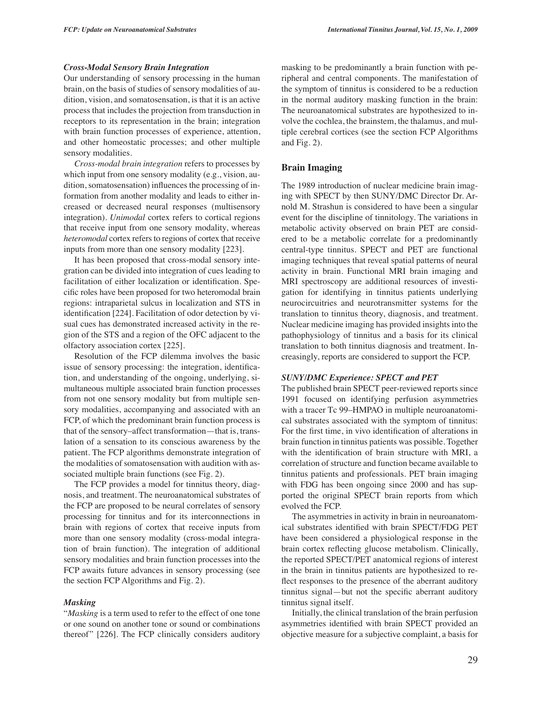#### *Cross-Modal Sensory Brain Integration*

Our understanding of sensory processing in the human brain, on the basis of studies of sensory modalities of audition, vision, and somatosensation, is that it is an active process that includes the projection from transduction in receptors to its representation in the brain; integration with brain function processes of experience, attention, and other homeostatic processes; and other multiple sensory modalities.

*Cross-modal brain integration* refers to processes by which input from one sensory modality (e.g., vision, audition, somatosensation) influences the processing of information from another modality and leads to either increased or decreased neural responses (multisensory integration). *Unimodal* cortex refers to cortical regions that receive input from one sensory modality, whereas *heteromodal* cortex refers to regions of cortex that receive inputs from more than one sensory modality [223].

It has been proposed that cross-modal sensory integration can be divided into integration of cues leading to facilitation of either localization or identification. Specific roles have been proposed for two heteromodal brain regions: intraparietal sulcus in localization and STS in identification [224]. Facilitation of odor detection by visual cues has demonstrated increased activity in the region of the STS and a region of the OFC adjacent to the olfactory association cortex [225].

Resolution of the FCP dilemma involves the basic issue of sensory processing: the integration, identification, and understanding of the ongoing, underlying, simultaneous multiple associated brain function processes from not one sensory modality but from multiple sensory modalities, accompanying and associated with an FCP, of which the predominant brain function process is that of the sensory–affect transformation—that is, translation of a sensation to its conscious awareness by the patient. The FCP algorithms demonstrate integration of the modalities of somatosensation with audition with associated multiple brain functions (see Fig. 2).

The FCP provides a model for tinnitus theory, diagnosis, and treatment. The neuroanatomical substrates of the FCP are proposed to be neural correlates of sensory processing for tinnitus and for its interconnections in brain with regions of cortex that receive inputs from more than one sensory modality (cross-modal integration of brain function). The integration of additional sensory modalities and brain function processes into the FCP awaits future advances in sensory processing (see the section FCP Algorithms and Fig. 2).

#### *Masking*

"*Masking* is a term used to refer to the effect of one tone or one sound on another tone or sound or combinations thereof" [226]. The FCP clinically considers auditory

masking to be predominantly a brain function with peripheral and central components. The manifestation of the symptom of tinnitus is considered to be a reduction in the normal auditory masking function in the brain: The neuroanatomical substrates are hypothesized to involve the cochlea, the brainstem, the thalamus, and multiple cerebral cortices (see the section FCP Algorithms and Fig. 2).

#### **Brain Imaging**

The 1989 introduction of nuclear medicine brain imaging with SPECT by then SUNY/DMC Director Dr. Arnold M. Strashun is considered to have been a singular event for the discipline of tinnitology. The variations in metabolic activity observed on brain PET are considered to be a metabolic correlate for a predominantly central-type tinnitus. SPECT and PET are functional imaging techniques that reveal spatial patterns of neural activity in brain. Functional MRI brain imaging and MRI spectroscopy are additional resources of investigation for identifying in tinnitus patients underlying neurocircuitries and neurotransmitter systems for the translation to tinnitus theory, diagnosis, and treatment. Nuclear medicine imaging has provided insights into the pathophysiology of tinnitus and a basis for its clinical translation to both tinnitus diagnosis and treatment. Increasingly, reports are considered to support the FCP.

#### *SUNY/DMC Experience: SPECT and PET*

The published brain SPECT peer-reviewed reports since 1991 focused on identifying perfusion asymmetries with a tracer Tc 99–HMPAO in multiple neuroanatomical substrates associated with the symptom of tinnitus: For the first time, in vivo identification of alterations in brain function in tinnitus patients was possible. Together with the identification of brain structure with MRI, a correlation of structure and function became available to tinnitus patients and professionals. PET brain imaging with FDG has been ongoing since 2000 and has supported the original SPECT brain reports from which evolved the FCP.

The asymmetries in activity in brain in neuroanatomical substrates identified with brain SPECT/FDG PET have been considered a physiological response in the brain cortex reflecting glucose metabolism. Clinically, the reported SPECT/PET anatomical regions of interest in the brain in tinnitus patients are hypothesized to reflect responses to the presence of the aberrant auditory tinnitus signal—but not the specific aberrant auditory tinnitus signal itself.

Initially, the clinical translation of the brain perfusion asymmetries identified with brain SPECT provided an objective measure for a subjective complaint, a basis for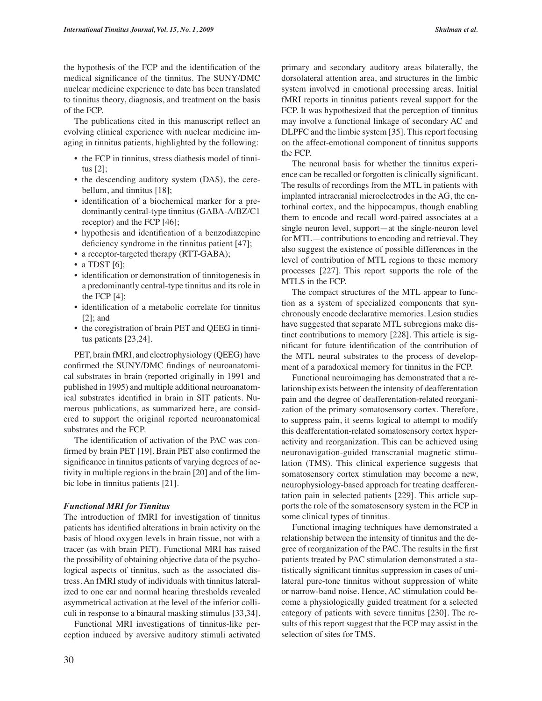the hypothesis of the FCP and the identification of the medical significance of the tinnitus. The SUNY/DMC nuclear medicine experience to date has been translated to tinnitus theory, diagnosis, and treatment on the basis of the FCP.

The publications cited in this manuscript reflect an evolving clinical experience with nuclear medicine imaging in tinnitus patients, highlighted by the following:

- the FCP in tinnitus, stress diathesis model of tinnitus [2];
- the descending auditory system (DAS), the cerebellum, and tinnitus [18];
- identification of a biochemical marker for a predominantly central-type tinnitus (GABA-A/BZ/C1 receptor) and the FCP [46];
- hypothesis and identification of a benzodiazepine deficiency syndrome in the tinnitus patient [47];
- a receptor-targeted therapy (RTT-GABA);
- a TDST  $[6]$ ;
- identification or demonstration of tinnitogenesis in a predominantly central-type tinnitus and its role in the FCP  $[4]$ ;
- identification of a metabolic correlate for tinnitus [2]; and
- the coregistration of brain PET and QEEG in tinnitus patients [23,24].

PET, brain fMRI, and electrophysiology (QEEG) have confirmed the SUNY/DMC findings of neuroanatomical substrates in brain (reported originally in 1991 and published in 1995) and multiple additional neuroanatomical substrates identified in brain in SIT patients. Numerous publications, as summarized here, are considered to support the original reported neuroanatomical substrates and the FCP.

The identification of activation of the PAC was confirmed by brain PET [19]. Brain PET also confirmed the significance in tinnitus patients of varying degrees of activity in multiple regions in the brain [20] and of the limbic lobe in tinnitus patients [21].

#### *Functional MRI for Tinnitus*

The introduction of fMRI for investigation of tinnitus patients has identified alterations in brain activity on the basis of blood oxygen levels in brain tissue, not with a tracer (as with brain PET). Functional MRI has raised the possibility of obtaining objective data of the psychological aspects of tinnitus, such as the associated distress. An fMRI study of individuals with tinnitus lateralized to one ear and normal hearing thresholds revealed asymmetrical activation at the level of the inferior colliculi in response to a binaural masking stimulus [33,34].

Functional MRI investigations of tinnitus-like perception induced by aversive auditory stimuli activated primary and secondary auditory areas bilaterally, the dorsolateral attention area, and structures in the limbic system involved in emotional processing areas. Initial fMRI reports in tinnitus patients reveal support for the FCP. It was hypothesized that the perception of tinnitus may involve a functional linkage of secondary AC and DLPFC and the limbic system [35]. This report focusing on the affect-emotional component of tinnitus supports the FCP.

The neuronal basis for whether the tinnitus experience can be recalled or forgotten is clinically significant. The results of recordings from the MTL in patients with implanted intracranial microelectrodes in the AG, the entorhinal cortex, and the hippocampus, though enabling them to encode and recall word-paired associates at a single neuron level, support—at the single-neuron level for MTL—contributions to encoding and retrieval. They also suggest the existence of possible differences in the level of contribution of MTL regions to these memory processes [227]. This report supports the role of the MTLS in the FCP.

The compact structures of the MTL appear to function as a system of specialized components that synchronously encode declarative memories. Lesion studies have suggested that separate MTL subregions make distinct contributions to memory [228]. This article is significant for future identification of the contribution of the MTL neural substrates to the process of development of a paradoxical memory for tinnitus in the FCP.

Functional neuroimaging has demonstrated that a relationship exists between the intensity of deafferentation pain and the degree of deafferentation-related reorganization of the primary somatosensory cortex. Therefore, to suppress pain, it seems logical to attempt to modify this deafferentation-related somatosensory cortex hyperactivity and reorganization. This can be achieved using neuronavigation-guided transcranial magnetic stimulation (TMS). This clinical experience suggests that somatosensory cortex stimulation may become a new, neurophysiology-based approach for treating deafferentation pain in selected patients [229]. This article supports the role of the somatosensory system in the FCP in some clinical types of tinnitus.

Functional imaging techniques have demonstrated a relationship between the intensity of tinnitus and the degree of reorganization of the PAC. The results in the first patients treated by PAC stimulation demonstrated a statistically significant tinnitus suppression in cases of unilateral pure-tone tinnitus without suppression of white or narrow-band noise. Hence, AC stimulation could become a physiologically guided treatment for a selected category of patients with severe tinnitus [230]. The results of this report suggest that the FCP may assist in the selection of sites for TMS.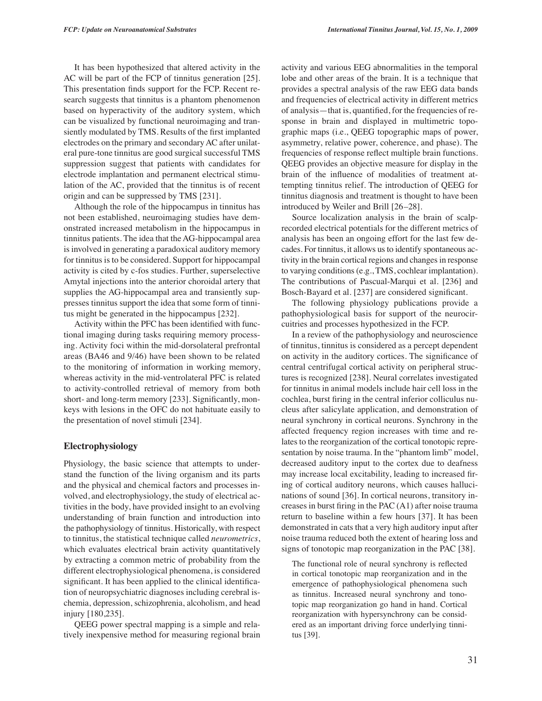It has been hypothesized that altered activity in the AC will be part of the FCP of tinnitus generation [25]. This presentation finds support for the FCP. Recent research suggests that tinnitus is a phantom phenomenon based on hyperactivity of the auditory system, which can be visualized by functional neuroimaging and transiently modulated by TMS. Results of the first implanted electrodes on the primary and secondary AC after unilateral pure-tone tinnitus are good surgical successful TMS suppression suggest that patients with candidates for electrode implantation and permanent electrical stimulation of the AC, provided that the tinnitus is of recent origin and can be suppressed by TMS [231].

Although the role of the hippocampus in tinnitus has not been established, neuroimaging studies have demonstrated increased metabolism in the hippocampus in tinnitus patients. The idea that the AG-hippocampal area is involved in generating a paradoxical auditory memory for tinnitus is to be considered. Support for hippocampal activity is cited by c-fos studies. Further, superselective Amytal injections into the anterior choroidal artery that supplies the AG-hippocampal area and transiently suppresses tinnitus support the idea that some form of tinnitus might be generated in the hippocampus [232].

Activity within the PFC has been identified with functional imaging during tasks requiring memory processing. Activity foci within the mid-dorsolateral prefrontal areas (BA46 and 9/46) have been shown to be related to the monitoring of information in working memory, whereas activity in the mid-ventrolateral PFC is related to activity-controlled retrieval of memory from both short- and long-term memory [233]. Significantly, monkeys with lesions in the OFC do not habituate easily to the presentation of novel stimuli [234].

#### **Electrophysiology**

Physiology, the basic science that attempts to understand the function of the living organism and its parts and the physical and chemical factors and processes involved, and electrophysiology, the study of electrical activities in the body, have provided insight to an evolving understanding of brain function and introduction into the pathophysiology of tinnitus. Historically, with respect to tinnitus, the statistical technique called *neurometrics*, which evaluates electrical brain activity quantitatively by extracting a common metric of probability from the different electrophysiological phenomena, is considered significant. It has been applied to the clinical identification of neuropsychiatric diagnoses including cerebral ischemia, depression, schizophrenia, alcoholism, and head injury [180,235].

QEEG power spectral mapping is a simple and relatively inexpensive method for measuring regional brain activity and various EEG abnormalities in the temporal lobe and other areas of the brain. It is a technique that provides a spectral analysis of the raw EEG data bands and frequencies of electrical activity in different metrics of analysis—that is, quantified, for the frequencies of response in brain and displayed in multimetric topographic maps (i.e., QEEG topographic maps of power, asymmetry, relative power, coherence, and phase). The frequencies of response reflect multiple brain functions. QEEG provides an objective measure for display in the brain of the influence of modalities of treatment attempting tinnitus relief. The introduction of QEEG for tinnitus diagnosis and treatment is thought to have been introduced by Weiler and Brill [26–28].

Source localization analysis in the brain of scalprecorded electrical potentials for the different metrics of analysis has been an ongoing effort for the last few decades. For tinnitus, it allows us to identify spontaneous activity in the brain cortical regions and changes in response to varying conditions (e.g., TMS, cochlear implantation). The contributions of Pascual-Marqui et al. [236] and Bosch-Bayard et al. [237] are considered significant.

The following physiology publications provide a pathophysiological basis for support of the neurocircuitries and processes hypothesized in the FCP.

In a review of the pathophysiology and neuroscience of tinnitus, tinnitus is considered as a percept dependent on activity in the auditory cortices. The significance of central centrifugal cortical activity on peripheral structures is recognized [238]. Neural correlates investigated for tinnitus in animal models include hair cell loss in the cochlea, burst firing in the central inferior colliculus nucleus after salicylate application, and demonstration of neural synchrony in cortical neurons. Synchrony in the affected frequency region increases with time and relates to the reorganization of the cortical tonotopic representation by noise trauma. In the "phantom limb" model, decreased auditory input to the cortex due to deafness may increase local excitability, leading to increased firing of cortical auditory neurons, which causes hallucinations of sound [36]. In cortical neurons, transitory increases in burst firing in the PAC (A1) after noise trauma return to baseline within a few hours [37]. It has been demonstrated in cats that a very high auditory input after noise trauma reduced both the extent of hearing loss and signs of tonotopic map reorganization in the PAC [38].

The functional role of neural synchrony is reflected in cortical tonotopic map reorganization and in the emergence of pathophysiological phenomena such as tinnitus. Increased neural synchrony and tonotopic map reorganization go hand in hand. Cortical reorganization with hypersynchrony can be considered as an important driving force underlying tinnitus [39].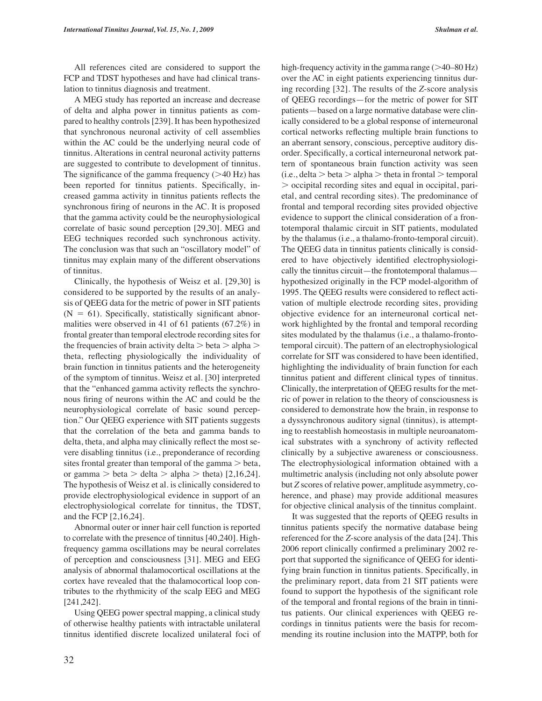All references cited are considered to support the FCP and TDST hypotheses and have had clinical translation to tinnitus diagnosis and treatment.

A MEG study has reported an increase and decrease of delta and alpha power in tinnitus patients as compared to healthy controls [239]. It has been hypothesized that synchronous neuronal activity of cell assemblies within the AC could be the underlying neural code of tinnitus. Alterations in central neuronal activity patterns are suggested to contribute to development of tinnitus. The significance of the gamma frequency  $(>40$  Hz) has been reported for tinnitus patients. Specifically, increased gamma activity in tinnitus patients reflects the synchronous firing of neurons in the AC. It is proposed that the gamma activity could be the neurophysiological correlate of basic sound perception [29,30]. MEG and EEG techniques recorded such synchronous activity. The conclusion was that such an "oscillatory model" of tinnitus may explain many of the different observations of tinnitus.

Clinically, the hypothesis of Weisz et al. [29,30] is considered to be supported by the results of an analysis of QEEG data for the metric of power in SIT patients  $(N = 61)$ . Specifically, statistically significant abnormalities were observed in 41 of 61 patients (67.2%) in frontal greater than temporal electrode recording sites for the frequencies of brain activity delta  $>$  beta  $>$  alpha  $>$ theta, reflecting physiologically the individuality of brain function in tinnitus patients and the heterogeneity of the symptom of tinnitus. Weisz et al. [30] interpreted that the "enhanced gamma activity reflects the synchronous firing of neurons within the AC and could be the neurophysiological correlate of basic sound perception." Our QEEG experience with SIT patients suggests that the correlation of the beta and gamma bands to delta, theta, and alpha may clinically reflect the most severe disabling tinnitus (i.e., preponderance of recording sites frontal greater than temporal of the gamma  $>$  beta, or gamma  $>$  beta  $>$  delta  $>$  alpha  $>$  theta) [2,16,24]. The hypothesis of Weisz et al. is clinically considered to provide electrophysiological evidence in support of an electrophysiological correlate for tinnitus, the TDST, and the FCP [2,16,24].

Abnormal outer or inner hair cell function is reported to correlate with the presence of tinnitus [40,240]. Highfrequency gamma oscillations may be neural correlates of perception and consciousness [31]. MEG and EEG analysis of abnormal thalamocortical oscillations at the cortex have revealed that the thalamocortical loop contributes to the rhythmicity of the scalp EEG and MEG [241,242].

Using QEEG power spectral mapping, a clinical study of otherwise healthy patients with intractable unilateral tinnitus identified discrete localized unilateral foci of

high-frequency activity in the gamma range  $(>40-80$  Hz) over the AC in eight patients experiencing tinnitus during recording [32]. The results of the *Z*-score analysis of QEEG recordings—for the metric of power for SIT patients—based on a large normative database were clinically considered to be a global response of interneuronal cortical networks reflecting multiple brain functions to an aberrant sensory, conscious, perceptive auditory disorder. Specifically, a cortical interneuronal network pattern of spontaneous brain function activity was seen  $(i.e., delta > beta > alpha > theta$  in frontal  $>$  temporal  $>$  occipital recording sites and equal in occipital, parietal, and central recording sites). The predominance of frontal and temporal recording sites provided objective evidence to support the clinical consideration of a frontotemporal thalamic circuit in SIT patients, modulated by the thalamus (i.e., a thalamo-fronto-temporal circuit). The QEEG data in tinnitus patients clinically is considered to have objectively identified electrophysiologically the tinnitus circuit—the frontotemporal thalamus hypothesized originally in the FCP model-algorithm of 1995. The QEEG results were considered to reflect activation of multiple electrode recording sites, providing objective evidence for an interneuronal cortical network highlighted by the frontal and temporal recording sites modulated by the thalamus (i.e., a thalamo-frontotemporal circuit). The pattern of an electrophysiological correlate for SIT was considered to have been identified, highlighting the individuality of brain function for each tinnitus patient and different clinical types of tinnitus. Clinically, the interpretation of QEEG results for the metric of power in relation to the theory of consciousness is considered to demonstrate how the brain, in response to a dyssynchronous auditory signal (tinnitus), is attempting to reestablish homeostasis in multiple neuroanatomical substrates with a synchrony of activity reflected clinically by a subjective awareness or consciousness. The electrophysiological information obtained with a multimetric analysis (including not only absolute power but *Z* scores of relative power, amplitude asymmetry, coherence, and phase) may provide additional measures for objective clinical analysis of the tinnitus complaint.

It was suggested that the reports of QEEG results in tinnitus patients specify the normative database being referenced for the *Z*-score analysis of the data [24]. This 2006 report clinically confirmed a preliminary 2002 report that supported the significance of QEEG for identifying brain function in tinnitus patients. Specifically, in the preliminary report, data from 21 SIT patients were found to support the hypothesis of the significant role of the temporal and frontal regions of the brain in tinnitus patients. Our clinical experiences with QEEG recordings in tinnitus patients were the basis for recommending its routine inclusion into the MATPP, both for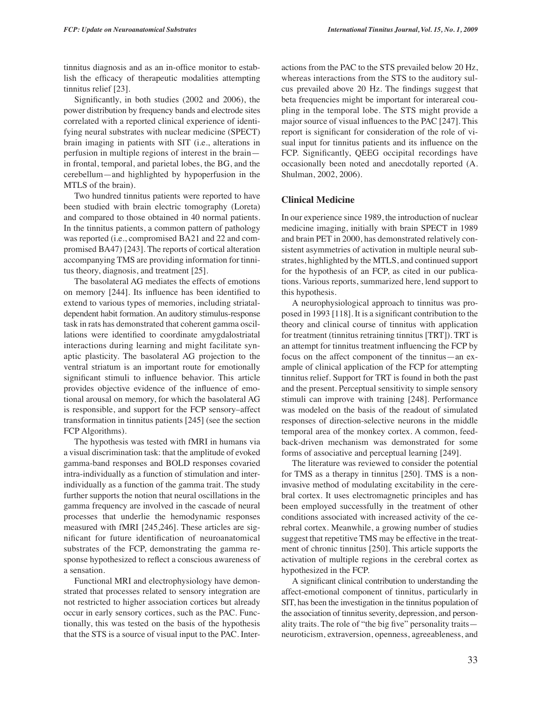tinnitus diagnosis and as an in-office monitor to establish the efficacy of therapeutic modalities attempting tinnitus relief [23].

Significantly, in both studies (2002 and 2006), the power distribution by frequency bands and electrode sites correlated with a reported clinical experience of identifying neural substrates with nuclear medicine (SPECT) brain imaging in patients with SIT (i.e., alterations in perfusion in multiple regions of interest in the brain in frontal, temporal, and parietal lobes, the BG, and the cerebellum—and highlighted by hypoperfusion in the MTLS of the brain).

Two hundred tinnitus patients were reported to have been studied with brain electric tomography (Loreta) and compared to those obtained in 40 normal patients. In the tinnitus patients, a common pattern of pathology was reported (i.e., compromised BA21 and 22 and compromised BA47) [243]. The reports of cortical alteration accompanying TMS are providing information for tinnitus theory, diagnosis, and treatment [25].

The basolateral AG mediates the effects of emotions on memory [244]. Its influence has been identified to extend to various types of memories, including striataldependent habit formation. An auditory stimulus-response task in rats has demonstrated that coherent gamma oscillations were identified to coordinate amygdalostriatal interactions during learning and might facilitate synaptic plasticity. The basolateral AG projection to the ventral striatum is an important route for emotionally significant stimuli to influence behavior. This article provides objective evidence of the influence of emotional arousal on memory, for which the basolateral AG is responsible, and support for the FCP sensory–affect transformation in tinnitus patients [245] (see the section FCP Algorithms).

The hypothesis was tested with fMRI in humans via a visual discrimination task: that the amplitude of evoked gamma-band responses and BOLD responses covaried intra-individually as a function of stimulation and interindividually as a function of the gamma trait. The study further supports the notion that neural oscillations in the gamma frequency are involved in the cascade of neural processes that underlie the hemodynamic responses measured with fMRI [245,246]. These articles are significant for future identification of neuroanatomical substrates of the FCP, demonstrating the gamma response hypothesized to reflect a conscious awareness of a sensation.

Functional MRI and electrophysiology have demonstrated that processes related to sensory integration are not restricted to higher association cortices but already occur in early sensory cortices, such as the PAC. Functionally, this was tested on the basis of the hypothesis that the STS is a source of visual input to the PAC. Interactions from the PAC to the STS prevailed below 20 Hz, whereas interactions from the STS to the auditory sulcus prevailed above 20 Hz. The findings suggest that beta frequencies might be important for interareal coupling in the temporal lobe. The STS might provide a major source of visual influences to the PAC [247]. This report is significant for consideration of the role of visual input for tinnitus patients and its influence on the FCP. Significantly, QEEG occipital recordings have occasionally been noted and anecdotally reported (A. Shulman, 2002, 2006).

## **Clinical Medicine**

In our experience since 1989, the introduction of nuclear medicine imaging, initially with brain SPECT in 1989 and brain PET in 2000, has demonstrated relatively consistent asymmetries of activation in multiple neural substrates, highlighted by the MTLS, and continued support for the hypothesis of an FCP, as cited in our publications. Various reports, summarized here, lend support to this hypothesis.

A neurophysiological approach to tinnitus was proposed in 1993 [118]. It is a significant contribution to the theory and clinical course of tinnitus with application for treatment (tinnitus retraining tinnitus [TRT]). TRT is an attempt for tinnitus treatment influencing the FCP by focus on the affect component of the tinnitus—an example of clinical application of the FCP for attempting tinnitus relief. Support for TRT is found in both the past and the present. Perceptual sensitivity to simple sensory stimuli can improve with training [248]. Performance was modeled on the basis of the readout of simulated responses of direction-selective neurons in the middle temporal area of the monkey cortex. A common, feedback-driven mechanism was demonstrated for some forms of associative and perceptual learning [249].

The literature was reviewed to consider the potential for TMS as a therapy in tinnitus [250]. TMS is a noninvasive method of modulating excitability in the cerebral cortex. It uses electromagnetic principles and has been employed successfully in the treatment of other conditions associated with increased activity of the cerebral cortex. Meanwhile, a growing number of studies suggest that repetitive TMS may be effective in the treatment of chronic tinnitus [250]. This article supports the activation of multiple regions in the cerebral cortex as hypothesized in the FCP.

A significant clinical contribution to understanding the affect-emotional component of tinnitus, particularly in SIT, has been the investigation in the tinnitus population of the association of tinnitus severity, depression, and personality traits. The role of "the big five" personality traits neuroticism, extraversion, openness, agreeableness, and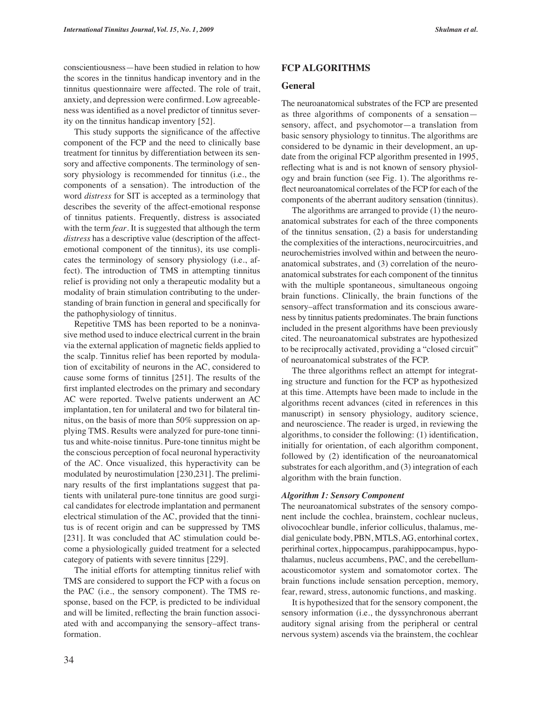conscientiousness—have been studied in relation to how the scores in the tinnitus handicap inventory and in the tinnitus questionnaire were affected. The role of trait, anxiety, and depression were confirmed. Low agreeableness was identified as a novel predictor of tinnitus severity on the tinnitus handicap inventory [52].

This study supports the significance of the affective component of the FCP and the need to clinically base treatment for tinnitus by differentiation between its sensory and affective components. The terminology of sensory physiology is recommended for tinnitus (i.e., the components of a sensation). The introduction of the word *distress* for SIT is accepted as a terminology that describes the severity of the affect-emotional response of tinnitus patients. Frequently, distress is associated with the term *fear.* It is suggested that although the term *distress* has a descriptive value (description of the affectemotional component of the tinnitus), its use complicates the terminology of sensory physiology (i.e., affect). The introduction of TMS in attempting tinnitus relief is providing not only a therapeutic modality but a modality of brain stimulation contributing to the understanding of brain function in general and specifically for the pathophysiology of tinnitus.

Repetitive TMS has been reported to be a noninvasive method used to induce electrical current in the brain via the external application of magnetic fields applied to the scalp. Tinnitus relief has been reported by modulation of excitability of neurons in the AC, considered to cause some forms of tinnitus [251]. The results of the first implanted electrodes on the primary and secondary AC were reported. Twelve patients underwent an AC implantation, ten for unilateral and two for bilateral tinnitus, on the basis of more than 50% suppression on applying TMS. Results were analyzed for pure-tone tinnitus and white-noise tinnitus. Pure-tone tinnitus might be the conscious perception of focal neuronal hyperactivity of the AC. Once visualized, this hyperactivity can be modulated by neurostimulation [230,231]. The preliminary results of the first implantations suggest that patients with unilateral pure-tone tinnitus are good surgical candidates for electrode implantation and permanent electrical stimulation of the AC, provided that the tinnitus is of recent origin and can be suppressed by TMS [231]. It was concluded that AC stimulation could become a physiologically guided treatment for a selected category of patients with severe tinnitus [229].

The initial efforts for attempting tinnitus relief with TMS are considered to support the FCP with a focus on the PAC (i.e., the sensory component). The TMS response, based on the FCP, is predicted to be individual and will be limited, reflecting the brain function associated with and accompanying the sensory–affect transformation.

# **FCP ALGORITHMS**

#### **General**

The neuroanatomical substrates of the FCP are presented as three algorithms of components of a sensation sensory, affect, and psychomotor—a translation from basic sensory physiology to tinnitus. The algorithms are considered to be dynamic in their development, an update from the original FCP algorithm presented in 1995, reflecting what is and is not known of sensory physiology and brain function (see Fig. 1). The algorithms reflect neuroanatomical correlates of the FCP for each of the components of the aberrant auditory sensation (tinnitus).

The algorithms are arranged to provide (1) the neuroanatomical substrates for each of the three components of the tinnitus sensation, (2) a basis for understanding the complexities of the interactions, neurocircuitries, and neurochemistries involved within and between the neuroanatomical substrates, and (3) correlation of the neuroanatomical substrates for each component of the tinnitus with the multiple spontaneous, simultaneous ongoing brain functions. Clinically, the brain functions of the sensory–affect transformation and its conscious awareness by tinnitus patients predominates. The brain functions included in the present algorithms have been previously cited. The neuroanatomical substrates are hypothesized to be reciprocally activated, providing a "closed circuit" of neuroanatomical substrates of the FCP.

The three algorithms reflect an attempt for integrating structure and function for the FCP as hypothesized at this time. Attempts have been made to include in the algorithms recent advances (cited in references in this manuscript) in sensory physiology, auditory science, and neuroscience. The reader is urged, in reviewing the algorithms, to consider the following: (1) identification, initially for orientation, of each algorithm component, followed by (2) identification of the neuroanatomical substrates for each algorithm, and (3) integration of each algorithm with the brain function.

#### *Algorithm 1: Sensory Component*

The neuroanatomical substrates of the sensory component include the cochlea, brainstem, cochlear nucleus, olivocochlear bundle, inferior colliculus, thalamus, medial geniculate body, PBN, MTLS, AG, entorhinal cortex, perirhinal cortex, hippocampus, parahippocampus, hypothalamus, nucleus accumbens, PAC, and the cerebellumacousticomotor system and somatomotor cortex. The brain functions include sensation perception, memory, fear, reward, stress, autonomic functions, and masking.

It is hypothesized that for the sensory component, the sensory information (i.e., the dyssynchronous aberrant auditory signal arising from the peripheral or central nervous system) ascends via the brainstem, the cochlear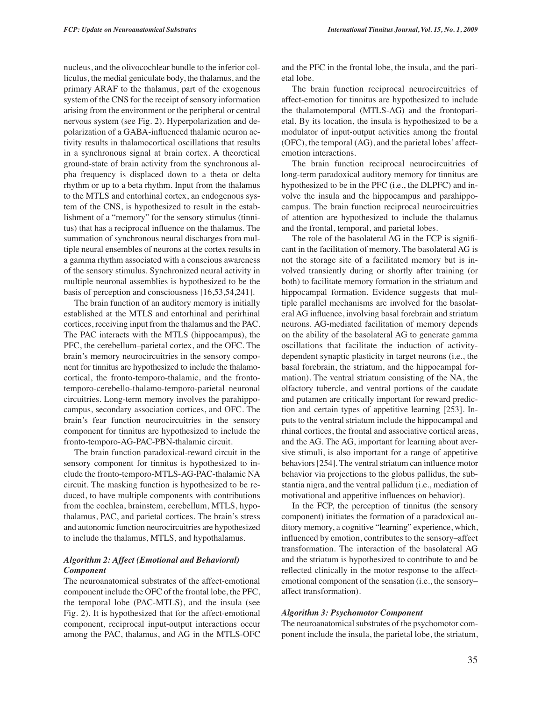nucleus, and the olivocochlear bundle to the inferior colliculus, the medial geniculate body, the thalamus, and the primary ARAF to the thalamus, part of the exogenous system of the CNS for the receipt of sensory information arising from the environment or the peripheral or central nervous system (see Fig. 2). Hyperpolarization and depolarization of a GABA-influenced thalamic neuron activity results in thalamocortical oscillations that results in a synchronous signal at brain cortex. A theoretical ground-state of brain activity from the synchronous alpha frequency is displaced down to a theta or delta rhythm or up to a beta rhythm. Input from the thalamus to the MTLS and entorhinal cortex, an endogenous system of the CNS, is hypothesized to result in the establishment of a "memory" for the sensory stimulus (tinnitus) that has a reciprocal influence on the thalamus. The summation of synchronous neural discharges from multiple neural ensembles of neurons at the cortex results in a gamma rhythm associated with a conscious awareness of the sensory stimulus. Synchronized neural activity in multiple neuronal assemblies is hypothesized to be the basis of perception and consciousness [16,53,54,241].

The brain function of an auditory memory is initially established at the MTLS and entorhinal and perirhinal cortices, receiving input from the thalamus and the PAC. The PAC interacts with the MTLS (hippocampus), the PFC, the cerebellum–parietal cortex, and the OFC. The brain's memory neurocircuitries in the sensory component for tinnitus are hypothesized to include the thalamocortical, the fronto-temporo-thalamic, and the frontotemporo-cerebello-thalamo-temporo-parietal neuronal circuitries. Long-term memory involves the parahippocampus, secondary association cortices, and OFC. The brain's fear function neurocircuitries in the sensory component for tinnitus are hypothesized to include the fronto-temporo-AG-PAC-PBN-thalamic circuit.

The brain function paradoxical-reward circuit in the sensory component for tinnitus is hypothesized to include the fronto-temporo-MTLS-AG-PAC-thalamic NA circuit. The masking function is hypothesized to be reduced, to have multiple components with contributions from the cochlea, brainstem, cerebellum, MTLS, hypothalamus, PAC, and parietal cortices. The brain's stress and autonomic function neurocircuitries are hypothesized to include the thalamus, MTLS, and hypothalamus.

#### *Algorithm 2: Affect (Emotional and Behavioral) Component*

The neuroanatomical substrates of the affect-emotional component include the OFC of the frontal lobe, the PFC, the temporal lobe (PAC-MTLS), and the insula (see Fig. 2). It is hypothesized that for the affect-emotional component, reciprocal input-output interactions occur among the PAC, thalamus, and AG in the MTLS-OFC

and the PFC in the frontal lobe, the insula, and the parietal lobe.

The brain function reciprocal neurocircuitries of affect-emotion for tinnitus are hypothesized to include the thalamotemporal (MTLS-AG) and the frontoparietal. By its location, the insula is hypothesized to be a modulator of input-output activities among the frontal (OFC), the temporal (AG), and the parietal lobes' affectemotion interactions.

The brain function reciprocal neurocircuitries of long-term paradoxical auditory memory for tinnitus are hypothesized to be in the PFC (i.e., the DLPFC) and involve the insula and the hippocampus and parahippocampus. The brain function reciprocal neurocircuitries of attention are hypothesized to include the thalamus and the frontal, temporal, and parietal lobes.

The role of the basolateral AG in the FCP is significant in the facilitation of memory. The basolateral AG is not the storage site of a facilitated memory but is involved transiently during or shortly after training (or both) to facilitate memory formation in the striatum and hippocampal formation. Evidence suggests that multiple parallel mechanisms are involved for the basolateral AG influence, involving basal forebrain and striatum neurons. AG-mediated facilitation of memory depends on the ability of the basolateral AG to generate gamma oscillations that facilitate the induction of activitydependent synaptic plasticity in target neurons (i.e., the basal forebrain, the striatum, and the hippocampal formation). The ventral striatum consisting of the NA, the olfactory tubercle, and ventral portions of the caudate and putamen are critically important for reward prediction and certain types of appetitive learning [253]. Inputs to the ventral striatum include the hippocampal and rhinal cortices, the frontal and associative cortical areas, and the AG. The AG, important for learning about aversive stimuli, is also important for a range of appetitive behaviors [254]. The ventral striatum can influence motor behavior via projections to the globus pallidus, the substantia nigra, and the ventral pallidum (i.e., mediation of motivational and appetitive influences on behavior).

In the FCP, the perception of tinnitus (the sensory component) initiates the formation of a paradoxical auditory memory, a cognitive "learning" experience, which, influenced by emotion, contributes to the sensory–affect transformation. The interaction of the basolateral AG and the striatum is hypothesized to contribute to and be reflected clinically in the motor response to the affectemotional component of the sensation (i.e., the sensory– affect transformation).

## *Algorithm 3: Psychomotor Component*

The neuroanatomical substrates of the psychomotor component include the insula, the parietal lobe, the striatum,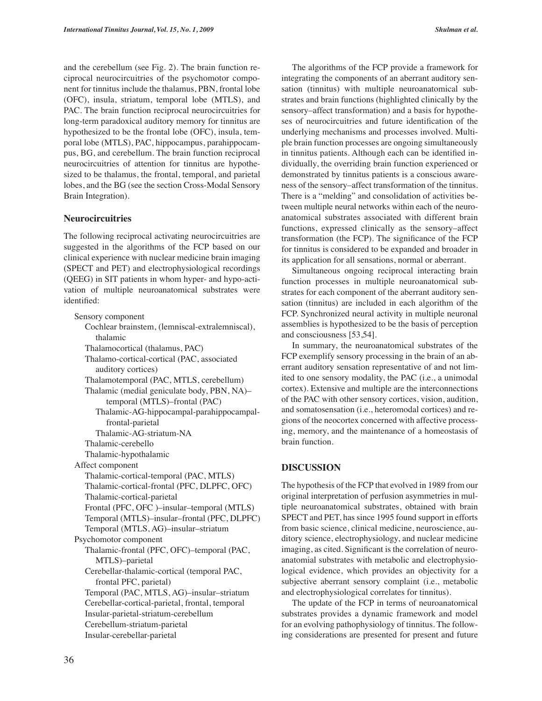and the cerebellum (see Fig. 2). The brain function reciprocal neurocircuitries of the psychomotor component for tinnitus include the thalamus, PBN, frontal lobe (OFC), insula, striatum, temporal lobe (MTLS), and PAC. The brain function reciprocal neurocircuitries for long-term paradoxical auditory memory for tinnitus are hypothesized to be the frontal lobe (OFC), insula, temporal lobe (MTLS), PAC, hippocampus, parahippocampus, BG, and cerebellum. The brain function reciprocal neurocircuitries of attention for tinnitus are hypothesized to be thalamus, the frontal, temporal, and parietal lobes, and the BG (see the section Cross-Modal Sensory Brain Integration).

## **Neurocircuitries**

The following reciprocal activating neurocircuitries are suggested in the algorithms of the FCP based on our clinical experience with nuclear medicine brain imaging (SPECT and PET) and electrophysiological recordings (QEEG) in SIT patients in whom hyper- and hypo-activation of multiple neuroanatomical substrates were identified:

Sensory component Cochlear brainstem, (lemniscal-extralemniscal), thalamic Thalamocortical (thalamus, PAC) Thalamo-cortical-cortical (PAC, associated auditory cortices) Thalamotemporal (PAC, MTLS, cerebellum) Thalamic (medial geniculate body, PBN, NA)– temporal (MTLS)–frontal (PAC) Thalamic-AG-hippocampal-parahippocampalfrontal-parietal Thalamic-AG-striatum-NA Thalamic-cerebello Thalamic-hypothalamic Affect component Thalamic-cortical-temporal (PAC, MTLS) Thalamic-cortical-frontal (PFC, DLPFC, OFC) Thalamic-cortical-parietal Frontal (PFC, OFC )–insular–temporal (MTLS) Temporal (MTLS)–insular–frontal (PFC, DLPFC) Temporal (MTLS, AG)–insular–striatum Psychomotor component Thalamic-frontal (PFC, OFC)–temporal (PAC, MTLS)–parietal Cerebellar-thalamic-cortical (temporal PAC, frontal PFC, parietal) Temporal (PAC, MTLS, AG)–insular–striatum Cerebellar-cortical-parietal, frontal, temporal Insular-parietal-striatum-cerebellum Cerebellum-striatum-parietal Insular-cerebellar-parietal

The algorithms of the FCP provide a framework for integrating the components of an aberrant auditory sensation (tinnitus) with multiple neuroanatomical substrates and brain functions (highlighted clinically by the sensory–affect transformation) and a basis for hypotheses of neurocircuitries and future identification of the underlying mechanisms and processes involved. Multiple brain function processes are ongoing simultaneously in tinnitus patients. Although each can be identified individually, the overriding brain function experienced or demonstrated by tinnitus patients is a conscious awareness of the sensory–affect transformation of the tinnitus. There is a "melding" and consolidation of activities between multiple neural networks within each of the neuroanatomical substrates associated with different brain functions, expressed clinically as the sensory–affect transformation (the FCP). The significance of the FCP for tinnitus is considered to be expanded and broader in its application for all sensations, normal or aberrant.

Simultaneous ongoing reciprocal interacting brain function processes in multiple neuroanatomical substrates for each component of the aberrant auditory sensation (tinnitus) are included in each algorithm of the FCP. Synchronized neural activity in multiple neuronal assemblies is hypothesized to be the basis of perception and consciousness [53,54].

In summary, the neuroanatomical substrates of the FCP exemplify sensory processing in the brain of an aberrant auditory sensation representative of and not limited to one sensory modality, the PAC (i.e., a unimodal cortex). Extensive and multiple are the interconnections of the PAC with other sensory cortices, vision, audition, and somatosensation (i.e., heteromodal cortices) and regions of the neocortex concerned with affective processing, memory, and the maintenance of a homeostasis of brain function.

## **DISCUSSION**

The hypothesis of the FCP that evolved in 1989 from our original interpretation of perfusion asymmetries in multiple neuroanatomical substrates, obtained with brain SPECT and PET, has since 1995 found support in efforts from basic science, clinical medicine, neuroscience, auditory science, electrophysiology, and nuclear medicine imaging, as cited. Significant is the correlation of neuroanatomial substrates with metabolic and electrophysiological evidence, which provides an objectivity for a subjective aberrant sensory complaint (i.e., metabolic and electrophysiological correlates for tinnitus).

The update of the FCP in terms of neuroanatomical substrates provides a dynamic framework and model for an evolving pathophysiology of tinnitus. The following considerations are presented for present and future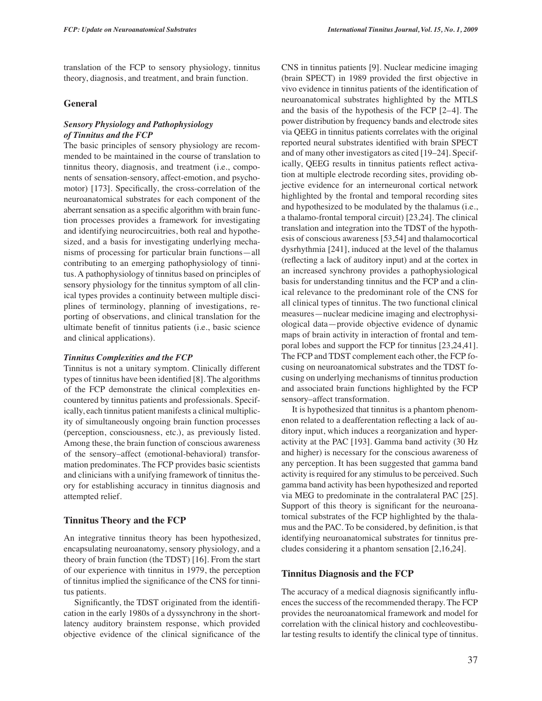translation of the FCP to sensory physiology, tinnitus theory, diagnosis, and treatment, and brain function.

## **General**

## *Sensory Physiology and Pathophysiology of Tinnitus and the FCP*

The basic principles of sensory physiology are recommended to be maintained in the course of translation to tinnitus theory, diagnosis, and treatment (i.e., components of sensation-sensory, affect-emotion, and psychomotor) [173]. Specifically, the cross-correlation of the neuroanatomical substrates for each component of the aberrant sensation as a specific algorithm with brain function processes provides a framework for investigating and identifying neurocircuitries, both real and hypothesized, and a basis for investigating underlying mechanisms of processing for particular brain functions—all contributing to an emerging pathophysiology of tinnitus. A pathophysiology of tinnitus based on principles of sensory physiology for the tinnitus symptom of all clinical types provides a continuity between multiple disciplines of terminology, planning of investigations, reporting of observations, and clinical translation for the ultimate benefit of tinnitus patients (i.e., basic science and clinical applications).

#### *Tinnitus Complexities and the FCP*

Tinnitus is not a unitary symptom. Clinically different types of tinnitus have been identified [8]. The algorithms of the FCP demonstrate the clinical complexities encountered by tinnitus patients and professionals. Specifically, each tinnitus patient manifests a clinical multiplicity of simultaneously ongoing brain function processes (perception, consciousness, etc.), as previously listed. Among these, the brain function of conscious awareness of the sensory–affect (emotional-behavioral) transformation predominates. The FCP provides basic scientists and clinicians with a unifying framework of tinnitus theory for establishing accuracy in tinnitus diagnosis and attempted relief.

#### **Tinnitus Theory and the FCP**

An integrative tinnitus theory has been hypothesized, encapsulating neuroanatomy, sensory physiology, and a theory of brain function (the TDST) [16]. From the start of our experience with tinnitus in 1979, the perception of tinnitus implied the significance of the CNS for tinnitus patients.

Significantly, the TDST originated from the identification in the early 1980s of a dyssynchrony in the shortlatency auditory brainstem response, which provided objective evidence of the clinical significance of the

CNS in tinnitus patients [9]. Nuclear medicine imaging (brain SPECT) in 1989 provided the first objective in vivo evidence in tinnitus patients of the identification of neuroanatomical substrates highlighted by the MTLS and the basis of the hypothesis of the FCP [2–4]. The power distribution by frequency bands and electrode sites via QEEG in tinnitus patients correlates with the original reported neural substrates identified with brain SPECT and of many other investigators as cited [19–24]. Specifically, QEEG results in tinnitus patients reflect activation at multiple electrode recording sites, providing objective evidence for an interneuronal cortical network highlighted by the frontal and temporal recording sites and hypothesized to be modulated by the thalamus (i.e., a thalamo-frontal temporal circuit) [23,24]. The clinical translation and integration into the TDST of the hypothesis of conscious awareness [53,54] and thalamocortical dysrhythmia [241], induced at the level of the thalamus (reflecting a lack of auditory input) and at the cortex in an increased synchrony provides a pathophysiological basis for understanding tinnitus and the FCP and a clinical relevance to the predominant role of the CNS for all clinical types of tinnitus. The two functional clinical measures—nuclear medicine imaging and electrophysiological data—provide objective evidence of dynamic maps of brain activity in interaction of frontal and temporal lobes and support the FCP for tinnitus [23,24,41]. The FCP and TDST complement each other, the FCP focusing on neuroanatomical substrates and the TDST focusing on underlying mechanisms of tinnitus production and associated brain functions highlighted by the FCP sensory–affect transformation.

It is hypothesized that tinnitus is a phantom phenomenon related to a deafferentation reflecting a lack of auditory input, which induces a reorganization and hyperactivity at the PAC [193]. Gamma band activity (30 Hz and higher) is necessary for the conscious awareness of any perception. It has been suggested that gamma band activity is required for any stimulus to be perceived. Such gamma band activity has been hypothesized and reported via MEG to predominate in the contralateral PAC [25]. Support of this theory is significant for the neuroanatomical substrates of the FCP highlighted by the thalamus and the PAC. To be considered, by definition, is that identifying neuroanatomical substrates for tinnitus precludes considering it a phantom sensation [2,16,24].

#### **Tinnitus Diagnosis and the FCP**

The accuracy of a medical diagnosis significantly influences the success of the recommended therapy. The FCP provides the neuroanatomical framework and model for correlation with the clinical history and cochleovestibular testing results to identify the clinical type of tinnitus.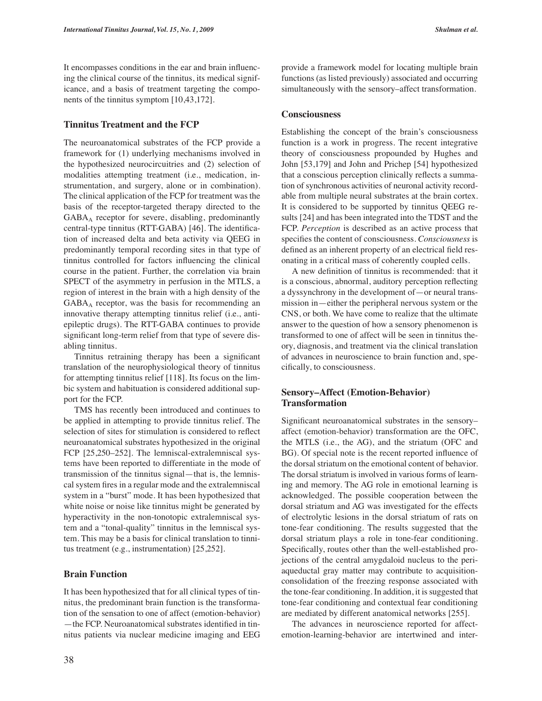It encompasses conditions in the ear and brain influencing the clinical course of the tinnitus, its medical significance, and a basis of treatment targeting the components of the tinnitus symptom [10,43,172].

#### **Tinnitus Treatment and the FCP**

The neuroanatomical substrates of the FCP provide a framework for (1) underlying mechanisms involved in the hypothesized neurocircuitries and (2) selection of modalities attempting treatment (i.e., medication, instrumentation, and surgery, alone or in combination). The clinical application of the FCP for treatment was the basis of the receptor-targeted therapy directed to the GABAA receptor for severe, disabling, predominantly central-type tinnitus (RTT-GABA) [46]. The identification of increased delta and beta activity via QEEG in predominantly temporal recording sites in that type of tinnitus controlled for factors influencing the clinical course in the patient. Further, the correlation via brain SPECT of the asymmetry in perfusion in the MTLS, a region of interest in the brain with a high density of the  $GABA<sub>A</sub>$  receptor, was the basis for recommending an innovative therapy attempting tinnitus relief (i.e., antiepileptic drugs). The RTT-GABA continues to provide significant long-term relief from that type of severe disabling tinnitus.

Tinnitus retraining therapy has been a significant translation of the neurophysiological theory of tinnitus for attempting tinnitus relief [118]. Its focus on the limbic system and habituation is considered additional support for the FCP.

TMS has recently been introduced and continues to be applied in attempting to provide tinnitus relief. The selection of sites for stimulation is considered to reflect neuroanatomical substrates hypothesized in the original FCP [25,250–252]. The lemniscal-extralemniscal systems have been reported to differentiate in the mode of transmission of the tinnitus signal—that is, the lemniscal system fires in a regular mode and the extralemniscal system in a "burst" mode. It has been hypothesized that white noise or noise like tinnitus might be generated by hyperactivity in the non-tonotopic extralemniscal system and a "tonal-quality" tinnitus in the lemniscal system. This may be a basis for clinical translation to tinnitus treatment (e.g., instrumentation) [25,252].

#### **Brain Function**

It has been hypothesized that for all clinical types of tinnitus, the predominant brain function is the transformation of the sensation to one of affect (emotion-behavior) —the FCP. Neuroanatomical substrates identified in tinnitus patients via nuclear medicine imaging and EEG provide a framework model for locating multiple brain functions (as listed previously) associated and occurring simultaneously with the sensory–affect transformation.

#### **Consciousness**

Establishing the concept of the brain's consciousness function is a work in progress. The recent integrative theory of consciousness propounded by Hughes and John [53,179] and John and Prichep [54] hypothesized that a conscious perception clinically reflects a summation of synchronous activities of neuronal activity recordable from multiple neural substrates at the brain cortex. It is considered to be supported by tinnitus QEEG results [24] and has been integrated into the TDST and the FCP. *Perception* is described as an active process that specifies the content of consciousness. *Consciousness* is defined as an inherent property of an electrical field resonating in a critical mass of coherently coupled cells.

A new definition of tinnitus is recommended: that it is a conscious, abnormal, auditory perception reflecting a dyssynchrony in the development of—or neural transmission in—either the peripheral nervous system or the CNS, or both. We have come to realize that the ultimate answer to the question of how a sensory phenomenon is transformed to one of affect will be seen in tinnitus theory, diagnosis, and treatment via the clinical translation of advances in neuroscience to brain function and, specifically, to consciousness.

## **Sensory–Affect (Emotion-Behavior) Transformation**

Significant neuroanatomical substrates in the sensory– affect (emotion-behavior) transformation are the OFC, the MTLS (i.e., the AG), and the striatum (OFC and BG). Of special note is the recent reported influence of the dorsal striatum on the emotional content of behavior. The dorsal striatum is involved in various forms of learning and memory. The AG role in emotional learning is acknowledged. The possible cooperation between the dorsal striatum and AG was investigated for the effects of electrolytic lesions in the dorsal striatum of rats on tone-fear conditioning. The results suggested that the dorsal striatum plays a role in tone-fear conditioning. Specifically, routes other than the well-established projections of the central amygdaloid nucleus to the periaqueductal gray matter may contribute to acquisitionconsolidation of the freezing response associated with the tone-fear conditioning. In addition, it is suggested that tone-fear conditioning and contextual fear conditioning are mediated by different anatomical networks [255].

The advances in neuroscience reported for affectemotion-learning-behavior are intertwined and inter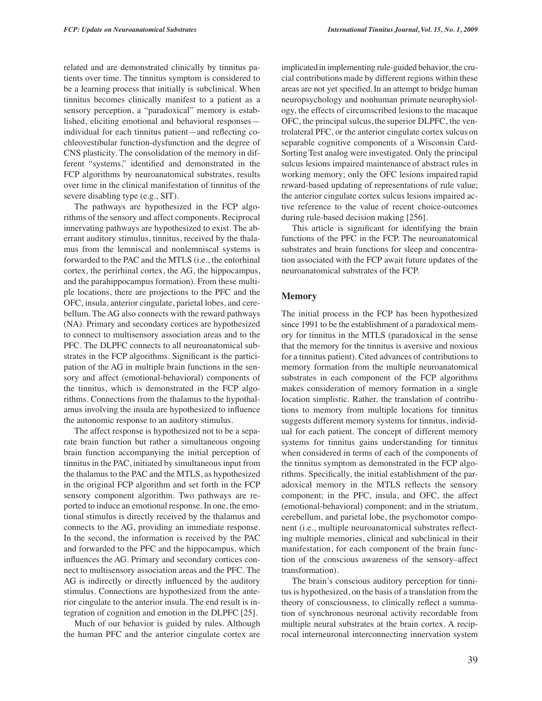related and are demonstrated clinically by tinnitus patients over time. The tinnitus symptom is considered to be a learning process that initially is subclinical. When tinnitus becomes clinically manifest to a patient as a sensory perception, a "paradoxical" memory is established, eliciting emotional and behavioral responses individual for each tinnitus patient—and reflecting cochleovestibular function-dysfunction and the degree of CNS plasticity. The consolidation of the memory in different "systems," identified and demonstrated in the FCP algorithms by neuroanatomical substrates, results over time in the clinical manifestation of tinnitus of the severe disabling type (e.g., SIT).

The pathways are hypothesized in the FCP algorithms of the sensory and affect components. Reciprocal innervating pathways are hypothesized to exist. The aberrant auditory stimulus, tinnitus, received by the thalamus from the lemniscal and nonlemniscal systems is forwarded to the PAC and the MTLS (i.e., the entorhinal cortex, the perirhinal cortex, the AG, the hippocampus, and the parahippocampus formation). From these multiple locations, there are projections to the PFC and the OFC, insula, anterior cingulate, parietal lobes, and cerebellum. The AG also connects with the reward pathways (NA). Primary and secondary cortices are hypothesized to connect to multisensory association areas and to the PFC. The DLPFC connects to all neuroanatomical substrates in the FCP algorithms. Significant is the participation of the AG in multiple brain functions in the sensory and affect (emotional-behavioral) components of the tinnitus, which is demonstrated in the FCP algorithms. Connections from the thalamus to the hypothalamus involving the insula are hypothesized to influence the autonomic response to an auditory stimulus.

The affect response is hypothesized not to be a separate brain function but rather a simultaneous ongoing brain function accompanying the initial perception of tinnitus in the PAC, initiated by simultaneous input from the thalamus to the PAC and the MTLS, as hypothesized in the original FCP algorithm and set forth in the FCP sensory component algorithm. Two pathways are reported to induce an emotional response. In one, the emotional stimulus is directly received by the thalamus and connects to the AG, providing an immediate response. In the second, the information is received by the PAC and forwarded to the PFC and the hippocampus, which influences the AG. Primary and secondary cortices connect to multisensory association areas and the PFC. The AG is indirectly or directly influenced by the auditory stimulus. Connections are hypothesized from the anterior cingulate to the anterior insula. The end result is integration of cognition and emotion in the DLPFC [25].

Much of our behavior is guided by rules. Although the human PFC and the anterior cingulate cortex are

implicatedin implementing rule-guided behavior, the crucial contributionsmade by different regions within these areas are not yet specified.In an attempt to bridge human neuropsychology and nonhuman primate neurophysiology, the effects of circumscribed lesionsto the macaque OFC, the principal sulcus, the superior DLPFC, the ventrolateral PFC, or the anterior cingulate cortex sulcus on separable cognitive components of a Wisconsin Card-SortingTest analog were investigated. Only the principal sulcus lesions impaired maintenance of abstract rules in working memory; only the OFC lesions impaired rapid reward-based updating of representations of rule value; the anterior cingulate cortex sulcus lesions impaired active reference to the value of recent choice-outcomes during rule-based decision making [256].

This article is significant for identifying the brain functions of the PFC in the FCP. The neuroanatomical substrates and brain functions for sleep and concentration associated with the FCP await future updates of the neuroanatomical substrates of the FCP.

#### **Memory**

The initial process in the FCP has been hypothesized since 1991 to be the establishment of a paradoxical memory for tinnitus in the MTLS (paradoxical in the sense that the memory for the tinnitus is aversive and noxious for a tinnitus patient). Cited advances of contributions to memory formation from the multiple neuroanatomical substrates in each component of the FCP algorithms makes consideration of memory formation in a single location simplistic. Rather, the translation of contributions to memory from multiple locations for tinnitus suggests different memory systems for tinnitus, individual for each patient. The concept of different memory systems for tinnitus gains understanding for tinnitus when considered in terms of each of the components of the tinnitus symptom as demonstrated in the FCP algorithms. Specifically, the initial establishment of the paradoxical memory in the MTLS reflects the sensory component; in the PFC, insula, and OFC, the affect (emotional-behavioral) component; and in the striatum, cerebellum, and parietal lobe, the psychomotor component (i.e., multiple neuroanatomical substrates reflecting multiple memories, clinical and subclinical in their manifestation, for each component of the brain function of the conscious awareness of the sensory–affect transformation).

The brain's conscious auditory perception for tinnitus is hypothesized, on the basis of a translation from the theory of consciousness, to clinically reflect a summation of synchronous neuronal activity recordable from multiple neural substrates at the brain cortex. A reciprocal interneuronal interconnecting innervation system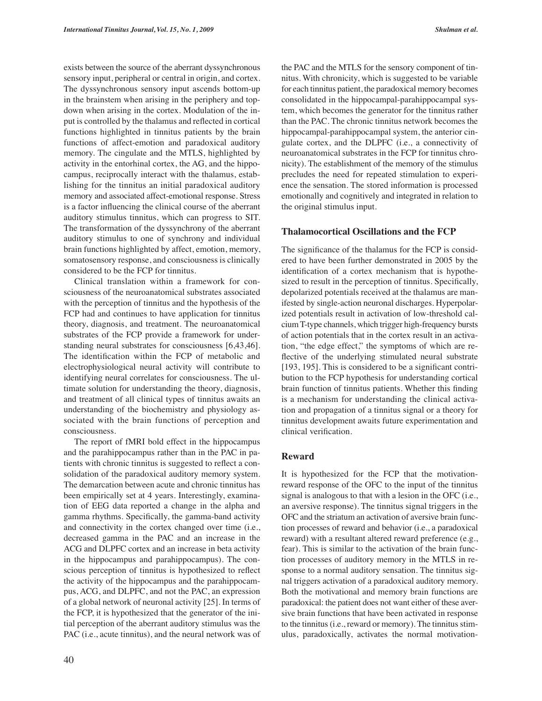exists between the source of the aberrant dyssynchronous sensory input, peripheral or central in origin, and cortex. The dyssynchronous sensory input ascends bottom-up in the brainstem when arising in the periphery and topdown when arising in the cortex. Modulation of the input is controlled by the thalamus and reflected in cortical functions highlighted in tinnitus patients by the brain functions of affect-emotion and paradoxical auditory memory. The cingulate and the MTLS, highlighted by activity in the entorhinal cortex, the AG, and the hippocampus, reciprocally interact with the thalamus, establishing for the tinnitus an initial paradoxical auditory memory and associated affect-emotional response. Stress is a factor influencing the clinical course of the aberrant auditory stimulus tinnitus, which can progress to SIT. The transformation of the dyssynchrony of the aberrant auditory stimulus to one of synchrony and individual brain functions highlighted by affect, emotion, memory, somatosensory response, and consciousness is clinically considered to be the FCP for tinnitus.

Clinical translation within a framework for consciousness of the neuroanatomical substrates associated with the perception of tinnitus and the hypothesis of the FCP had and continues to have application for tinnitus theory, diagnosis, and treatment. The neuroanatomical substrates of the FCP provide a framework for understanding neural substrates for consciousness [6,43,46]. The identification within the FCP of metabolic and electrophysiological neural activity will contribute to identifying neural correlates for consciousness. The ultimate solution for understanding the theory, diagnosis, and treatment of all clinical types of tinnitus awaits an understanding of the biochemistry and physiology associated with the brain functions of perception and consciousness.

The report of fMRI bold effect in the hippocampus and the parahippocampus rather than in the PAC in patients with chronic tinnitus is suggested to reflect a consolidation of the paradoxical auditory memory system. The demarcation between acute and chronic tinnitus has been empirically set at 4 years. Interestingly, examination of EEG data reported a change in the alpha and gamma rhythms. Specifically, the gamma-band activity and connectivity in the cortex changed over time (i.e., decreased gamma in the PAC and an increase in the ACG and DLPFC cortex and an increase in beta activity in the hippocampus and parahippocampus). The conscious perception of tinnitus is hypothesized to reflect the activity of the hippocampus and the parahippocampus, ACG, and DLPFC, and not the PAC, an expression of a global network of neuronal activity [25]. In terms of the FCP, it is hypothesized that the generator of the initial perception of the aberrant auditory stimulus was the PAC (i.e., acute tinnitus), and the neural network was of

the PAC and the MTLS for the sensory component of tinnitus. With chronicity, which is suggested to be variable for each tinnitus patient, the paradoxical memory becomes consolidated in the hippocampal-parahippocampal system, which becomes the generator for the tinnitus rather than the PAC. The chronic tinnitus network becomes the hippocampal-parahippocampal system, the anterior cingulate cortex, and the DLPFC (i.e., a connectivity of neuroanatomical substrates in the FCP for tinnitus chronicity). The establishment of the memory of the stimulus precludes the need for repeated stimulation to experience the sensation. The stored information is processed emotionally and cognitively and integrated in relation to the original stimulus input.

#### **Thalamocortical Oscillations and the FCP**

The significance of the thalamus for the FCP is considered to have been further demonstrated in 2005 by the identification of a cortex mechanism that is hypothesized to result in the perception of tinnitus. Specifically, depolarized potentials received at the thalamus are manifested by single-action neuronal discharges. Hyperpolarized potentials result in activation of low-threshold calcium T-type channels, which trigger high-frequency bursts of action potentials that in the cortex result in an activation, "the edge effect," the symptoms of which are reflective of the underlying stimulated neural substrate [193, 195]. This is considered to be a significant contribution to the FCP hypothesis for understanding cortical brain function of tinnitus patients. Whether this finding is a mechanism for understanding the clinical activation and propagation of a tinnitus signal or a theory for tinnitus development awaits future experimentation and clinical verification.

#### **Reward**

It is hypothesized for the FCP that the motivationreward response of the OFC to the input of the tinnitus signal is analogous to that with a lesion in the OFC (i.e., an aversive response). The tinnitus signal triggers in the OFC and the striatum an activation of aversive brain function processes of reward and behavior (i.e., a paradoxical reward) with a resultant altered reward preference (e.g., fear). This is similar to the activation of the brain function processes of auditory memory in the MTLS in response to a normal auditory sensation. The tinnitus signal triggers activation of a paradoxical auditory memory. Both the motivational and memory brain functions are paradoxical: the patient does not want either of these aversive brain functions that have been activated in response to the tinnitus (i.e., reward or memory). The tinnitus stimulus, paradoxically, activates the normal motivation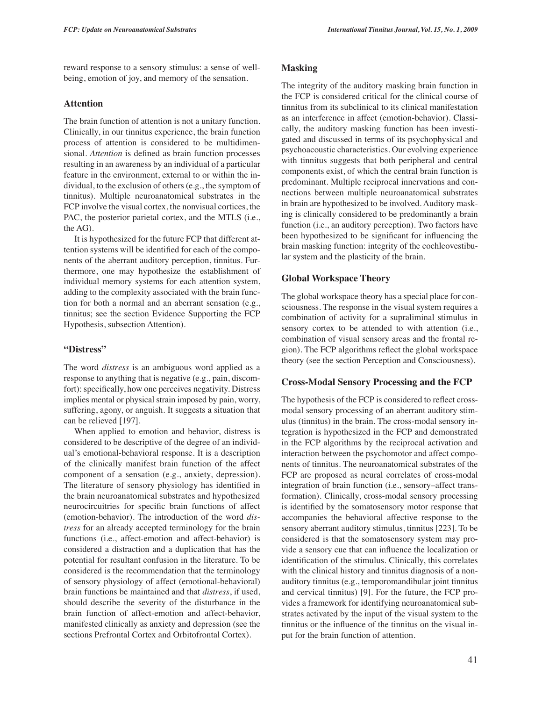reward response to a sensory stimulus: a sense of wellbeing, emotion of joy, and memory of the sensation.

## **Attention**

The brain function of attention is not a unitary function. Clinically, in our tinnitus experience, the brain function process of attention is considered to be multidimensional. *Attention* is defined as brain function processes resulting in an awareness by an individual of a particular feature in the environment, external to or within the individual, to the exclusion of others (e.g., the symptom of tinnitus). Multiple neuroanatomical substrates in the FCP involve the visual cortex, the nonvisual cortices, the PAC, the posterior parietal cortex, and the MTLS (i.e., the AG).

It is hypothesized for the future FCP that different attention systems will be identified for each of the components of the aberrant auditory perception, tinnitus. Furthermore, one may hypothesize the establishment of individual memory systems for each attention system, adding to the complexity associated with the brain function for both a normal and an aberrant sensation (e.g., tinnitus; see the section Evidence Supporting the FCP Hypothesis, subsection Attention).

#### **"Distress"**

The word *distress* is an ambiguous word applied as a response to anything that is negative (e.g., pain, discomfort): specifically, how one perceives negativity. Distress implies mental or physical strain imposed by pain, worry, suffering, agony, or anguish. It suggests a situation that can be relieved [197].

When applied to emotion and behavior, distress is considered to be descriptive of the degree of an individual's emotional-behavioral response. It is a description of the clinically manifest brain function of the affect component of a sensation (e.g., anxiety, depression). The literature of sensory physiology has identified in the brain neuroanatomical substrates and hypothesized neurocircuitries for specific brain functions of affect (emotion-behavior). The introduction of the word *distress* for an already accepted terminology for the brain functions (i.e., affect-emotion and affect-behavior) is considered a distraction and a duplication that has the potential for resultant confusion in the literature. To be considered is the recommendation that the terminology of sensory physiology of affect (emotional-behavioral) brain functions be maintained and that *distress*, if used, should describe the severity of the disturbance in the brain function of affect-emotion and affect-behavior, manifested clinically as anxiety and depression (see the sections Prefrontal Cortex and Orbitofrontal Cortex).

## **Masking**

The integrity of the auditory masking brain function in the FCP is considered critical for the clinical course of tinnitus from its subclinical to its clinical manifestation as an interference in affect (emotion-behavior). Classically, the auditory masking function has been investigated and discussed in terms of its psychophysical and psychoacoustic characteristics. Our evolving experience with tinnitus suggests that both peripheral and central components exist, of which the central brain function is predominant. Multiple reciprocal innervations and connections between multiple neuroanatomical substrates in brain are hypothesized to be involved. Auditory masking is clinically considered to be predominantly a brain function (i.e., an auditory perception). Two factors have been hypothesized to be significant for influencing the brain masking function: integrity of the cochleovestibular system and the plasticity of the brain.

## **Global Workspace Theory**

The global workspace theory has a special place for consciousness. The response in the visual system requires a combination of activity for a supraliminal stimulus in sensory cortex to be attended to with attention (i.e., combination of visual sensory areas and the frontal region). The FCP algorithms reflect the global workspace theory (see the section Perception and Consciousness).

#### **Cross-Modal Sensory Processing and the FCP**

The hypothesis of the FCP is considered to reflect crossmodal sensory processing of an aberrant auditory stimulus (tinnitus) in the brain. The cross-modal sensory integration is hypothesized in the FCP and demonstrated in the FCP algorithms by the reciprocal activation and interaction between the psychomotor and affect components of tinnitus. The neuroanatomical substrates of the FCP are proposed as neural correlates of cross-modal integration of brain function (i.e., sensory–affect transformation). Clinically, cross-modal sensory processing is identified by the somatosensory motor response that accompanies the behavioral affective response to the sensory aberrant auditory stimulus, tinnitus [223]. To be considered is that the somatosensory system may provide a sensory cue that can influence the localization or identification of the stimulus. Clinically, this correlates with the clinical history and tinnitus diagnosis of a nonauditory tinnitus (e.g., temporomandibular joint tinnitus and cervical tinnitus) [9]. For the future, the FCP provides a framework for identifying neuroanatomical substrates activated by the input of the visual system to the tinnitus or the influence of the tinnitus on the visual input for the brain function of attention.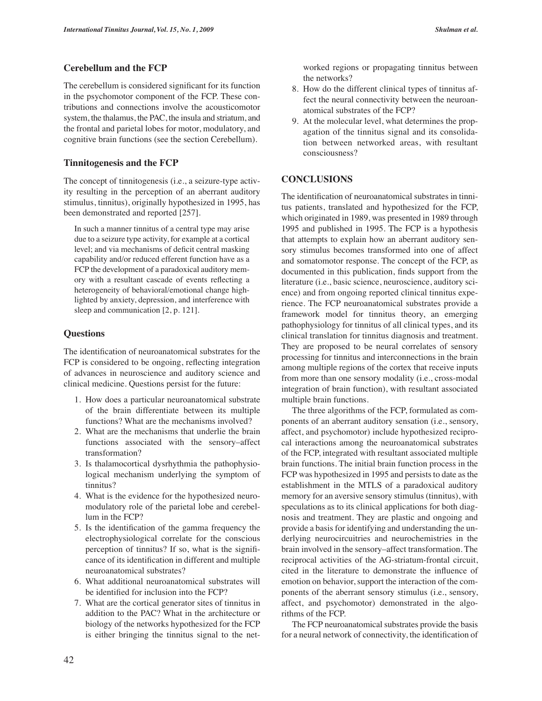## **Cerebellum and the FCP**

The cerebellum is considered significant for its function in the psychomotor component of the FCP. These contributions and connections involve the acousticomotor system, the thalamus, the PAC, the insula and striatum, and the frontal and parietal lobes for motor, modulatory, and cognitive brain functions (see the section Cerebellum).

## **Tinnitogenesis and the FCP**

The concept of tinnitogenesis (i.e., a seizure-type activity resulting in the perception of an aberrant auditory stimulus, tinnitus), originally hypothesized in 1995, has been demonstrated and reported [257].

In such a manner tinnitus of a central type may arise due to a seizure type activity, for example at a cortical level; and via mechanisms of deficit central masking capability and/or reduced efferent function have as a FCP the development of a paradoxical auditory memory with a resultant cascade of events reflecting a heterogeneity of behavioral/emotional change highlighted by anxiety, depression, and interference with sleep and communication [2, p. 121].

#### **Questions**

The identification of neuroanatomical substrates for the FCP is considered to be ongoing, reflecting integration of advances in neuroscience and auditory science and clinical medicine. Questions persist for the future:

- 1. How does a particular neuroanatomical substrate of the brain differentiate between its multiple functions? What are the mechanisms involved?
- 2. What are the mechanisms that underlie the brain functions associated with the sensory–affect transformation?
- 3. Is thalamocortical dysrhythmia the pathophysiological mechanism underlying the symptom of tinnitus?
- 4. What is the evidence for the hypothesized neuromodulatory role of the parietal lobe and cerebellum in the FCP?
- 5. Is the identification of the gamma frequency the electrophysiological correlate for the conscious perception of tinnitus? If so, what is the significance of its identification in different and multiple neuroanatomical substrates?
- 6. What additional neuroanatomical substrates will be identified for inclusion into the FCP?
- 7. What are the cortical generator sites of tinnitus in addition to the PAC? What in the architecture or biology of the networks hypothesized for the FCP is either bringing the tinnitus signal to the net-

worked regions or propagating tinnitus between the networks?

- 8. How do the different clinical types of tinnitus affect the neural connectivity between the neuroanatomical substrates of the FCP?
- 9. At the molecular level, what determines the propagation of the tinnitus signal and its consolidation between networked areas, with resultant consciousness?

## **CONCLUSIONS**

The identification of neuroanatomical substrates in tinnitus patients, translated and hypothesized for the FCP, which originated in 1989, was presented in 1989 through 1995 and published in 1995. The FCP is a hypothesis that attempts to explain how an aberrant auditory sensory stimulus becomes transformed into one of affect and somatomotor response. The concept of the FCP, as documented in this publication, finds support from the literature (i.e., basic science, neuroscience, auditory science) and from ongoing reported clinical tinnitus experience. The FCP neuroanatomical substrates provide a framework model for tinnitus theory, an emerging pathophysiology for tinnitus of all clinical types, and its clinical translation for tinnitus diagnosis and treatment. They are proposed to be neural correlates of sensory processing for tinnitus and interconnections in the brain among multiple regions of the cortex that receive inputs from more than one sensory modality (i.e., cross-modal integration of brain function), with resultant associated multiple brain functions.

The three algorithms of the FCP, formulated as components of an aberrant auditory sensation (i.e., sensory, affect, and psychomotor) include hypothesized reciprocal interactions among the neuroanatomical substrates of the FCP, integrated with resultant associated multiple brain functions. The initial brain function process in the FCP was hypothesized in 1995 and persists to date as the establishment in the MTLS of a paradoxical auditory memory for an aversive sensory stimulus (tinnitus), with speculations as to its clinical applications for both diagnosis and treatment. They are plastic and ongoing and provide a basis for identifying and understanding the underlying neurocircuitries and neurochemistries in the brain involved in the sensory–affect transformation. The reciprocal activities of the AG-striatum-frontal circuit, cited in the literature to demonstrate the influence of emotion on behavior, support the interaction of the components of the aberrant sensory stimulus (i.e., sensory, affect, and psychomotor) demonstrated in the algorithms of the FCP.

The FCP neuroanatomical substrates provide the basis for a neural network of connectivity, the identification of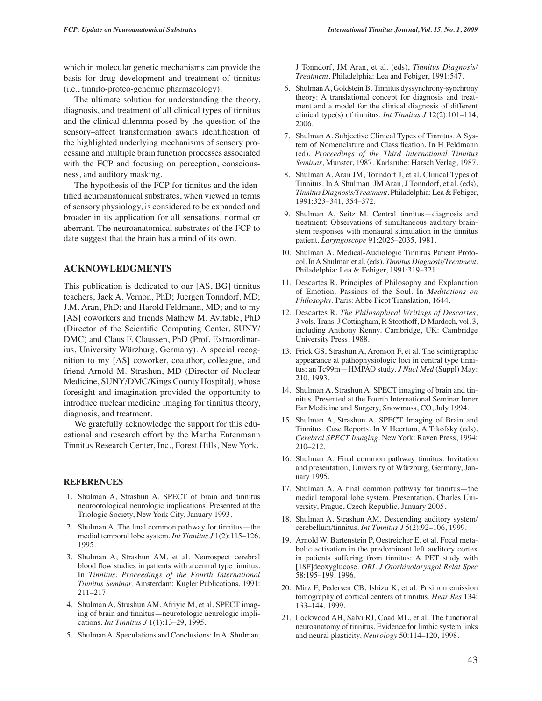which in molecular genetic mechanisms can provide the basis for drug development and treatment of tinnitus (i.e., tinnito-proteo-genomic pharmacology).

The ultimate solution for understanding the theory, diagnosis, and treatment of all clinical types of tinnitus and the clinical dilemma posed by the question of the sensory–affect transformation awaits identification of the highlighted underlying mechanisms of sensory processing and multiple brain function processes associated with the FCP and focusing on perception, consciousness, and auditory masking.

The hypothesis of the FCP for tinnitus and the identified neuroanatomical substrates, when viewed in terms of sensory physiology, is considered to be expanded and broader in its application for all sensations, normal or aberrant. The neuroanatomical substrates of the FCP to date suggest that the brain has a mind of its own.

## **ACKNOWLEDGMENTS**

This publication is dedicated to our [AS, BG] tinnitus teachers, Jack A. Vernon, PhD; Juergen Tonndorf, MD; J.M. Aran, PhD; and Harold Feldmann, MD; and to my [AS] coworkers and friends Mathew M. Avitable, PhD (Director of the Scientific Computing Center, SUNY/ DMC) and Claus F. Claussen, PhD (Prof. Extraordinarius, University Würzburg, Germany). A special recognition to my [AS] coworker, coauthor, colleague, and friend Arnold M. Strashun, MD (Director of Nuclear Medicine, SUNY/DMC/Kings County Hospital), whose foresight and imagination provided the opportunity to introduce nuclear medicine imaging for tinnitus theory, diagnosis, and treatment.

We gratefully acknowledge the support for this educational and research effort by the Martha Entenmann Tinnitus Research Center, Inc., Forest Hills, New York.

#### **REFERENCES**

- 1. Shulman A, Strashun A. SPECT of brain and tinnitus neurootological neurologic implications. Presented at the Triologic Society, New York City, January 1993.
- 2. Shulman A. The final common pathway for tinnitus—the medial temporal lobe system. *Int Tinnitus J* 1(2):115–126, 1995.
- 3. Shulman A, Strashun AM, et al. Neurospect cerebral blood flow studies in patients with a central type tinnitus. In *Tinnitus. Proceedings of the Fourth International Tinnitus Seminar.* Amsterdam: Kugler Publications, 1991: 211–217.
- 4. Shulman A, Strashun AM, Afriyie M, et al. SPECT imaging of brain and tinnitus—neurotologic neurologic implications. *Int Tinnitus J* 1(1):13–29, 1995.
- 5. Shulman A. Speculations and Conclusions: In A. Shulman,

J Tonndorf, JM Aran, et al. (eds), *Tinnitus Diagnosis/ Treatment.* Philadelphia: Lea and Febiger, 1991:547.

- 6. Shulman A, Goldstein B. Tinnitus dyssynchrony-synchrony theory: A translational concept for diagnosis and treatment and a model for the clinical diagnosis of different clinical type(s) of tinnitus. *Int Tinnitus J* 12(2):101–114, 2006.
- 7. Shulman A. Subjective Clinical Types of Tinnitus. A System of Nomenclature and Classification. In H Feldmann (ed), *Proceedings of the Third International Tinnitus Seminar*, Munster, 1987. Karlsruhe: Harsch Verlag, 1987.
- 8. Shulman A, Aran JM, Tonndorf J, et al. Clinical Types of Tinnitus. In A Shulman, JM Aran, J Tonndorf, et al. (eds), *Tinnitus Diagnosis/Treatment.* Philadelphia: Lea & Febiger, 1991:323–341, 354–372.
- 9. Shulman A, Seitz M. Central tinnitus—diagnosis and treatment: Observations of simultaneous auditory brainstem responses with monaural stimulation in the tinnitus patient. *Laryngoscope* 91:2025–2035, 1981.
- 10. Shulman A. Medical-Audiologic Tinnitus Patient Protocol. In A Shulman et al. (eds), *Tinnitus Diagnosis/Treatment.* Philadelphia: Lea & Febiger, 1991:319–321.
- 11. Descartes R. Principles of Philosophy and Explanation of Emotion; Passions of the Soul. In *Meditations on Philosophy.* Paris: Abbe Picot Translation, 1644.
- 12. Descartes R. *The Philosophical Writings of Descartes*, 3 vols. Trans. J Cottingham, R Stoothoff, D Murdoch, vol. 3, including Anthony Kenny. Cambridge, UK: Cambridge University Press, 1988.
- 13. Frick GS, Strashun A, Aronson F, et al. The scintigraphic appearance at pathophysiologic loci in central type tinnitus; an Tc99m—HMPAO study. *J Nucl Med* (Suppl) May: 210, 1993.
- 14. Shulman A, Strashun A. SPECT imaging of brain and tinnitus. Presented at the Fourth International Seminar Inner Ear Medicine and Surgery, Snowmass, CO, July 1994.
- 15. Shulman A, Strashun A. SPECT Imaging of Brain and Tinnitus. Case Reports. In V Heertum, A Tikofsky (eds), *Cerebral SPECT Imaging.* New York: Raven Press, 1994: 210–212.
- 16. Shulman A. Final common pathway tinnitus. Invitation and presentation, University of Würzburg, Germany, January 1995.
- 17. Shulman A. A final common pathway for tinnitus—the medial temporal lobe system. Presentation, Charles University, Prague, Czech Republic, January 2005.
- 18. Shulman A, Strashun AM. Descending auditory system/ cerebellum/tinnitus. *Int Tinnitus J* 5(2):92–106, 1999.
- 19. Arnold W, Bartenstein P, Oestreicher E, et al. Focal metabolic activation in the predominant left auditory cortex in patients suffering from tinnitus: A PET study with [18F]deoxyglucose. *ORL J Otorhinolaryngol Relat Spec* 58:195–199, 1996.
- 20. Mirz F, Pedersen CB, Ishizu K, et al. Positron emission tomography of cortical centers of tinnitus. *Hear Res* 134: 133–144, 1999.
- 21. Lockwood AH, Salvi RJ, Coad ML, et al. The functional neuroanatomy of tinnitus. Evidence for limbic system links and neural plasticity. *Neurology* 50:114–120, 1998.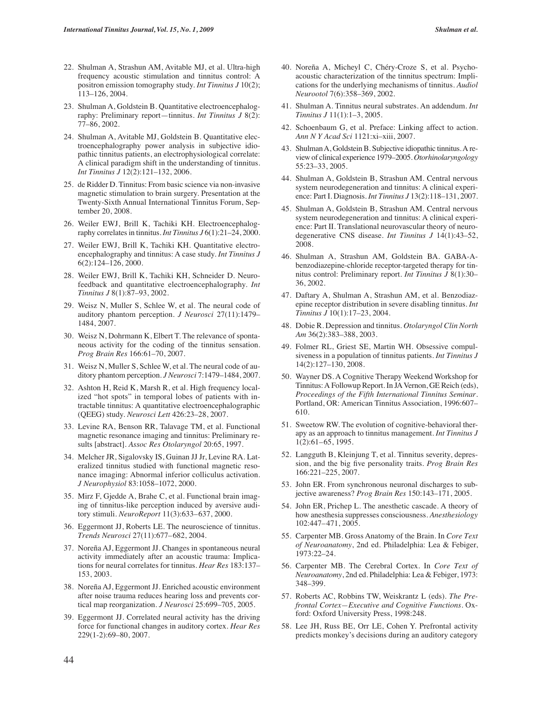- 22. Shulman A, Strashun AM, Avitable MJ, et al. Ultra-high frequency acoustic stimulation and tinnitus control: A positron emission tomography study. *Int Tinnitus J* 10(2); 113–126, 2004.
- 23. Shulman A, Goldstein B. Quantitative electroencephalography: Preliminary report—tinnitus. *Int Tinnitus J* 8(2): 77–86, 2002.
- 24. Shulman A, Avitable MJ, Goldstein B. Quantitative electroencephalography power analysis in subjective idiopathic tinnitus patients, an electrophysiological correlate: A clinical paradigm shift in the understanding of tinnitus. *Int Tinnitus J* 12(2):121–132, 2006.
- 25. de Ridder D. Tinnitus: From basic science via non-invasive magnetic stimulation to brain surgery. Presentation at the Twenty-Sixth Annual International Tinnitus Forum, September 20, 2008.
- 26. Weiler EWJ, Brill K, Tachiki KH. Electroencephalography correlates in tinnitus. *Int Tinnitus J* 6(1):21–24, 2000.
- 27. Weiler EWJ, Brill K, Tachiki KH. Quantitative electroencephalography and tinnitus: A case study. *Int Tinnitus J* 6(2):124–126, 2000.
- 28. Weiler EWJ, Brill K, Tachiki KH, Schneider D. Neurofeedback and quantitative electroencephalography. *Int Tinnitus J* 8(1):87–93, 2002.
- 29. Weisz N, Muller S, Schlee W, et al. The neural code of auditory phantom perception. *J Neurosci* 27(11):1479– 1484, 2007.
- 30. Weisz N, Dohrmann K, Elbert T. The relevance of spontaneous activity for the coding of the tinnitus sensation. *Prog Brain Res* 166:61–70, 2007.
- 31. Weisz N, Muller S, Schlee W, et al. The neural code of auditory phantom perception. *J Neurosci* 7:1479–1484, 2007.
- 32. Ashton H, Reid K, Marsh R, et al. High frequency localized "hot spots" in temporal lobes of patients with intractable tinnitus: A quantitative electroencephalographic (QEEG) study. *Neurosci Lett* 426:23–28, 2007.
- 33. Levine RA, Benson RR, Talavage TM, et al. Functional magnetic resonance imaging and tinnitus: Preliminary results [abstract]. *Assoc Res Otolaryngol* 20:65, 1997.
- 34. Melcher JR, Sigalovsky IS, Guinan JJ Jr, Levine RA. Lateralized tinnitus studied with functional magnetic resonance imaging: Abnormal inferior colliculus activation. *J Neurophysiol* 83:1058–1072, 2000.
- 35. Mirz F, Gjedde A, Brahe C, et al. Functional brain imaging of tinnitus-like perception induced by aversive auditory stimuli. *NeuroReport* 11(3):633–637, 2000.
- 36. Eggermont JJ, Roberts LE. The neuroscience of tinnitus. *Trends Neurosci* 27(11):677–682, 2004.
- 37. Noreña AJ, Eggermont JJ. Changes in spontaneous neural activity immediately after an acoustic trauma: Implications for neural correlates for tinnitus. *Hear Res* 183:137– 153, 2003.
- 38. Noreña AJ, Eggermont JJ. Enriched acoustic environment after noise trauma reduces hearing loss and prevents cortical map reorganization. *J Neurosci* 25:699–705, 2005.
- 39. Eggermont JJ. Correlated neural activity has the driving force for functional changes in auditory cortex. *Hear Res* 229(1-2):69–80, 2007.
- 40. Noreña A, Micheyl C, Chéry-Croze S, et al. Psychoacoustic characterization of the tinnitus spectrum: Implications for the underlying mechanisms of tinnitus. *Audiol Neurootol* 7(6):358–369, 2002.
- 41. Shulman A. Tinnitus neural substrates. An addendum. *Int Tinnitus J* 11(1):1–3, 2005.
- 42. Schoenbaum G, et al. Preface: Linking affect to action. *Ann N Y Acad Sci* 1121:xi–xiii, 2007.
- 43. Shulman A, Goldstein B. Subjective idiopathic tinnitus. A review of clinical experience 1979–2005. *Otorhinolaryngology* 55:23–33, 2005.
- 44. Shulman A, Goldstein B, Strashun AM. Central nervous system neurodegeneration and tinnitus: A clinical experience: Part I. Diagnosis. *Int Tinnitus J* 13(2):118–131, 2007.
- 45. Shulman A, Goldstein B, Strashun AM. Central nervous system neurodegeneration and tinnitus: A clinical experience: Part II. Translational neurovascular theory of neurodegenerative CNS disease. *Int Tinnitus J* 14(1):43–52, 2008.
- 46. Shulman A, Strashun AM, Goldstein BA. GABA-Abenzodiazepine-chloride receptor-targeted therapy for tinnitus control: Preliminary report. *Int Tinnitus J* 8(1):30– 36, 2002.
- 47. Daftary A, Shulman A, Strashun AM, et al. Benzodiazepine receptor distribution in severe disabling tinnitus. *Int Tinnitus J* 10(1):17–23, 2004.
- 48. Dobie R. Depression and tinnitus. *Otolaryngol Clin North Am* 36(2):383–388, 2003.
- 49. Folmer RL, Griest SE, Martin WH. Obsessive compulsiveness in a population of tinnitus patients. *Int Tinnitus J* 14(2):127–130, 2008.
- 50. Wayner DS. A Cognitive Therapy Weekend Workshop for Tinnitus: A Followup Report. In JA Vernon, GE Reich (eds), *Proceedings of the Fifth International Tinnitus Seminar.* Portland, OR: American Tinnitus Association, 1996:607– 610.
- 51. Sweetow RW. The evolution of cognitive-behavioral therapy as an approach to tinnitus management. *Int Tinnitus J* 1(2):61–65, 1995.
- 52. Langguth B, Kleinjung T, et al. Tinnitus severity, depression, and the big five personality traits. *Prog Brain Res* 166:221–225, 2007.
- 53. John ER. From synchronous neuronal discharges to subjective awareness? *Prog Brain Res* 150:143–171, 2005.
- 54. John ER, Prichep L. The anesthetic cascade. A theory of how anesthesia suppresses consciousness. *Anesthesiology* 102:447–471, 2005.
- 55. Carpenter MB. Gross Anatomy of the Brain. In *Core Text of Neuroanatomy*, 2nd ed. Philadelphia: Lea & Febiger, 1973:22–24.
- 56. Carpenter MB. The Cerebral Cortex. In *Core Text of Neuroanatomy*, 2nd ed. Philadelphia: Lea & Febiger, 1973: 348–399.
- 57. Roberts AC, Robbins TW, Weiskrantz L (eds). *The Prefrontal Cortex—Executive and Cognitive Functions.* Oxford: Oxford University Press, 1998:248.
- 58. Lee JH, Russ BE, Orr LE, Cohen Y. Prefrontal activity predicts monkey's decisions during an auditory category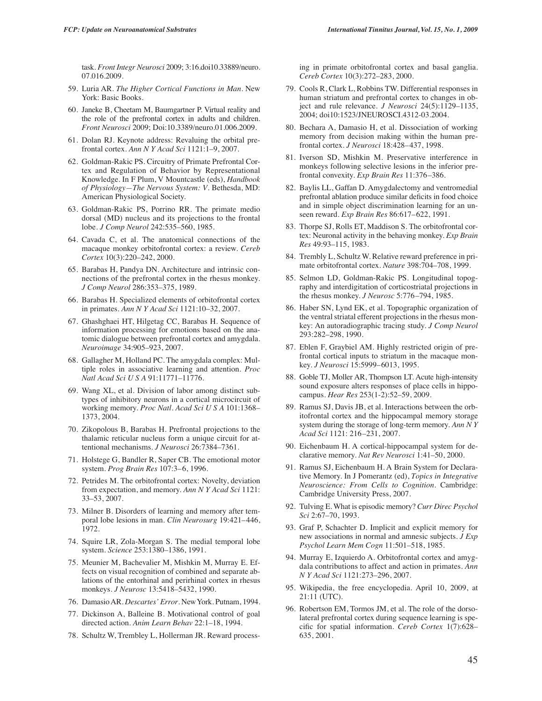task. *Front Integr Neurosci* 2009; 3:16.doi10.33889/neuro. 07.016.2009.

- 59. Luria AR. *The Higher Cortical Functions in Man.* New York: Basic Books.
- 60. Janeke B, Cheetam M, Baumgartner P. Virtual reality and the role of the prefrontal cortex in adults and children. *Front Neurosci* 2009; Doi:10.3389/neuro.01.006.2009.
- 61. Dolan RJ. Keynote address: Revaluing the orbital prefrontal cortex. *Ann N Y Acad Sci* 1121:1–9, 2007.
- 62. Goldman-Rakic PS. Circuitry of Primate Prefrontal Cortex and Regulation of Behavior by Representational Knowledge. In F Plum, V Mountcastle (eds), *Handbook of Physiology—The Nervous System: V.* Bethesda, MD: American Physiological Society.
- 63. Goldman-Rakic PS, Porrino RR. The primate medio dorsal (MD) nucleus and its projections to the frontal lobe. *J Comp Neurol* 242:535–560, 1985.
- 64. Cavada C, et al. The anatomical connections of the macaque monkey orbitofrontal cortex: a review. *Cereb Cortex* 10(3):220–242, 2000.
- 65. Barabas H, Pandya DN. Architecture and intrinsic connections of the prefrontal cortex in the rhesus monkey. *J Comp Neurol* 286:353–375, 1989.
- 66. Barabas H. Specialized elements of orbitofrontal cortex in primates. *Ann N Y Acad Sci* 1121:10–32, 2007.
- 67. Ghashghaei HT, Hilgetag CC, Barabas H. Sequence of information processing for emotions based on the anatomic dialogue between prefrontal cortex and amygdala. *Neuroimage* 34:905–923, 2007.
- 68. Gallagher M, Holland PC. The amygdala complex: Multiple roles in associative learning and attention. *Proc Natl Acad Sci U S A* 91:11771–11776.
- 69. Wang XL, et al. Division of labor among distinct subtypes of inhibitory neurons in a cortical microcircuit of working memory. *Proc Natl. Acad Sci U S A* 101:1368– 1373, 2004.
- 70. Zikopolous B, Barabas H. Prefrontal projections to the thalamic reticular nucleus form a unique circuit for attentional mechanisms. *J Neurosci* 26:7384–7361.
- 71. Holstege G, Bandler R, Saper CB. The emotional motor system. *Prog Brain Res* 107:3–6, 1996.
- 72. Petrides M. The orbitofrontal cortex: Novelty, deviation from expectation, and memory. *Ann N Y Acad Sci* 1121: 33–53, 2007.
- 73. Milner B. Disorders of learning and memory after temporal lobe lesions in man. *Clin Neurosurg* 19:421–446, 1972.
- 74. Squire LR, Zola-Morgan S. The medial temporal lobe system. *Science* 253:1380–1386, 1991.
- 75. Meunier M, Bachevalier M, Mishkin M, Murray E. Effects on visual recognition of combined and separate ablations of the entorhinal and perirhinal cortex in rhesus monkeys. *J Neurosc* 13:5418–5432, 1990.
- 76. Damasio AR. *Descartes' Error.* New York. Putnam, 1994.
- 77. Dickinson A, Balleine B. Motivational control of goal directed action. *Anim Learn Behav* 22:1–18, 1994.
- 78. Schultz W, Trembley L, Hollerman JR. Reward process-

ing in primate orbitofrontal cortex and basal ganglia. *Cereb Cortex* 10(3):272–283, 2000.

- 79. Cools R, Clark L, Robbins TW. Differential responses in human striatum and prefrontal cortex to changes in object and rule relevance. *J Neurosci* 24(5):1129–1135, 2004; doi10:1523/JNEUROSCI.4312-03.2004.
- 80. Bechara A, Damasio H, et al. Dissociation of working memory from decision making within the human prefrontal cortex. *J Neurosci* 18:428–437, 1998.
- 81. Iverson SD, Mishkin M. Preservative interference in monkeys following selective lesions in the inferior prefrontal convexity. *Exp Brain Res* 11:376–386.
- 82. Baylis LL, Gaffan D. Amygdalectomy and ventromedial prefrontal ablation produce similar deficits in food choice and in simple object discrimination learning for an unseen reward. *Exp Brain Res* 86:617–622, 1991.
- 83. Thorpe SJ, Rolls ET, Maddison S. The orbitofrontal cortex: Neuronal activity in the behaving monkey. *Exp Brain Res* 49:93–115, 1983.
- 84. Trembly L, Schultz W. Relative reward preference in primate orbitofrontal cortex. *Nature* 398:704–708, 1999.
- 85. Selmon LD, Goldman-Rakic PS. Longitudinal topography and interdigitation of corticostriatal projections in the rhesus monkey. *J Neurosc* 5:776–794, 1985.
- 86. Haber SN, Lynd EK, et al. Topographic organization of the ventral striatal efferent projections in the rhesus monkey: An autoradiographic tracing study. *J Comp Neurol* 293:282–298, 1990.
- 87. Eblen F, Graybiel AM. Highly restricted origin of prefrontal cortical inputs to striatum in the macaque monkey. *J Neurosci* 15:5999–6013, 1995.
- 88. Goble TJ, Moller AR, Thompson LT. Acute high-intensity sound exposure alters responses of place cells in hippocampus. *Hear Res* 253(1-2):52–59, 2009.
- 89. Ramus SJ, Davis JB, et al. Interactions between the orbitofrontal cortex and the hippocampal memory storage system during the storage of long-term memory. *Ann N Y Acad Sci* 1121: 216–231, 2007.
- 90. Eichenbaum H. A cortical-hippocampal system for declarative memory. *Nat Rev Neurosci* 1:41–50, 2000.
- 91. Ramus SJ, Eichenbaum H. A Brain System for Declarative Memory. In J Pomerantz (ed), *Topics in Integrative Neuroscience: From Cells to Cognition.* Cambridge: Cambridge University Press, 2007.
- 92. Tulving E. What is episodic memory? *Curr Direc Psychol Sci* 2:67–70, 1993.
- 93. Graf P, Schachter D. Implicit and explicit memory for new associations in normal and amnesic subjects. *J Exp Psychol Learn Mem Cogn* 11:501–518, 1985.
- 94. Murray E, Izquierdo A. Orbitofrontal cortex and amygdala contributions to affect and action in primates. *Ann N Y Acad Sci* 1121:273–296, 2007.
- 95. Wikipedia, the free encyclopedia. April 10, 2009, at 21:11 (UTC).
- 96. Robertson EM, Tormos JM, et al. The role of the dorsolateral prefrontal cortex during sequence learning is specific for spatial information. *Cereb Cortex* 1(7):628– 635, 2001.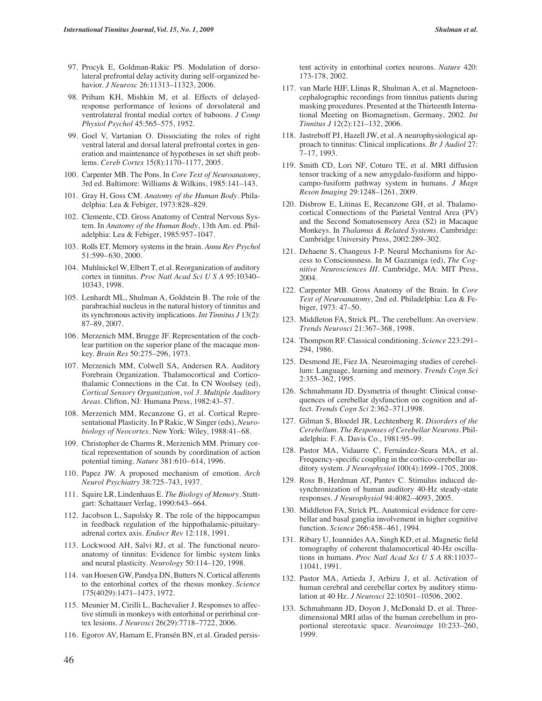- 97. Procyk E, Goldman-Rakic PS. Modulation of dorsolateral prefrontal delay activity during self-organized behavior. *J Neurosc* 26:11313–11323, 2006.
- 98. Pribam KH, Mishkin M, et al. Effects of delayedresponse performance of lesions of dorsolateral and ventrolateral frontal medial cortex of baboons. *J Comp Physiol Psychol* 45:565–575, 1952.
- 99. Goel V, Vartanian O. Dissociating the roles of right ventral lateral and dorsal lateral prefrontal cortex in generation and maintenance of hypotheses in set shift problems. *Cereb Cortex* 15(8):1170–1177, 2005.
- 100. Carpenter MB. The Pons. In *Core Text of Neuroanatomy*, 3rd ed. Baltimore: Williams & Wilkins, 1985:141–143.
- 101. Gray H, Goss CM. *Anatomy of the Human Body.* Philadelphia: Lea & Febiger, 1973:828–829.
- 102. Clemente, CD. Gross Anatomy of Central Nervous System. In *Anatomy of the Human Body*, 13th Am. ed. Philadelphia: Lea & Febiger, 1985:957–1047.
- 103. Rolls ET. Memory systems in the brain. *Annu Rev Psychol* 51:599–630, 2000.
- 104. Muhlnickel W, Elbert T, et al. Reorganization of auditory cortex in tinnitus. *Proc Natl Acad Sci U S A* 95:10340– 10343, 1998.
- 105. Lenhardt ML, Shulman A, Goldstein B. The role of the parabrachial nucleus in the natural history of tinnitus and its synchronous activity implications. *Int Tinnitus J* 13(2): 87–89, 2007.
- 106. Merzenich MM, Brugge JF. Representation of the cochlear partition on the superior plane of the macaque monkey. *Brain Res* 50:275–296, 1973.
- 107. Merzenich MM, Colwell SA, Andersen RA. Auditory Forebrain Organization. Thalamocortical and Corticothalamic Connections in the Cat. In CN Woolsey (ed), *Cortical Sensory Organization*, *vol 3. Multiple Auditory Areas.* Clifton, NJ: Humana Press, 1982:43–57.
- 108. Merzenich MM, Recanzone G, et al. Cortical Representational Plasticity. In P Rakic, W Singer (eds), *Neurobiology of Neocortex.* New York: Wiley, 1988:41–68.
- 109. Christopher de Charms R, Merzenich MM. Primary cortical representation of sounds by coordination of action potential timing. *Nature* 381:610–614, 1996.
- 110. Papez JW. A proposed mechanism of emotion. *Arch Neurol Psychiatry* 38:725–743, 1937.
- 111. Squire LR, Lindenhaus E. *The Biology of Memory.* Stuttgart: Schattauer Verlag, 1990:643–664.
- 112. Jacobson L, Sapolsky R. The role of the hippocampus in feedback regulation of the hippothalamic-pituitaryadrenal cortex axis. *Endocr Rev* 12:118, 1991.
- 113. Lockwood AH, Salvi RJ, et al. The functional neuroanatomy of tinnitus: Evidence for limbic system links and neural plasticity. *Neurology* 50:114–120, 1998.
- 114. van Hoesen GW, Pandya DN, Butters N. Cortical afferents to the entorhinal cortex of the rhesus monkey. *Science* 175(4029):1471–1473, 1972.
- 115. Meunier M, Cirilli L, Bachevalier J. Responses to affective stimuli in monkeys with entorhinal or perirhinal cortex lesions. *J Neurosci* 26(29):7718–7722, 2006.
- 116. Egorov AV, Hamam E, Fransén BN, et al. Graded persis-

tent activity in entorhinal cortex neurons. *Nature* 420: 173-178, 2002.

- 117. van Marle HJF, Llinas R, Shulman A, et al. Magnetoencephalographic recordings from tinnitus patients during masking procedures. Presented at the Thirteenth International Meeting on Biomagnetism, Germany, 2002. *Int Tinnitus J* 12(2):121–132, 2006.
- 118. Jastreboff PJ, Hazell JW, et al. A neurophysiological approach to tinnitus: Clinical implications. *Br J Audiol* 27: 7–17, 1993.
- 119. Smith CD, Lori NF, Coturo TE, et al. MRI diffusion tensor tracking of a new amygdalo-fusiform and hippocampo-fusiform pathway system in humans. *J Magn Reson Imaging* 29:1248–1261, 2009.
- 120. Disbrow E, Litinas E, Recanzone GH, et al. Thalamocortical Connections of the Parietal Ventral Area (PV) and the Second Somatosensory Area (S2) in Macaque Monkeys. In *Thalamus & Related Systems.* Cambridge: Cambridge University Press, 2002:289–302.
- 121. Dehaene S, Changeux J-P. Neural Mechanisms for Access to Consciousness. In M Gazzaniga (ed), *The Cognitive Neurosciences III.* Cambridge, MA: MIT Press, 2004.
- 122. Carpenter MB. Gross Anatomy of the Brain. In *Core Text of Neuroanatomy*, 2nd ed. Philadelphia: Lea & Febiger, 1973: 47–50.
- 123. Middleton FA, Strick PL. The cerebellum: An overview. *Trends Neurosci* 21:367–368, 1998.
- 124. Thompson RF. Classical conditioning. *Science* 223:291– 294, 1986.
- 125. Desmond JE, Fiez JA. Neuroimaging studies of cerebellum: Language, learning and memory. *Trends Cogn Sci* 2:355–362, 1995.
- 126. Schmahmann JD. Dysmetria of thought: Clinical consequences of cerebellar dysfunction on cognition and affect. *Trends Cogn Sci* 2:362–371,1998.
- 127. Gilman S, Bloedel JR, Lechtenberg R. *Disorders of the Cerebellum. The Responses of Cerebellar Neurons.* Philadelphia: F. A. Davis Co., 1981:95–99.
- 128. Pastor MA, Vidaurre C, Fernández-Seara MA, et al. Frequency-specific coupling in the cortico-cerebellar auditory system. *J Neurophysiol* 100(4):1699–1705, 2008.
- 129. Ross B, Herdman AT, Pantev C. Stimulus induced desynchronization of human auditory 40-Hz steady-state responses. *J Neurophysiol* 94:4082–4093, 2005.
- 130. Middleton FA, Strick PL. Anatomical evidence for cerebellar and basal ganglia involvement in higher cognitive function. *Science* 266:458–461, 1994.
- 131. Ribary U, Ioannides AA, Singh KD, et al. Magnetic field tomography of coherent thalamocortical 40-Hz oscillations in humans. *Proc Natl Acad Sci U S A* 88:11037– 11041, 1991.
- 132. Pastor MA, Artieda J, Arbizu J, et al. Activation of human cerebral and cerebellar cortex by auditory stimulation at 40 Hz. *J Neurosci* 22:10501–10506, 2002.
- 133. Schmahmann JD, Doyon J, McDonald D, et al. Threedimensional MRI atlas of the human cerebellum in proportional stereotaxic space. *Neuroimage* 10:233–260, 1999.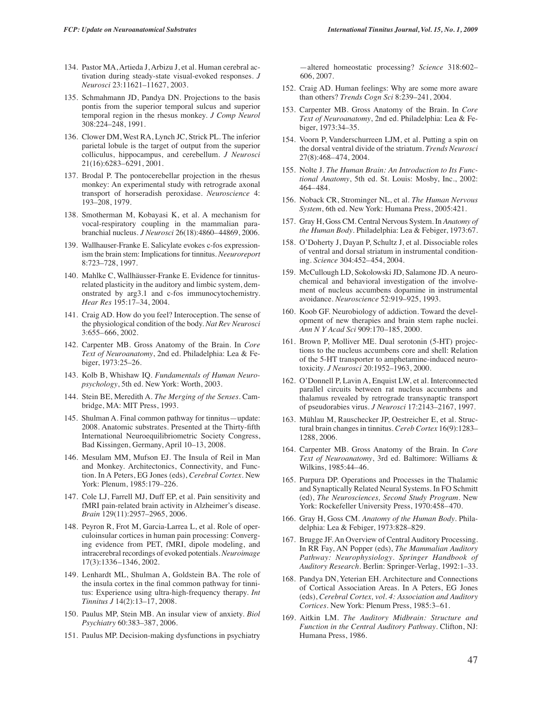- 134. Pastor MA, Artieda J, Arbizu J, et al. Human cerebral activation during steady-state visual-evoked responses. *J Neurosci* 23:11621–11627, 2003.
- 135. Schmahmann JD, Pandya DN. Projections to the basis pontis from the superior temporal sulcus and superior temporal region in the rhesus monkey. *J Comp Neurol* 308:224–248, 1991.
- 136. Clower DM, West RA, Lynch JC, Strick PL. The inferior parietal lobule is the target of output from the superior colliculus, hippocampus, and cerebellum. *J Neurosci* 21(16):6283–6291, 2001.
- 137. Brodal P. The pontocerebellar projection in the rhesus monkey: An experimental study with retrograde axonal transport of horseradish peroxidase. *Neuroscience* 4: 193–208, 1979.
- 138. Smotherman M, Kobayasi K, et al. A mechanism for vocal-respiratory coupling in the mammalian parabranchial nucleus. *J Neurosci* 26(18):4860–44869, 2006.
- 139. Wallhauser-Franke E. Salicylate evokes c-fos expressionism the brain stem: Implications for tinnitus. *Neeuroreport* 8:723–728, 1997.
- 140. Mahlke C, Wallhäusser-Franke E. Evidence for tinnitusrelated plasticity in the auditory and limbic system, demonstrated by arg3.1 and c-fos immunocytochemistry. *Hear Res* 195:17–34, 2004.
- 141. Craig AD. How do you feel? Interoception. The sense of the physiological condition of the body. *Nat Rev Neurosci* 3:655–666, 2002.
- 142. Carpenter MB. Gross Anatomy of the Brain. In *Core Text of Neuroanatomy*, 2nd ed. Philadelphia: Lea & Febiger, 1973:25–26.
- 143. Kolb B, Whishaw IQ. *Fundamentals of Human Neuropsychology*, 5th ed. New York: Worth, 2003.
- 144. Stein BE, Meredith A. *The Merging of the Senses.* Cambridge, MA: MIT Press, 1993.
- 145. Shulman A. Final common pathway for tinnitus—update: 2008. Anatomic substrates. Presented at the Thirty-fifth International Neuroequilibriometric Society Congress, Bad Kissingen, Germany, April 10–13, 2008.
- 146. Mesulam MM, Mufson EJ. The Insula of Reil in Man and Monkey. Architectonics, Connectivity, and Function. In A Peters, EG Jones (eds), *Cerebral Cortex.* New York: Plenum, 1985:179–226.
- 147. Cole LJ, Farrell MJ, Duff EP, et al. Pain sensitivity and fMRI pain-related brain activity in Alzheimer's disease. *Brain* 129(11):2957–2965, 2006.
- 148. Peyron R, Frot M, Garcia-Larrea L, et al. Role of operculoinsular cortices in human pain processing: Converging evidence from PET, fMRI, dipole modeling, and intracerebral recordings of evoked potentials. *Neuroimage* 17(3):1336–1346, 2002.
- 149. Lenhardt ML, Shulman A, Goldstein BA. The role of the insula cortex in the final common pathway for tinnitus: Experience using ultra-high-frequency therapy. *Int Tinnitus J* 14(2):13–17, 2008.
- 150. Paulus MP, Stein MB. An insular view of anxiety. *Biol Psychiatry* 60:383–387, 2006.
- 151. Paulus MP. Decision-making dysfunctions in psychiatry

—altered homeostatic processing? *Science* 318:602– 606, 2007.

- 152. Craig AD. Human feelings: Why are some more aware than others? *Trends Cogn Sci* 8:239–241, 2004.
- 153. Carpenter MB. Gross Anatomy of the Brain. In *Core Text of Neuroanatomy*, 2nd ed. Philadelphia: Lea & Febiger, 1973:34–35.
- 154. Voorn P, Vanderschurreen LJM, et al. Putting a spin on the dorsal ventral divide of the striatum. *Trends Neurosci* 27(8):468–474, 2004.
- 155. Nolte J. *The Human Brain: An Introduction to Its Functional Anatomy*, 5th ed. St. Louis: Mosby, Inc., 2002: 464–484.
- 156. Noback CR, Strominger NL, et al. *The Human Nervous System*, 6th ed. New York: Humana Press, 2005:421.
- 157. Gray H, Goss CM. Central Nervous System. In *Anatomy of the Human Body.* Philadelphia: Lea & Febiger, 1973:67.
- 158. O'Doherty J, Dayan P, Schultz J, et al. Dissociable roles of ventral and dorsal striatum in instrumental conditioning. *Science* 304:452–454, 2004.
- 159. McCullough LD, Sokolowski JD, Salamone JD. A neurochemical and behavioral investigation of the involvement of nucleus accumbens dopamine in instrumental avoidance. *Neuroscience* 52:919–925, 1993.
- 160. Koob GF. Neurobiology of addiction. Toward the development of new therapies and brain stem raphe nuclei. *Ann N Y Acad Sci* 909:170–185, 2000.
- 161. Brown P, Molliver ME. Dual serotonin (5-HT) projections to the nucleus accumbens core and shell: Relation of the 5-HT transporter to amphetamine-induced neurotoxicity. *J Neurosci* 20:1952–1963, 2000.
- 162. O'Donnell P, Lavin A, Enquist LW, et al. Interconnected parallel circuits between rat nucleus accumbens and thalamus revealed by retrograde transynaptic transport of pseudorabies virus. *J Neurosci* 17:2143–2167, 1997.
- 163. Mühlau M, Rauschecker JP, Oestreicher E, et al. Structural brain changes in tinnitus. *Cereb Cortex* 16(9):1283– 1288, 2006.
- 164. Carpenter MB. Gross Anatomy of the Brain. In *Core Text of Neuroanatomy*, 3rd ed. Baltimore: Williams & Wilkins, 1985:44–46.
- 165. Purpura DP. Operations and Processes in the Thalamic and Synaptically Related Neural Systems. In FO Schmitt (ed), *The Neurosciences, Second Study Program.* New York: Rockefeller University Press, 1970:458–470.
- 166. Gray H, Goss CM. *Anatomy of the Human Body.* Philadelphia: Lea & Febiger, 1973:828–829.
- 167. Brugge JF. An Overview of Central Auditory Processing. In RR Fay, AN Popper (eds), *The Mammalian Auditory Pathway: Neurophysiology. Springer Handbook of Auditory Research.* Berlin: Springer-Verlag, 1992:1–33.
- 168. Pandya DN, Yeterian EH. Architecture and Connections of Cortical Association Areas. In A Peters, EG Jones (eds), *Cerebral Cortex, vol. 4: Association and Auditory Cortices.* New York: Plenum Press, 1985:3–61.
- 169. Aitkin LM. *The Auditory Midbrain: Structure and Function in the Central Auditory Pathway.* Clifton, NJ: Humana Press, 1986.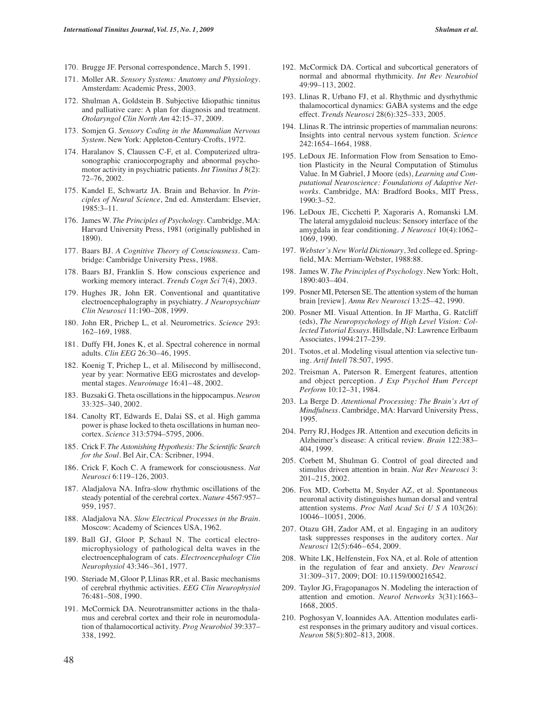- 170. Brugge JF. Personal correspondence, March 5, 1991.
- 171. Moller AR. *Sensory Systems: Anatomy and Physiology.* Amsterdam: Academic Press, 2003.
- 172. Shulman A, Goldstein B. Subjective Idiopathic tinnitus and palliative care: A plan for diagnosis and treatment. *Otolaryngol Clin North Am* 42:15–37, 2009.
- 173. Somjen G. *Sensory Coding in the Mammalian Nervous System.* New York: Appleton-Century-Crofts, 1972.
- 174. Haralanov S, Claussen C-F, et al. Computerized ultrasonographic craniocorpography and abnormal psychomotor activity in psychiatric patients. *Int Tinnitus J* 8(2): 72–76, 2002.
- 175. Kandel E, Schwartz JA. Brain and Behavior. In *Principles of Neural Science*, 2nd ed. Amsterdam: Elsevier, 1985:3–11.
- 176. James W. *The Principles of Psychology.* Cambridge, MA: Harvard University Press, 1981 (originally published in 1890).
- 177. Baars BJ. *A Cognitive Theory of Consciousness.* Cambridge: Cambridge University Press, 1988.
- 178. Baars BJ, Franklin S. How conscious experience and working memory interact. *Trends Cogn Sci* 7(4), 2003.
- 179. Hughes JR, John ER. Conventional and quantitative electroencephalography in psychiatry. *J Neuropsychiatr Clin Neurosci* 11:190–208, 1999.
- 180. John ER, Prichep L, et al. Neurometrics. *Science* 293: 162–169, 1988.
- 181. Duffy FH, Jones K, et al. Spectral coherence in normal adults. *Clin EEG* 26:30–46, 1995.
- 182. Koenig T, Prichep L, et al. Milisecond by millisecond, year by year: Normative EEG microstates and developmental stages. *Neuroimage* 16:41–48, 2002.
- 183. Buzsaki G. Theta oscillations in the hippocampus. *Neuron* 33:325–340, 2002.
- 184. Canolty RT, Edwards E, Dalai SS, et al. High gamma power is phase locked to theta oscillations in human neocortex. *Science* 313:5794–5795, 2006.
- 185. Crick F. *The Astonishing Hypothesis: The Scientific Search for the Soul.* Bel Air, CA: Scribner, 1994.
- 186. Crick F, Koch C. A framework for consciousness. *Nat Neurosci* 6:119–126, 2003.
- 187. Aladjalova NA. Infra-slow rhythmic oscillations of the steady potential of the cerebral cortex. *Nature* 4567:957– 959, 1957.
- 188. Aladjalova NA. *Slow Electrical Processes in the Brain.* Moscow: Academy of Sciences USA, 1962.
- 189. Ball GJ, Gloor P, Schaul N. The cortical electromicrophysiology of pathological delta waves in the electroencephalogram of cats. *Electroencephalogr Clin Neurophysiol* 43:346–361, 1977.
- 190. Steriade M, Gloor P, Llinas RR, et al. Basic mechanisms of cerebral rhythmic activities. *EEG Clin Neurophysiol* 76:481–508, 1990.
- 191. McCormick DA. Neurotransmitter actions in the thalamus and cerebral cortex and their role in neuromodulation of thalamocortical activity. *Prog Neurobiol* 39:337– 338, 1992.
- 192. McCormick DA. Cortical and subcortical generators of normal and abnormal rhythmicity. *Int Rev Neurobiol* 49:99–113, 2002.
- 193. Llinas R, Urbano FJ, et al. Rhythmic and dysrhythmic thalamocortical dynamics: GABA systems and the edge effect. *Trends Neurosci* 28(6):325–333, 2005.
- 194. Llinas R. The intrinsic properties of mammalian neurons: Insights into central nervous system function. *Science* 242:1654–1664, 1988.
- 195. LeDoux JE. Information Flow from Sensation to Emotion Plasticity in the Neural Computation of Stimulus Value. In M Gabriel, J Moore (eds), *Learning and Computational Neuroscience: Foundations of Adaptive Networks.* Cambridge, MA: Bradford Books, MIT Press, 1990:3–52.
- 196. LeDoux JE, Cicchetti P, Xagoraris A, Romanski LM. The lateral amygdaloid nucleus: Sensory interface of the amygdala in fear conditioning. *J Neurosci* 10(4):1062– 1069, 1990.
- 197. *Webster's New World Dictionary*, 3rd college ed. Springfield, MA: Merriam-Webster, 1988:88.
- 198. James W. *The Principles of Psychology.* New York: Holt, 1890:403–404.
- 199. Posner MI, Petersen SE. The attention system of the human brain [review]. *Annu Rev Neurosci* 13:25–42, 1990.
- 200. Posner MI. Visual Attention. In JF Martha, G. Ratcliff (eds), *The Neuropsychology of High Level Vision: Collected Tutorial Essays.* Hillsdale, NJ: Lawrence Erlbaum Associates, 1994:217–239.
- 201. Tsotos, et al. Modeling visual attention via selective tuning. *Artif Intell* 78:507, 1995.
- 202. Treisman A, Paterson R. Emergent features, attention and object perception. *J Exp Psychol Hum Percept Perform* 10:12–31, 1984.
- 203. La Berge D. *Attentional Processing: The Brain's Art of Mindfulness.* Cambridge, MA: Harvard University Press, 1995.
- 204. Perry RJ, Hodges JR. Attention and execution deficits in Alzheimer's disease: A critical review. *Brain* 122:383– 404, 1999.
- 205. Corbett M, Shulman G. Control of goal directed and stimulus driven attention in brain. *Nat Rev Neurosci* 3: 201–215, 2002.
- 206. Fox MD, Corbetta M, Snyder AZ, et al. Spontaneous neuronal activity distinguishes human dorsal and ventral attention systems. *Proc Natl Acad Sci U S A* 103(26): 10046–10051, 2006.
- 207. Otazu GH, Zador AM, et al. Engaging in an auditory task suppresses responses in the auditory cortex. *Nat Neurosci* 12(5):646–654, 2009.
- 208. White LK, Helfenstein, Fox NA, et al. Role of attention in the regulation of fear and anxiety. *Dev Neurosci* 31:309–317, 2009; DOI: 10.1159/000216542.
- 209. Taylor JG, Fragopanagos N. Modeling the interaction of attention and emotion. *Neurol Networks* 3(31):1663– 1668, 2005.
- 210. Poghosyan V, Ioannides AA. Attention modulates earliest responses in the primary auditory and visual cortices. *Neuron* 58(5):802–813, 2008.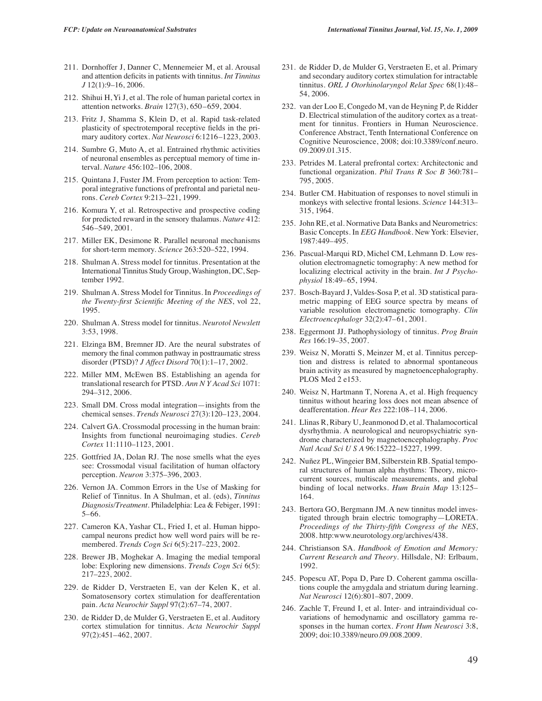- 211. Dornhoffer J, Danner C, Mennemeier M, et al. Arousal and attention deficits in patients with tinnitus. *Int Tinnitus J* 12(1):9–16, 2006.
- 212. Shihui H, Yi J, et al. The role of human parietal cortex in attention networks. *Brain* 127(3), 650–659, 2004.
- 213. Fritz J, Shamma S, Klein D, et al. Rapid task-related plasticity of spectrotemporal receptive fields in the primary auditory cortex. *Nat Neurosci* 6:1216–1223, 2003.
- 214. Sumbre G, Muto A, et al. Entrained rhythmic activities of neuronal ensembles as perceptual memory of time interval. *Nature* 456:102–106, 2008.
- 215. Quintana J, Fuster JM. From perception to action: Temporal integrative functions of prefrontal and parietal neurons. *Cereb Cortex* 9:213–221, 1999.
- 216. Komura Y, et al. Retrospective and prospective coding for predicted reward in the sensory thalamus. *Nature* 412: 546–549, 2001.
- 217. Miller EK, Desimone R. Parallel neuronal mechanisms for short-term memory. *Science* 263:520–522, 1994.
- 218. Shulman A. Stress model for tinnitus. Presentation at the International Tinnitus Study Group, Washington, DC, September 1992.
- 219. Shulman A. Stress Model for Tinnitus. In *Proceedings of the Twenty-first Scientific Meeting of the NES*, vol 22, 1995.
- 220. Shulman A. Stress model for tinnitus. *Neurotol Newslett* 3:53, 1998.
- 221. Elzinga BM, Bremner JD. Are the neural substrates of memory the final common pathway in posttraumatic stress disorder (PTSD)? *J Affect Disord* 70(1):1–17, 2002.
- 222. Miller MM, McEwen BS. Establishing an agenda for translational research for PTSD. *Ann N Y Acad Sci* 1071: 294–312, 2006.
- 223. Small DM. Cross modal integration—insights from the chemical senses. *Trends Neurosci* 27(3):120–123, 2004.
- 224. Calvert GA. Crossmodal processing in the human brain: Insights from functional neuroimaging studies. *Cereb Cortex* 11:1110–1123, 2001.
- 225. Gottfried JA, Dolan RJ. The nose smells what the eyes see: Crossmodal visual facilitation of human olfactory perception. *Neuron* 3:375–396, 2003.
- 226. Vernon JA. Common Errors in the Use of Masking for Relief of Tinnitus. In A Shulman, et al. (eds), *Tinnitus Diagnosis/Treatment.* Philadelphia: Lea & Febiger, 1991: 5–66.
- 227. Cameron KA, Yashar CL, Fried I, et al. Human hippocampal neurons predict how well word pairs will be remembered. *Trends Cogn Sci* 6(5):217–223, 2002.
- 228. Brewer JB, Moghekar A. Imaging the medial temporal lobe: Exploring new dimensions. *Trends Cogn Sci* 6(5): 217–223, 2002.
- 229. de Ridder D, Verstraeten E, van der Kelen K, et al. Somatosensory cortex stimulation for deafferentation pain. *Acta Neurochir Suppl* 97(2):67–74, 2007.
- 230. de Ridder D, de Mulder G, Verstraeten E, et al. Auditory cortex stimulation for tinnitus. *Acta Neurochir Suppl* 97(2):451–462, 2007.
- 231. de Ridder D, de Mulder G, Verstraeten E, et al. Primary and secondary auditory cortex stimulation for intractable tinnitus. *ORL J Otorhinolaryngol Relat Spec* 68(1):48– 54, 2006.
- 232. van der Loo E, Congedo M, van de Heyning P, de Ridder D. Electrical stimulation of the auditory cortex as a treatment for tinnitus. Frontiers in Human Neuroscience. Conference Abstract, Tenth International Conference on Cognitive Neuroscience, 2008; doi:10.3389/conf.neuro. 09.2009.01.315.
- 233. Petrides M. Lateral prefrontal cortex: Architectonic and functional organization. *Phil Trans R Soc B* 360:781– 795, 2005.
- 234. Butler CM. Habituation of responses to novel stimuli in monkeys with selective frontal lesions. *Science* 144:313– 315, 1964.
- 235. John RE, et al. Normative Data Banks and Neurometrics: Basic Concepts. In *EEG Handbook.* New York: Elsevier, 1987:449–495.
- 236. Pascual-Marqui RD, Michel CM, Lehmann D. Low resolution electromagnetic tomography: A new method for localizing electrical activity in the brain. *Int J Psychophysiol* 18:49–65, 1994.
- 237. Bosch-Bayard J, Valdes-Sosa P, et al. 3D statistical parametric mapping of EEG source spectra by means of variable resolution electromagnetic tomography. *Clin Electroencephalogr* 32(2):47–61, 2001.
- 238. Eggermont JJ. Pathophysiology of tinnitus. *Prog Brain Res* 166:19–35, 2007.
- 239. Weisz N, Moratti S, Meinzer M, et al. Tinnitus perception and distress is related to abnormal spontaneous brain activity as measured by magnetoencephalography. PLOS Med 2 e153.
- 240. Weisz N, Hartmann T, Norena A, et al. High frequency tinnitus without hearing loss does not mean absence of deafferentation. *Hear Res* 222:108–114, 2006.
- 241. Llinas R, Ribary U, Jeanmonod D, et al. Thalamocortical dysrhythmia. A neurological and neuropsychiatric syndrome characterized by magnetoencephalography. *Proc Natl Acad Sci U S A* 96:15222–15227, 1999.
- 242. Nuñez PL, Wingeier BM, Silberstein RB. Spatial temporal structures of human alpha rhythms: Theory, microcurrent sources, multiscale measurements, and global binding of local networks. *Hum Brain Map* 13:125– 164.
- 243. Bertora GO, Bergmann JM. A new tinnitus model investigated through brain electric tomography—LORETA. *Proceedings of the Thirty-fifth Congress of the NES*, 2008. http:www.neurotology.org/archives/438.
- 244. Christianson SA. *Handbook of Emotion and Memory: Current Research and Theory.* Hillsdale, NJ: Erlbaum, 1992.
- 245. Popescu AT, Popa D, Pare D. Coherent gamma oscillations couple the amygdala and striatum during learning. *Nat Neurosci* 12(6):801–807, 2009.
- 246. Zachle T, Freund I, et al. Inter- and intraindividual covariations of hemodynamic and oscillatory gamma responses in the human cortex. *Front Hum Neurosci* 3:8, 2009; doi:10.3389/neuro.09.008.2009.